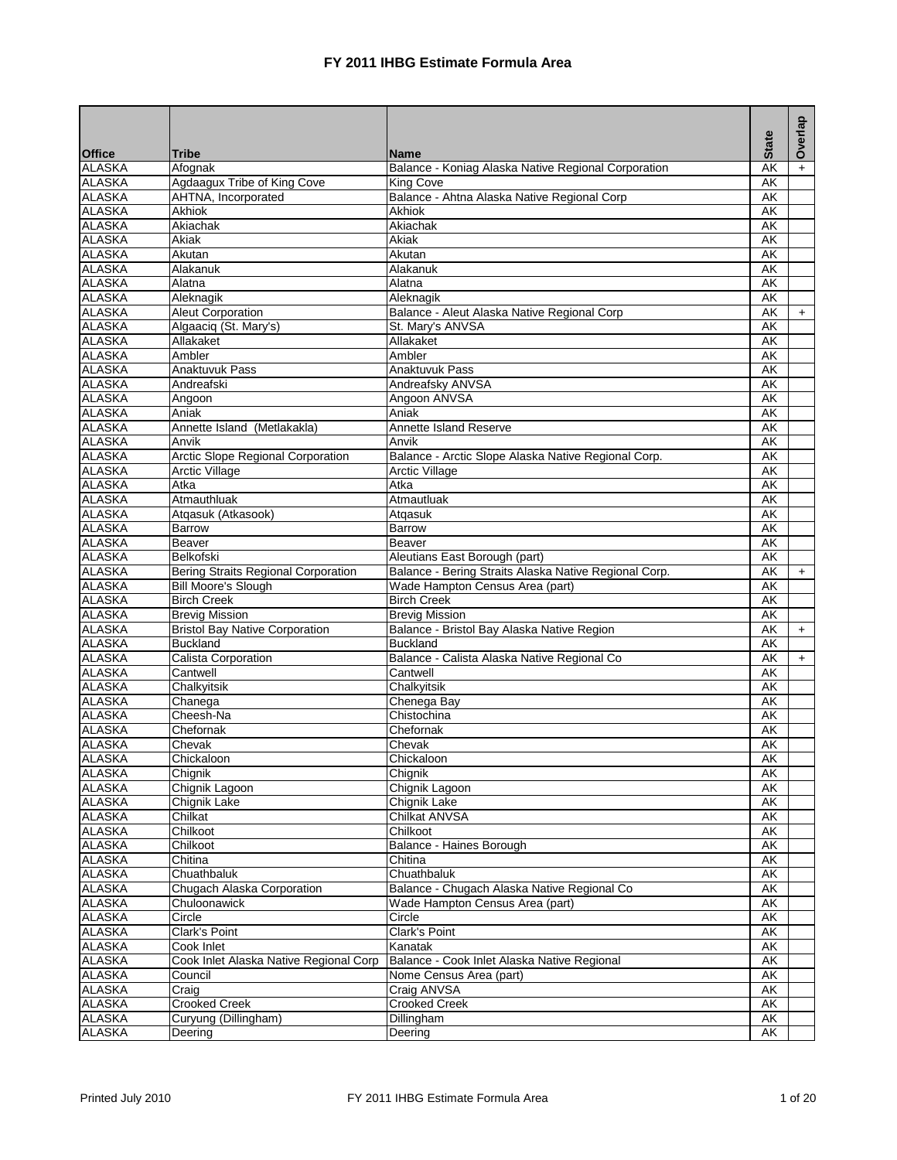|                                |                                            |                                                         | <b>State</b>                   | Overlap   |
|--------------------------------|--------------------------------------------|---------------------------------------------------------|--------------------------------|-----------|
| <b>Office</b>                  | <b>Tribe</b>                               | <b>Name</b>                                             |                                |           |
| <b>ALASKA</b>                  | Afognak                                    | Balance - Koniag Alaska Native Regional Corporation     | AK                             |           |
| <b>ALASKA</b>                  | Agdaagux Tribe of King Cove                | <b>King Cove</b>                                        | $\overline{\mathsf{AK}}$       |           |
| <b>ALASKA</b>                  | AHTNA, Incorporated                        | Balance - Ahtna Alaska Native Regional Corp             | AK                             |           |
| <b>ALASKA</b>                  | Akhiok                                     | <b>Akhiok</b>                                           | AK                             |           |
| <b>ALASKA</b>                  | Akiachak                                   | Akiachak                                                | AK                             |           |
| <b>ALASKA</b>                  | Akiak                                      | Akiak                                                   | AK                             |           |
| <b>ALASKA</b>                  | Akutan                                     | Akutan                                                  | AK                             |           |
| <b>ALASKA</b>                  | Alakanuk                                   | Alakanuk                                                | $\overline{\mathsf{AK}}$       |           |
| <b>ALASKA</b>                  | Alatna                                     | Alatna                                                  | AK                             |           |
| <b>ALASKA</b>                  | Aleknagik                                  | Aleknagik                                               | AK                             |           |
| <b>ALASKA</b>                  | <b>Aleut Corporation</b>                   | Balance - Aleut Alaska Native Regional Corp             | AK                             | $\ddot{}$ |
| <b>ALASKA</b>                  | Algaaciq (St. Mary's)                      | St. Mary's ANVSA                                        | AK                             |           |
| <b>ALASKA</b>                  | Allakaket                                  | Allakaket                                               | AK                             |           |
| <b>ALASKA</b>                  | Ambler                                     | Ambler                                                  | AK                             |           |
| <b>ALASKA</b>                  | <b>Anaktuvuk Pass</b>                      | <b>Anaktuvuk Pass</b>                                   | AK                             |           |
| <b>ALASKA</b>                  | Andreafski                                 | Andreafsky ANVSA                                        | AK                             |           |
| <b>ALASKA</b>                  | Angoon                                     | Angoon ANVSA                                            | AK                             |           |
| <b>ALASKA</b>                  | Aniak                                      | Aniak                                                   | AK                             |           |
| <b>ALASKA</b>                  | Annette Island (Metlakakla)                | Annette Island Reserve                                  | AK                             |           |
| <b>ALASKA</b>                  | Anvik                                      | Anvik                                                   | <b>AK</b>                      |           |
| <b>ALASKA</b>                  | <b>Arctic Slope Regional Corporation</b>   | Balance - Arctic Slope Alaska Native Regional Corp.     | AK                             |           |
| <b>ALASKA</b>                  | <b>Arctic Village</b>                      | <b>Arctic Village</b>                                   | AK                             |           |
| <b>ALASKA</b>                  | Atka                                       | Atka                                                    | AK                             |           |
| <b>ALASKA</b>                  | Atmauthluak                                | Atmautluak                                              | $\overline{\mathsf{AK}}$       |           |
| <b>ALASKA</b>                  | Atgasuk (Atkasook)                         | Atgasuk                                                 | AK                             |           |
| <b>ALASKA</b>                  | Barrow                                     | <b>Barrow</b>                                           | AK                             |           |
| <b>ALASKA</b>                  | Beaver                                     | <b>Beaver</b>                                           | AK                             |           |
| <b>ALASKA</b>                  | Belkofski                                  | Aleutians East Borough (part)                           | AK                             |           |
| <b>ALASKA</b>                  | <b>Bering Straits Regional Corporation</b> | Balance - Bering Straits Alaska Native Regional Corp.   | $\overline{\mathsf{AK}}$       | $+$       |
| <b>ALASKA</b>                  | <b>Bill Moore's Slough</b>                 | Wade Hampton Census Area (part)                         | AK                             |           |
| <b>ALASKA</b>                  | <b>Birch Creek</b>                         | <b>Birch Creek</b>                                      | AK                             |           |
| <b>ALASKA</b>                  | <b>Brevig Mission</b>                      | <b>Brevig Mission</b>                                   | AK<br>$\overline{\mathsf{AK}}$ |           |
| <b>ALASKA</b>                  | <b>Bristol Bay Native Corporation</b>      | Balance - Bristol Bay Alaska Native Region              |                                | $+$       |
| <b>ALASKA</b>                  | <b>Buckland</b>                            | <b>Buckland</b>                                         | AK                             |           |
| <b>ALASKA</b><br><b>ALASKA</b> | Calista Corporation<br>Cantwell            | Balance - Calista Alaska Native Regional Co<br>Cantwell | AK<br>$\overline{\mathsf{AK}}$ | $+$       |
| <b>ALASKA</b>                  | Chalkyitsik                                | Chalkyitsik                                             | AK                             |           |
| <b>ALASKA</b>                  | Chanega                                    | Chenega Bay                                             | AK                             |           |
| <b>ALASKA</b>                  | Cheesh-Na                                  | Chistochina                                             | AK                             |           |
| <b>ALASKA</b>                  | Chefornak                                  | Chefornak                                               | AK                             |           |
| <b>ALASKA</b>                  | Chevak                                     | Chevak                                                  | AK                             |           |
| <b>ALASKA</b>                  | Chickaloon                                 | Chickaloon                                              | AK                             |           |
| <b>ALASKA</b>                  | Chignik                                    | Chignik                                                 | AΚ                             |           |
| <b>ALASKA</b>                  | Chignik Lagoon                             | Chignik Lagoon                                          | AK                             |           |
| <b>ALASKA</b>                  | Chignik Lake                               | <b>Chignik Lake</b>                                     | AK                             |           |
| <b>ALASKA</b>                  | Chilkat                                    | Chilkat ANVSA                                           | AK                             |           |
| <b>ALASKA</b>                  | Chilkoot                                   | Chilkoot                                                | AK                             |           |
| <b>ALASKA</b>                  | Chilkoot                                   | Balance - Haines Borough                                | AK                             |           |
| <b>ALASKA</b>                  | Chitina                                    | Chitina                                                 | AK                             |           |
| <b>ALASKA</b>                  | Chuathbaluk                                | Chuathbaluk                                             | AK                             |           |
| <b>ALASKA</b>                  | Chugach Alaska Corporation                 | Balance - Chugach Alaska Native Regional Co             | AK                             |           |
| <b>ALASKA</b>                  | Chuloonawick                               | Wade Hampton Census Area (part)                         | AK                             |           |
| <b>ALASKA</b>                  | Circle                                     | Circle                                                  | AK                             |           |
| <b>ALASKA</b>                  | Clark's Point                              | Clark's Point                                           | AK                             |           |
| <b>ALASKA</b>                  | Cook Inlet                                 | Kanatak                                                 | AK                             |           |
| <b>ALASKA</b>                  | Cook Inlet Alaska Native Regional Corp     | Balance - Cook Inlet Alaska Native Regional             | AK                             |           |
| <b>ALASKA</b>                  | Council                                    | Nome Census Area (part)                                 | AK                             |           |
| <b>ALASKA</b>                  | Craig                                      | Craig ANVSA                                             | AK                             |           |
| <b>ALASKA</b>                  | <b>Crooked Creek</b>                       | <b>Crooked Creek</b>                                    | AK                             |           |
| <b>ALASKA</b>                  | Curyung (Dillingham)                       | Dillingham                                              | AK                             |           |
| <b>ALASKA</b>                  | Deering                                    | Deering                                                 | AK                             |           |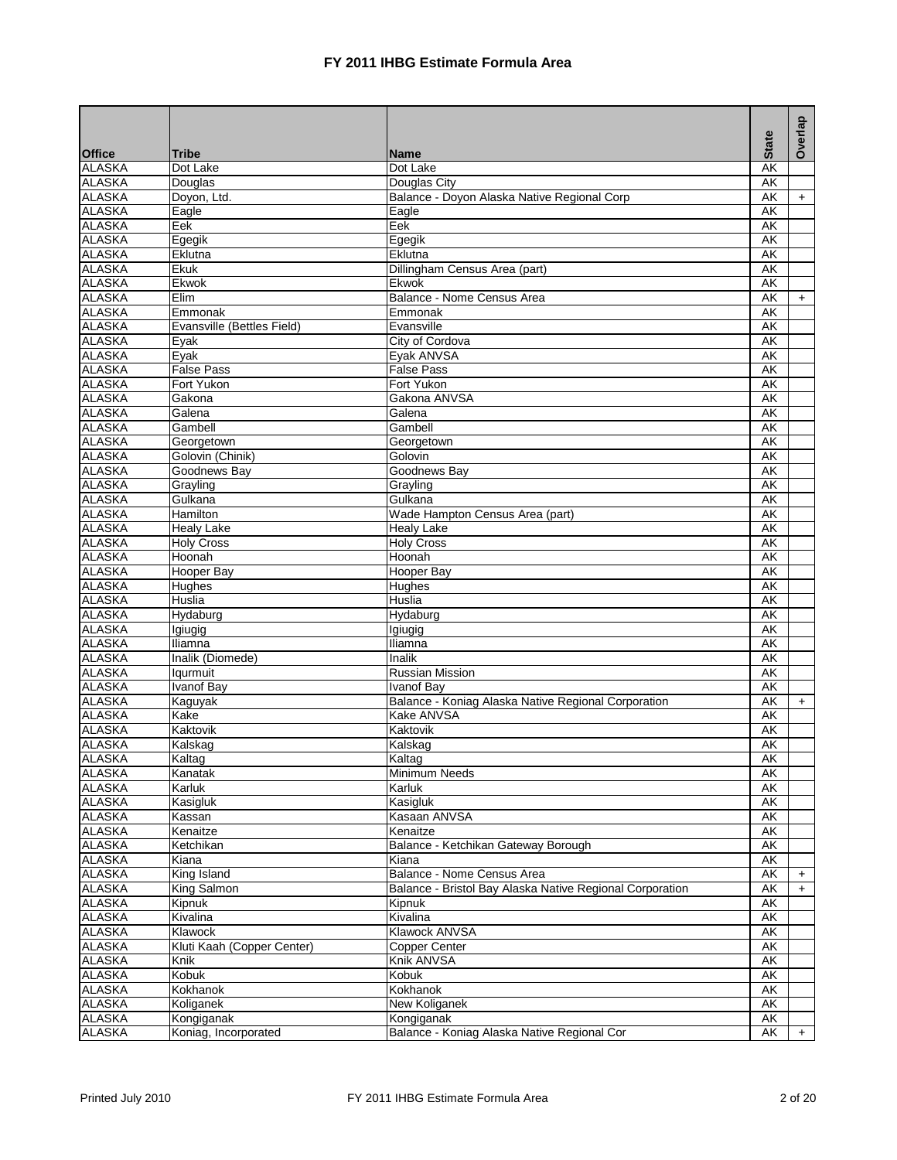|                                |                              |                                                          | <b>State</b>             | Overlap |
|--------------------------------|------------------------------|----------------------------------------------------------|--------------------------|---------|
| <b>Office</b>                  | Tribe                        | <b>Name</b>                                              |                          |         |
| <b>ALASKA</b>                  | Dot Lake                     | Dot Lake                                                 | AK                       |         |
| <b>ALASKA</b>                  | Douglas                      | Douglas City                                             | AK                       |         |
| <b>ALASKA</b>                  | Doyon, Ltd.                  | Balance - Doyon Alaska Native Regional Corp              | <b>AK</b>                | $+$     |
| <b>ALASKA</b>                  | Eagle                        | Eagle                                                    | <b>AK</b>                |         |
| <b>ALASKA</b>                  | Eek                          | Eek                                                      | AK                       |         |
| <b>ALASKA</b>                  | Egegik                       | Egegik                                                   | AK                       |         |
| <b>ALASKA</b>                  | Eklutna                      | Eklutna                                                  | AK                       |         |
| <b>ALASKA</b>                  | Ekuk                         | Dillingham Census Area (part)                            | <b>AK</b>                |         |
| <b>ALASKA</b>                  | Ekwok                        | Ekwok                                                    | AK                       |         |
| <b>ALASKA</b>                  | Elim                         | Balance - Nome Census Area                               | <b>AK</b>                | $+$     |
| <b>ALASKA</b>                  | Emmonak                      | Emmonak                                                  | AK                       |         |
| <b>ALASKA</b>                  | Evansville (Bettles Field)   | Evansville                                               | AK                       |         |
| <b>ALASKA</b>                  | Eyak                         | City of Cordova                                          | AK                       |         |
| <b>ALASKA</b>                  | Eyak                         | Eyak ANVSA                                               | AK                       |         |
| <b>ALASKA</b>                  | <b>False Pass</b>            | <b>False Pass</b>                                        | AK                       |         |
| <b>ALASKA</b>                  | Fort Yukon                   | Fort Yukon                                               | AK                       |         |
| <b>ALASKA</b>                  | Gakona                       | Gakona ANVSA                                             | AK                       |         |
| <b>ALASKA</b>                  | Galena                       | Galena                                                   | AK                       |         |
| <b>ALASKA</b>                  | Gambell                      | Gambell                                                  | AK                       |         |
| <b>ALASKA</b>                  | Georgetown                   | Georgetown                                               | AK                       |         |
| <b>ALASKA</b>                  | Golovin (Chinik)             | Golovin                                                  | <b>AK</b>                |         |
| <b>ALASKA</b>                  | Goodnews Bav                 | Goodnews Bay                                             | AK                       |         |
| <b>ALASKA</b>                  | Grayling                     | Grayling                                                 | AK                       |         |
| <b>ALASKA</b>                  | Gulkana                      | Gulkana                                                  | AK                       |         |
| <b>ALASKA</b>                  | Hamilton                     | Wade Hampton Census Area (part)                          | AK                       |         |
| <b>ALASKA</b>                  | Healy Lake                   | <b>Healv Lake</b>                                        | AK                       |         |
| <b>ALASKA</b>                  | <b>Holy Cross</b>            | <b>Holy Cross</b>                                        | AK                       |         |
| <b>ALASKA</b>                  | Hoonah                       | Hoonah                                                   | <b>AK</b>                |         |
| <b>ALASKA</b>                  | <b>Hooper Bay</b>            | Hooper Bay                                               | AK                       |         |
| <b>ALASKA</b>                  | <b>Hughes</b>                | Hughes                                                   | AK                       |         |
| <b>ALASKA</b>                  | <b>Huslia</b>                | <b>Huslia</b>                                            | <b>AK</b>                |         |
| <b>ALASKA</b>                  | Hydaburg                     | Hydaburg                                                 | AK                       |         |
| <b>ALASKA</b>                  | Igiugig                      | Igiugig                                                  | <b>AK</b>                |         |
| <b>ALASKA</b>                  | Iliamna                      | Iliamna                                                  | AK                       |         |
| <b>ALASKA</b><br><b>ALASKA</b> | Inalik (Diomede)<br>lgurmuit | Inalik<br><b>Russian Mission</b>                         | AK<br>AK                 |         |
| <b>ALASKA</b>                  | <b>Ivanof Bay</b>            | <b>Ivanof Bay</b>                                        | AK                       |         |
| <b>ALASKA</b>                  |                              | Balance - Koniag Alaska Native Regional Corporation      | AK                       | $+$     |
| <b>ALASKA</b>                  | Kaguyak<br>Kake              | <b>Kake ANVSA</b>                                        | AK                       |         |
| <b>ALASKA</b>                  | Kaktovik                     | Kaktovik                                                 | AK                       |         |
| <b>ALASKA</b>                  | Kalskag                      | Kalskag                                                  | $\overline{\mathsf{AK}}$ |         |
| <b>ALASKA</b>                  | Kaltag                       | Kaltag                                                   | $\overline{\mathsf{AK}}$ |         |
| <b>ALASKA</b>                  | Kanatak                      | Minimum Needs                                            | AK                       |         |
| <b>ALASKA</b>                  | Karluk                       | Karluk                                                   | AK                       |         |
| <b>ALASKA</b>                  | Kasigluk                     | Kasigluk                                                 | AK                       |         |
| <b>ALASKA</b>                  | Kassan                       | Kasaan ANVSA                                             | AK                       |         |
| <b>ALASKA</b>                  | Kenaitze                     | Kenaitze                                                 | AK                       |         |
| <b>ALASKA</b>                  | Ketchikan                    | Balance - Ketchikan Gateway Borough                      | AK                       |         |
| <b>ALASKA</b>                  | Kiana                        | Kiana                                                    | AK                       |         |
| <b>ALASKA</b>                  | <b>King Island</b>           | Balance - Nome Census Area                               | <b>AK</b>                | $+$     |
| <b>ALASKA</b>                  | King Salmon                  | Balance - Bristol Bay Alaska Native Regional Corporation | AK                       | $+$     |
| <b>ALASKA</b>                  | Kipnuk                       | Kipnuk                                                   | AK                       |         |
| <b>ALASKA</b>                  | Kivalina                     | Kivalina                                                 | AK                       |         |
| <b>ALASKA</b>                  | Klawock                      | Klawock ANVSA                                            | AK                       |         |
| <b>ALASKA</b>                  | Kluti Kaah (Copper Center)   | Copper Center                                            | AK                       |         |
| <b>ALASKA</b>                  | Knik                         | Knik ANVSA                                               | AK                       |         |
| <b>ALASKA</b>                  | Kobuk                        | Kobuk                                                    | AK                       |         |
| <b>ALASKA</b>                  | Kokhanok                     | Kokhanok                                                 | AK                       |         |
| <b>ALASKA</b>                  | Koliganek                    | New Koliganek                                            | AK                       |         |
| <b>ALASKA</b>                  | Kongiganak                   | Kongiganak                                               | AK                       |         |
| <b>ALASKA</b>                  | Koniag, Incorporated         | Balance - Koniag Alaska Native Regional Cor              | AK                       | $+$     |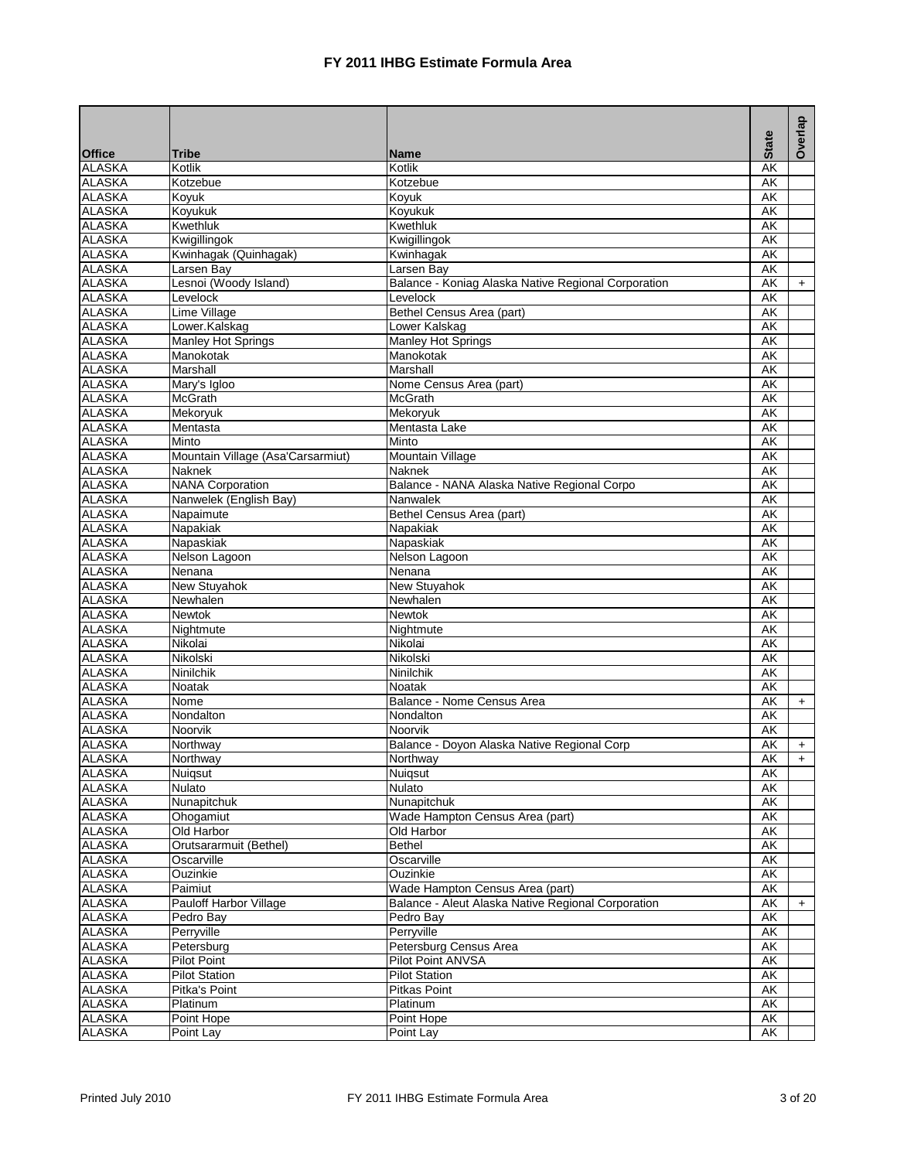|                                |                                   |                                                     | <b>State</b>             | Overlap   |
|--------------------------------|-----------------------------------|-----------------------------------------------------|--------------------------|-----------|
| <b>Office</b>                  | <b>Tribe</b>                      | <b>Name</b>                                         |                          |           |
| <b>ALASKA</b>                  | Kotlik                            | Kotlik                                              | AK                       |           |
| <b>ALASKA</b>                  | Kotzebue                          | Kotzebue                                            | AK                       |           |
| <b>ALASKA</b>                  | Koyuk                             | Koyuk                                               | AK                       |           |
| <b>ALASKA</b>                  | Kovukuk                           | Koyukuk                                             | AK                       |           |
| <b>ALASKA</b>                  | Kwethluk                          | Kwethluk                                            | AK                       |           |
| <b>ALASKA</b>                  | Kwigillingok                      | Kwigillingok                                        | <b>AK</b>                |           |
| <b>ALASKA</b>                  | Kwinhagak (Quinhagak)             | Kwinhagak                                           | AK                       |           |
| <b>ALASKA</b>                  | Larsen Bay                        | Larsen Bay                                          | $\overline{\mathsf{AK}}$ |           |
| <b>ALASKA</b>                  | Lesnoi (Woody Island)             | Balance - Koniag Alaska Native Regional Corporation | AK                       | $+$       |
| <b>ALASKA</b>                  | Levelock                          | Levelock                                            | $\overline{\mathsf{AK}}$ |           |
| <b>ALASKA</b>                  | Lime Village                      | Bethel Census Area (part)                           | AK                       |           |
| <b>ALASKA</b>                  | Lower.Kalskag                     | Lower Kalskag                                       | AK                       |           |
| <b>ALASKA</b>                  | Manley Hot Springs                | Manley Hot Springs                                  | AK                       |           |
| <b>ALASKA</b>                  | Manokotak                         | Manokotak                                           | $\overline{\mathsf{AK}}$ |           |
| <b>ALASKA</b>                  | Marshall                          | Marshall                                            | AK                       |           |
| <b>ALASKA</b>                  | Mary's Igloo                      | Nome Census Area (part)                             | AK                       |           |
| <b>ALASKA</b>                  | <b>McGrath</b>                    | <b>McGrath</b>                                      | <b>AK</b>                |           |
| <b>ALASKA</b>                  | Mekoryuk                          | Mekoryuk                                            | AK                       |           |
| <b>ALASKA</b>                  | Mentasta                          | Mentasta Lake                                       | $\overline{\mathsf{AK}}$ |           |
| <b>ALASKA</b>                  | Minto                             | Minto                                               | AK                       |           |
| <b>ALASKA</b>                  | Mountain Village (Asa'Carsarmiut) | <b>Mountain Village</b>                             | AK                       |           |
| <b>ALASKA</b>                  | <b>Naknek</b>                     | <b>Naknek</b>                                       | AK                       |           |
| <b>ALASKA</b>                  | <b>NANA Corporation</b>           | Balance - NANA Alaska Native Regional Corpo         | AK                       |           |
| <b>ALASKA</b>                  | Nanwelek (English Bay)            | Nanwalek                                            | AK                       |           |
| <b>ALASKA</b>                  | Napaimute                         | Bethel Census Area (part)                           | $\overline{\mathsf{AK}}$ |           |
| <b>ALASKA</b>                  | Napakiak                          | Napakiak                                            | AK                       |           |
| <b>ALASKA</b>                  | Napaskiak                         | Napaskiak                                           | AK                       |           |
| <b>ALASKA</b>                  | Nelson Lagoon                     | Nelson Lagoon                                       | $\overline{\mathsf{AK}}$ |           |
| <b>ALASKA</b>                  | Nenana                            | Nenana                                              | AK                       |           |
| <b>ALASKA</b>                  | <b>New Stuyahok</b>               | <b>New Stuyahok</b>                                 | AK                       |           |
| <b>ALASKA</b>                  | Newhalen                          | Newhalen                                            | <b>AK</b>                |           |
| <b>ALASKA</b><br><b>ALASKA</b> | Newtok                            | <b>Newtok</b>                                       | AK<br>AK                 |           |
|                                | Nightmute                         | Nightmute                                           |                          |           |
| <b>ALASKA</b><br><b>ALASKA</b> | Nikolai<br>Nikolski               | Nikolai<br>Nikolski                                 | AK<br>AK                 |           |
| <b>ALASKA</b>                  | Ninilchik                         | Ninilchik                                           | AK                       |           |
| <b>ALASKA</b>                  | <b>Noatak</b>                     | Noatak                                              | AK                       |           |
| <b>ALASKA</b>                  | Nome                              | Balance - Nome Census Area                          | AK                       | $+$       |
| <b>ALASKA</b>                  | Nondalton                         | Nondalton                                           | AK                       |           |
| <b>ALASKA</b>                  | Noorvik                           | Noorvik                                             | AK                       |           |
| <b>ALASKA</b>                  | Northway                          | Balance - Doyon Alaska Native Regional Corp         | AK                       | $\ddot{}$ |
| <b>ALASKA</b>                  | Northway                          | Northway                                            | $\overline{\mathsf{AK}}$ | $+$       |
| <b>ALASKA</b>                  | Nuiqsut                           | Nuigsut                                             | AK                       |           |
| <b>ALASKA</b>                  | Nulato                            | Nulato                                              | AK                       |           |
| <b>ALASKA</b>                  | Nunapitchuk                       | Nunapitchuk                                         | AK                       |           |
| <b>ALASKA</b>                  | Ohogamiut                         | Wade Hampton Census Area (part)                     | AK                       |           |
| <b>ALASKA</b>                  | Old Harbor                        | Old Harbor                                          | AK                       |           |
| <b>ALASKA</b>                  | Orutsararmuit (Bethel)            | Bethel                                              | AK                       |           |
| <b>ALASKA</b>                  | Oscarville                        | Oscarville                                          | AK                       |           |
| <b>ALASKA</b>                  | Ouzinkie                          | Ouzinkie                                            | <b>AK</b>                |           |
| <b>ALASKA</b>                  | Paimiut                           | Wade Hampton Census Area (part)                     | AK                       |           |
| <b>ALASKA</b>                  | Pauloff Harbor Village            | Balance - Aleut Alaska Native Regional Corporation  | AK                       | $\ddot{}$ |
| <b>ALASKA</b>                  | Pedro Bay                         | Pedro Bay                                           | AK                       |           |
| <b>ALASKA</b>                  | Perryville                        | Perryville                                          | AK                       |           |
| <b>ALASKA</b>                  | Petersburg                        | Petersburg Census Area                              | AK                       |           |
| <b>ALASKA</b>                  | <b>Pilot Point</b>                | <b>Pilot Point ANVSA</b>                            | AK                       |           |
| <b>ALASKA</b>                  | <b>Pilot Station</b>              | <b>Pilot Station</b>                                | AK                       |           |
| <b>ALASKA</b>                  | Pitka's Point                     | <b>Pitkas Point</b>                                 | AK                       |           |
| <b>ALASKA</b>                  | Platinum                          | Platinum                                            | AK                       |           |
| <b>ALASKA</b>                  | Point Hope                        | Point Hope                                          | AK                       |           |
| <b>ALASKA</b>                  | Point Lay                         | Point Lay                                           | AK                       |           |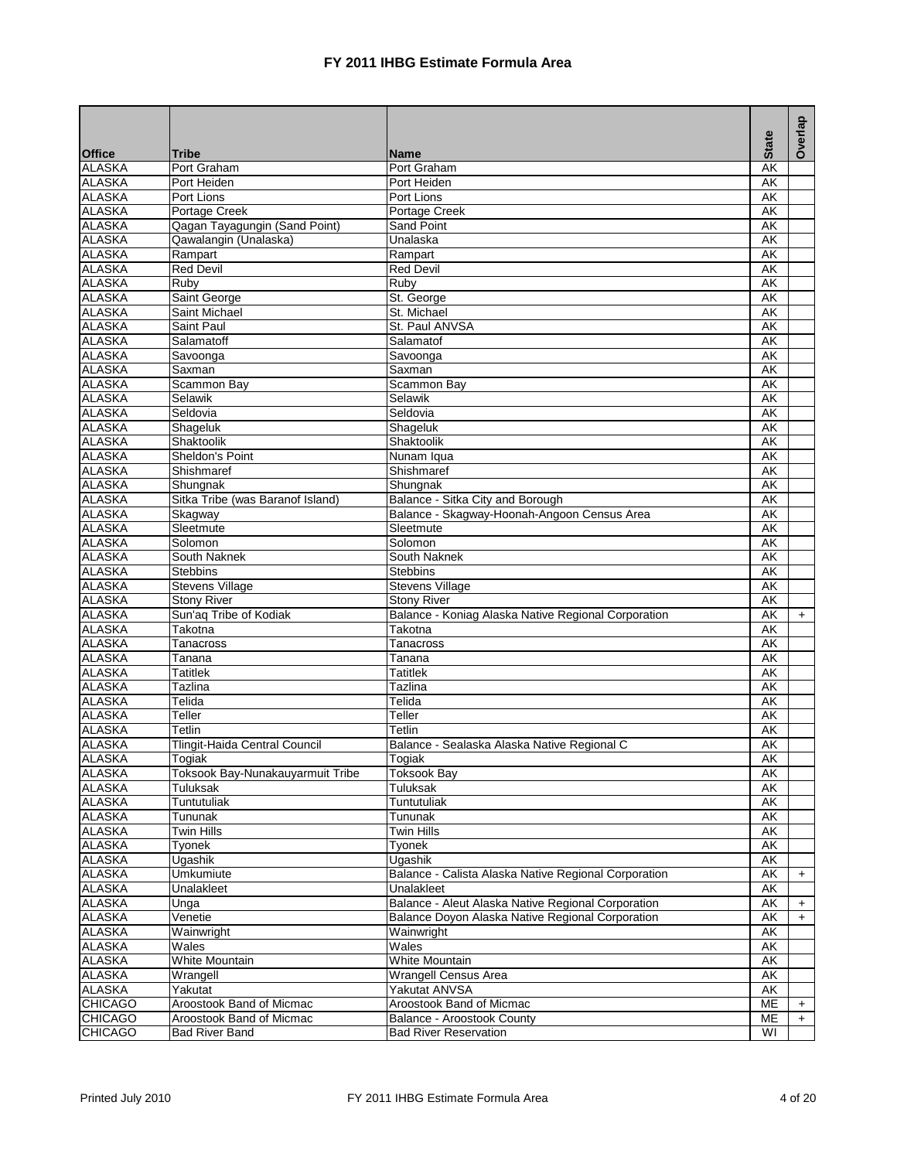|                                |                                             |                                                                                 | <b>State</b>                   | Overlap   |
|--------------------------------|---------------------------------------------|---------------------------------------------------------------------------------|--------------------------------|-----------|
| <b>Office</b>                  | Tribe                                       | <b>Name</b>                                                                     |                                |           |
| <b>ALASKA</b>                  | Port Graham                                 | Port Graham                                                                     | AK                             |           |
| <b>ALASKA</b>                  | Port Heiden                                 | Port Heiden                                                                     | AK                             |           |
| <b>ALASKA</b><br><b>ALASKA</b> | Port Lions<br>Portage Creek                 | Port Lions<br>Portage Creek                                                     | AK<br>AK                       |           |
| <b>ALASKA</b>                  | Qagan Tayagungin (Sand Point)               | Sand Point                                                                      | AK                             |           |
| <b>ALASKA</b>                  | Qawalangin (Unalaska)                       | Unalaska                                                                        | $\overline{\mathsf{AK}}$       |           |
| <b>ALASKA</b>                  | Rampart                                     | Rampart                                                                         | $\overline{\mathsf{AK}}$       |           |
| <b>ALASKA</b>                  | <b>Red Devil</b>                            | <b>Red Devil</b>                                                                | AK                             |           |
| <b>ALASKA</b>                  | Ruby                                        | Ruby                                                                            | AK                             |           |
| <b>ALASKA</b>                  | Saint George                                | St. George                                                                      | $\overline{\mathsf{AK}}$       |           |
| <b>ALASKA</b>                  | Saint Michael                               | St. Michael                                                                     | AK                             |           |
| <b>ALASKA</b>                  | Saint Paul                                  | St. Paul ANVSA                                                                  | $\overline{\mathsf{AK}}$       |           |
| <b>ALASKA</b>                  | Salamatoff                                  | Salamatof                                                                       | $\overline{\mathsf{AK}}$       |           |
| <b>ALASKA</b>                  | Savoonga                                    | Savoonga                                                                        | AK                             |           |
| <b>ALASKA</b>                  | Saxman                                      | Saxman                                                                          | AK                             |           |
| <b>ALASKA</b>                  | Scammon Bay                                 | Scammon Bay                                                                     | $\overline{\mathsf{AK}}$       |           |
| <b>ALASKA</b>                  | Selawik                                     | Selawik                                                                         | $\overline{\mathsf{AK}}$       |           |
| <b>ALASKA</b>                  | Seldovia                                    | Seldovia                                                                        | $\overline{\mathsf{AK}}$       |           |
| <b>ALASKA</b>                  | Shageluk                                    | Shageluk                                                                        | $\overline{\mathsf{AK}}$       |           |
| <b>ALASKA</b>                  | Shaktoolik                                  | Shaktoolik                                                                      | AK                             |           |
| <b>ALASKA</b>                  | Sheldon's Point                             | Nunam Iqua                                                                      | $\overline{\mathsf{AK}}$       |           |
| <b>ALASKA</b>                  | Shishmaref                                  | Shishmaref                                                                      | AK                             |           |
| <b>ALASKA</b>                  | Shungnak                                    | Shungnak                                                                        | AK                             |           |
| <b>ALASKA</b><br><b>ALASKA</b> | Sitka Tribe (was Baranof Island)<br>Skagway | Balance - Sitka City and Borough<br>Balance - Skagway-Hoonah-Angoon Census Area | $\overline{\mathsf{AK}}$<br>AK |           |
|                                | Sleetmute                                   | Sleetmute                                                                       | AK                             |           |
| <b>ALASKA</b><br><b>ALASKA</b> | Solomon                                     | Solomon                                                                         | AK                             |           |
| <b>ALASKA</b>                  | South Naknek                                | South Naknek                                                                    | AK                             |           |
| <b>ALASKA</b>                  | <b>Stebbins</b>                             | <b>Stebbins</b>                                                                 | AK                             |           |
| <b>ALASKA</b>                  | <b>Stevens Village</b>                      | <b>Stevens Village</b>                                                          | AK                             |           |
| <b>ALASKA</b>                  | <b>Stony River</b>                          | <b>Stony River</b>                                                              | $\overline{\mathsf{AK}}$       |           |
| <b>ALASKA</b>                  | Sun'aq Tribe of Kodiak                      | Balance - Koniag Alaska Native Regional Corporation                             | AK                             | $+$       |
| <b>ALASKA</b>                  | Takotna                                     | Takotna                                                                         | $\overline{\mathsf{AK}}$       |           |
| <b>ALASKA</b>                  | Tanacross                                   | Tanacross                                                                       | AK                             |           |
| <b>ALASKA</b>                  | Tanana                                      | Tanana                                                                          | $\overline{\mathsf{AK}}$       |           |
| <b>ALASKA</b>                  | Tatitlek                                    | <b>Tatitlek</b>                                                                 | $\overline{\mathsf{AK}}$       |           |
| <b>ALASKA</b>                  | <b>Tazlina</b>                              | <b>Tazlina</b>                                                                  | $\overline{\mathsf{AK}}$       |           |
| <b>ALASKA</b>                  | Telida                                      | Telida                                                                          | $\overline{\mathsf{AK}}$       |           |
| <b>ALASKA</b>                  | Teller                                      | Teller                                                                          | AK                             |           |
| <b>ALASKA</b>                  | Tetlin                                      | Tetlin                                                                          | AK                             |           |
| <b>ALASKA</b>                  | <b>Tlingit-Haida Central Council</b>        | Balance - Sealaska Alaska Native Regional C                                     | $\overline{\mathsf{AK}}$       |           |
| <b>ALASKA</b>                  | Togiak                                      | Togiak                                                                          | $\overline{\mathsf{AK}}$       |           |
| <b>ALASKA</b>                  | Toksook Bay-Nunakauyarmuit Tribe            | <b>Toksook Bay</b>                                                              | AK                             |           |
| <b>ALASKA</b>                  | Tuluksak                                    | Tuluksak<br>Tuntutuliak                                                         | AΚ                             |           |
| <b>ALASKA</b><br><b>ALASKA</b> | Tuntutuliak<br>Tununak                      | Tununak                                                                         | AK<br>AK                       |           |
| <b>ALASKA</b>                  | Twin Hills                                  | <b>Twin Hills</b>                                                               | AK                             |           |
| <b>ALASKA</b>                  | Tyonek                                      | <b>Tyonek</b>                                                                   | AK                             |           |
| <b>ALASKA</b>                  | Ugashik                                     | Ugashik                                                                         | AK                             |           |
| <b>ALASKA</b>                  | Umkumiute                                   | Balance - Calista Alaska Native Regional Corporation                            | AK                             | $+$       |
| <b>ALASKA</b>                  | Unalakleet                                  | Unalakleet                                                                      | AΚ                             |           |
| <b>ALASKA</b>                  | Unga                                        | Balance - Aleut Alaska Native Regional Corporation                              | AK                             | +         |
| <b>ALASKA</b>                  | Venetie                                     | Balance Doyon Alaska Native Regional Corporation                                | AK                             | $+$       |
| <b>ALASKA</b>                  | Wainwright                                  | Wainwright                                                                      | AK                             |           |
| <b>ALASKA</b>                  | Wales                                       | Wales                                                                           | AK                             |           |
| <b>ALASKA</b>                  | White Mountain                              | <b>White Mountain</b>                                                           | AK                             |           |
| <b>ALASKA</b>                  | Wrangell                                    | <b>Wrangell Census Area</b>                                                     | AK                             |           |
| <b>ALASKA</b>                  | Yakutat                                     | Yakutat ANVSA                                                                   | AΚ                             |           |
| <b>CHICAGO</b>                 | Aroostook Band of Micmac                    | Aroostook Band of Micmac                                                        | ME                             | $+$       |
| <b>CHICAGO</b>                 | Aroostook Band of Micmac                    | Balance - Aroostook County                                                      | ME                             | $\ddot{}$ |
| <b>CHICAGO</b>                 | <b>Bad River Band</b>                       | <b>Bad River Reservation</b>                                                    | $\overline{\mathsf{W}}$        |           |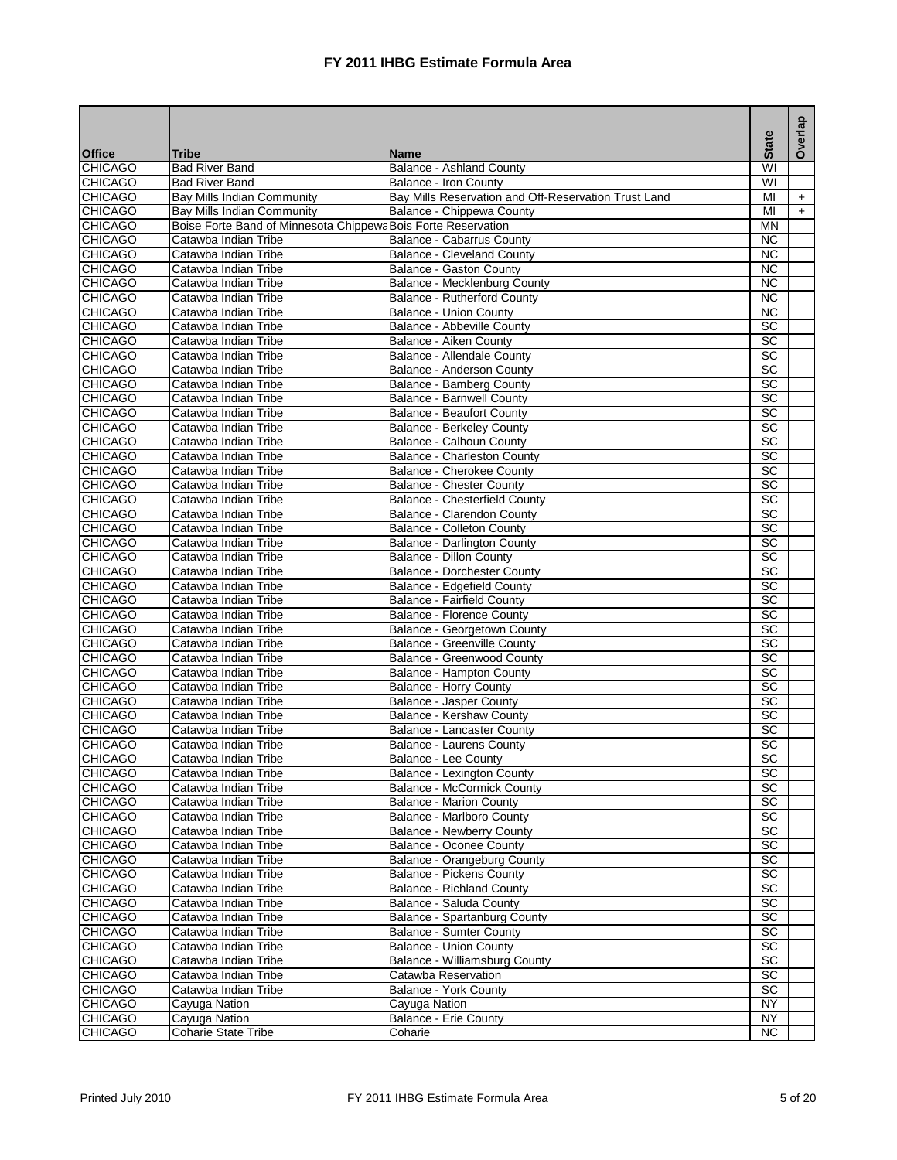| <b>State</b><br>Tribe<br><b>Name</b><br><b>Bad River Band</b><br><b>Balance - Ashland County</b><br>WI<br>$\overline{\mathsf{W}}$<br><b>CHICAGO</b><br><b>Bad River Band</b><br>Balance - Iron County<br>Bay Mills Indian Community<br>Bay Mills Reservation and Off-Reservation Trust Land<br>MI<br>$+$<br>Balance - Chippewa County<br>MI<br><b>Bay Mills Indian Community</b><br>$+$<br><b>CHICAGO</b><br>Boise Forte Band of Minnesota Chippewa Bois Forte Reservation<br><b>MN</b><br>Catawba Indian Tribe<br>Balance - Cabarrus County<br><b>NC</b><br><b>CHICAGO</b><br><b>NC</b><br>Catawba Indian Tribe<br><b>Balance - Cleveland County</b><br>$\overline{NC}$<br><b>CHICAGO</b><br>Catawba Indian Tribe<br><b>Balance - Gaston County</b><br><b>CHICAGO</b><br><b>NC</b><br>Catawba Indian Tribe<br>Balance - Mecklenburg County<br>$\overline{NC}$<br><b>CHICAGO</b><br>Catawba Indian Tribe<br>Balance - Rutherford County<br>$\overline{NC}$<br><b>CHICAGO</b><br><b>Balance - Union County</b><br>Catawba Indian Tribe<br><b>CHICAGO</b><br>Balance - Abbeville County<br>SC<br>Catawba Indian Tribe<br>$\overline{SC}$<br><b>CHICAGO</b><br>Catawba Indian Tribe<br>Balance - Aiken County<br>$\overline{SC}$<br><b>CHICAGO</b><br>Catawba Indian Tribe<br>Balance - Allendale County<br>$\overline{SC}$<br><b>CHICAGO</b><br>Catawba Indian Tribe<br>Balance - Anderson County<br>$\overline{SC}$<br><b>CHICAGO</b><br>Catawba Indian Tribe<br>Balance - Bamberg County<br>$\overline{SC}$<br><b>CHICAGO</b><br>Catawba Indian Tribe<br><b>Balance - Barnwell County</b><br>$\overline{SC}$<br><b>CHICAGO</b><br>Catawba Indian Tribe<br><b>Balance - Beaufort County</b><br>$\overline{SC}$<br><b>CHICAGO</b><br><b>Balance - Berkeley County</b><br>Catawba Indian Tribe<br>$\overline{SC}$<br><b>CHICAGO</b><br>Balance - Calhoun County<br>Catawba Indian Tribe<br>$\overline{SC}$<br><b>CHICAGO</b><br>Catawba Indian Tribe<br><b>Balance - Charleston County</b><br><b>CHICAGO</b><br><b>SC</b><br>Balance - Cherokee County<br>Catawba Indian Tribe<br><b>CHICAGO</b><br>SC<br>Catawba Indian Tribe<br><b>Balance - Chester County</b><br>$\overline{SC}$<br><b>CHICAGO</b><br>Catawba Indian Tribe<br>Balance - Chesterfield County<br>$\overline{SC}$<br><b>CHICAGO</b><br>Catawba Indian Tribe<br>Balance - Clarendon County<br><b>CHICAGO</b><br><b>Balance - Colleton County</b><br>Catawba Indian Tribe<br>SC<br>$\overline{SC}$<br><b>CHICAGO</b><br>Balance - Darlington County<br>Catawba Indian Tribe<br>$\overline{SC}$<br><b>CHICAGO</b><br>Catawba Indian Tribe<br>Balance - Dillon County<br>$\overline{SC}$<br><b>Balance - Dorchester County</b><br><b>CHICAGO</b><br>Catawba Indian Tribe<br>SC<br><b>CHICAGO</b><br>Balance - Edgefield County<br>Catawba Indian Tribe<br>$\overline{SC}$<br><b>CHICAGO</b><br><b>Balance - Fairfield County</b><br>Catawba Indian Tribe<br>$\overline{SC}$<br><b>CHICAGO</b><br>Catawba Indian Tribe<br><b>Balance - Florence County</b><br>SC<br><b>CHICAGO</b><br>Catawba Indian Tribe<br>Balance - Georgetown County<br>SC<br><b>CHICAGO</b><br>Catawba Indian Tribe<br>Balance - Greenville County<br>$\overline{SC}$<br><b>CHICAGO</b><br>Balance - Greenwood County<br>Catawba Indian Tribe<br>$\overline{SC}$<br><b>CHICAGO</b><br>Catawba Indian Tribe<br>Balance - Hampton County<br><b>CHICAGO</b><br>SC<br>Catawba Indian Tribe<br><b>Balance - Horry County</b><br>$\overline{SC}$<br><b>CHICAGO</b><br>Catawba Indian Tribe<br><b>Balance - Jasper County</b><br>$\overline{SC}$<br><b>CHICAGO</b><br>Catawba Indian Tribe<br>Balance - Kershaw County<br>$\overline{SC}$<br><b>CHICAGO</b><br>Catawba Indian Tribe<br>Balance - Lancaster County<br>$\overline{SC}$<br><b>CHICAGO</b><br>Catawba Indian Tribe<br>Balance - Laurens County<br>SC<br><b>CHICAGO</b><br>Catawba Indian Tribe<br>Balance - Lee County<br><b>CHICAGO</b><br>SC<br><b>Balance - Lexington County</b><br>Catawba Indian Tribe<br>SC<br><b>CHICAGO</b><br>Catawba Indian Tribe<br><b>Balance - McCormick County</b><br><b>CHICAGO</b><br>SC<br>Catawba Indian Tribe<br><b>Balance - Marion County</b><br>SC<br><b>CHICAGO</b><br>Catawba Indian Tribe<br>Balance - Marlboro County<br><b>CHICAGO</b><br><b>SC</b><br>Catawba Indian Tribe<br><b>Balance - Newberry County</b><br><b>CHICAGO</b><br>SC<br>Catawba Indian Tribe<br><b>Balance - Oconee County</b><br>SC<br><b>CHICAGO</b><br>Catawba Indian Tribe<br>Balance - Orangeburg County<br>SC<br><b>CHICAGO</b><br><b>Balance - Pickens County</b><br>Catawba Indian Tribe<br><b>CHICAGO</b><br>Catawba Indian Tribe<br><b>Balance - Richland County</b><br>SC<br>SC<br><b>CHICAGO</b><br>Catawba Indian Tribe<br>Balance - Saluda County<br>SC<br><b>CHICAGO</b><br>Catawba Indian Tribe<br><b>Balance - Spartanburg County</b><br>$\overline{SC}$<br><b>CHICAGO</b><br>Catawba Indian Tribe<br><b>Balance - Sumter County</b><br>SC<br><b>CHICAGO</b><br>Catawba Indian Tribe<br><b>Balance - Union County</b><br>SC<br><b>CHICAGO</b><br>Catawba Indian Tribe<br>Balance - Williamsburg County<br>SC<br><b>CHICAGO</b><br>Catawba Indian Tribe<br>Catawba Reservation<br><b>SC</b><br><b>CHICAGO</b><br>Catawba Indian Tribe<br>Balance - York County<br>CHICAGO<br>Cayuga Nation<br>Cayuga Nation<br>NY<br><b>CHICAGO</b><br><b>NY</b><br>Cayuga Nation<br>Balance - Erie County<br><b>Coharie State Tribe</b><br><b>NC</b><br>Coharie |                |  | Overlap |
|--------------------------------------------------------------------------------------------------------------------------------------------------------------------------------------------------------------------------------------------------------------------------------------------------------------------------------------------------------------------------------------------------------------------------------------------------------------------------------------------------------------------------------------------------------------------------------------------------------------------------------------------------------------------------------------------------------------------------------------------------------------------------------------------------------------------------------------------------------------------------------------------------------------------------------------------------------------------------------------------------------------------------------------------------------------------------------------------------------------------------------------------------------------------------------------------------------------------------------------------------------------------------------------------------------------------------------------------------------------------------------------------------------------------------------------------------------------------------------------------------------------------------------------------------------------------------------------------------------------------------------------------------------------------------------------------------------------------------------------------------------------------------------------------------------------------------------------------------------------------------------------------------------------------------------------------------------------------------------------------------------------------------------------------------------------------------------------------------------------------------------------------------------------------------------------------------------------------------------------------------------------------------------------------------------------------------------------------------------------------------------------------------------------------------------------------------------------------------------------------------------------------------------------------------------------------------------------------------------------------------------------------------------------------------------------------------------------------------------------------------------------------------------------------------------------------------------------------------------------------------------------------------------------------------------------------------------------------------------------------------------------------------------------------------------------------------------------------------------------------------------------------------------------------------------------------------------------------------------------------------------------------------------------------------------------------------------------------------------------------------------------------------------------------------------------------------------------------------------------------------------------------------------------------------------------------------------------------------------------------------------------------------------------------------------------------------------------------------------------------------------------------------------------------------------------------------------------------------------------------------------------------------------------------------------------------------------------------------------------------------------------------------------------------------------------------------------------------------------------------------------------------------------------------------------------------------------------------------------------------------------------------------------------------------------------------------------------------------------------------------------------------------------------------------------------------------------------------------------------------------------------------------------------------------------------------------------------------------------------------------------------------------------------------------------------------------------------------------------------------------------------------------------------------------------------------------------------------------------------------------------------------------------------------------------------------------------------------------------------------------------------------------------------------------------------------------------------------------------------------------------------------------------------------------------------------------------------------------------------------------------------------------------------------------------------------------------------------------------------------------------------------------------------------------------------------------------------------|----------------|--|---------|
|                                                                                                                                                                                                                                                                                                                                                                                                                                                                                                                                                                                                                                                                                                                                                                                                                                                                                                                                                                                                                                                                                                                                                                                                                                                                                                                                                                                                                                                                                                                                                                                                                                                                                                                                                                                                                                                                                                                                                                                                                                                                                                                                                                                                                                                                                                                                                                                                                                                                                                                                                                                                                                                                                                                                                                                                                                                                                                                                                                                                                                                                                                                                                                                                                                                                                                                                                                                                                                                                                                                                                                                                                                                                                                                                                                                                                                                                                                                                                                                                                                                                                                                                                                                                                                                                                                                                                                                                                                                                                                                                                                                                                                                                                                                                                                                                                                                                                                                                                                                                                                                                                                                                                                                                                                                                                                                                                                                                                                                                    | <b>Office</b>  |  |         |
|                                                                                                                                                                                                                                                                                                                                                                                                                                                                                                                                                                                                                                                                                                                                                                                                                                                                                                                                                                                                                                                                                                                                                                                                                                                                                                                                                                                                                                                                                                                                                                                                                                                                                                                                                                                                                                                                                                                                                                                                                                                                                                                                                                                                                                                                                                                                                                                                                                                                                                                                                                                                                                                                                                                                                                                                                                                                                                                                                                                                                                                                                                                                                                                                                                                                                                                                                                                                                                                                                                                                                                                                                                                                                                                                                                                                                                                                                                                                                                                                                                                                                                                                                                                                                                                                                                                                                                                                                                                                                                                                                                                                                                                                                                                                                                                                                                                                                                                                                                                                                                                                                                                                                                                                                                                                                                                                                                                                                                                                    | <b>CHICAGO</b> |  |         |
|                                                                                                                                                                                                                                                                                                                                                                                                                                                                                                                                                                                                                                                                                                                                                                                                                                                                                                                                                                                                                                                                                                                                                                                                                                                                                                                                                                                                                                                                                                                                                                                                                                                                                                                                                                                                                                                                                                                                                                                                                                                                                                                                                                                                                                                                                                                                                                                                                                                                                                                                                                                                                                                                                                                                                                                                                                                                                                                                                                                                                                                                                                                                                                                                                                                                                                                                                                                                                                                                                                                                                                                                                                                                                                                                                                                                                                                                                                                                                                                                                                                                                                                                                                                                                                                                                                                                                                                                                                                                                                                                                                                                                                                                                                                                                                                                                                                                                                                                                                                                                                                                                                                                                                                                                                                                                                                                                                                                                                                                    |                |  |         |
|                                                                                                                                                                                                                                                                                                                                                                                                                                                                                                                                                                                                                                                                                                                                                                                                                                                                                                                                                                                                                                                                                                                                                                                                                                                                                                                                                                                                                                                                                                                                                                                                                                                                                                                                                                                                                                                                                                                                                                                                                                                                                                                                                                                                                                                                                                                                                                                                                                                                                                                                                                                                                                                                                                                                                                                                                                                                                                                                                                                                                                                                                                                                                                                                                                                                                                                                                                                                                                                                                                                                                                                                                                                                                                                                                                                                                                                                                                                                                                                                                                                                                                                                                                                                                                                                                                                                                                                                                                                                                                                                                                                                                                                                                                                                                                                                                                                                                                                                                                                                                                                                                                                                                                                                                                                                                                                                                                                                                                                                    | <b>CHICAGO</b> |  |         |
|                                                                                                                                                                                                                                                                                                                                                                                                                                                                                                                                                                                                                                                                                                                                                                                                                                                                                                                                                                                                                                                                                                                                                                                                                                                                                                                                                                                                                                                                                                                                                                                                                                                                                                                                                                                                                                                                                                                                                                                                                                                                                                                                                                                                                                                                                                                                                                                                                                                                                                                                                                                                                                                                                                                                                                                                                                                                                                                                                                                                                                                                                                                                                                                                                                                                                                                                                                                                                                                                                                                                                                                                                                                                                                                                                                                                                                                                                                                                                                                                                                                                                                                                                                                                                                                                                                                                                                                                                                                                                                                                                                                                                                                                                                                                                                                                                                                                                                                                                                                                                                                                                                                                                                                                                                                                                                                                                                                                                                                                    | <b>CHICAGO</b> |  |         |
|                                                                                                                                                                                                                                                                                                                                                                                                                                                                                                                                                                                                                                                                                                                                                                                                                                                                                                                                                                                                                                                                                                                                                                                                                                                                                                                                                                                                                                                                                                                                                                                                                                                                                                                                                                                                                                                                                                                                                                                                                                                                                                                                                                                                                                                                                                                                                                                                                                                                                                                                                                                                                                                                                                                                                                                                                                                                                                                                                                                                                                                                                                                                                                                                                                                                                                                                                                                                                                                                                                                                                                                                                                                                                                                                                                                                                                                                                                                                                                                                                                                                                                                                                                                                                                                                                                                                                                                                                                                                                                                                                                                                                                                                                                                                                                                                                                                                                                                                                                                                                                                                                                                                                                                                                                                                                                                                                                                                                                                                    |                |  |         |
|                                                                                                                                                                                                                                                                                                                                                                                                                                                                                                                                                                                                                                                                                                                                                                                                                                                                                                                                                                                                                                                                                                                                                                                                                                                                                                                                                                                                                                                                                                                                                                                                                                                                                                                                                                                                                                                                                                                                                                                                                                                                                                                                                                                                                                                                                                                                                                                                                                                                                                                                                                                                                                                                                                                                                                                                                                                                                                                                                                                                                                                                                                                                                                                                                                                                                                                                                                                                                                                                                                                                                                                                                                                                                                                                                                                                                                                                                                                                                                                                                                                                                                                                                                                                                                                                                                                                                                                                                                                                                                                                                                                                                                                                                                                                                                                                                                                                                                                                                                                                                                                                                                                                                                                                                                                                                                                                                                                                                                                                    | <b>CHICAGO</b> |  |         |
|                                                                                                                                                                                                                                                                                                                                                                                                                                                                                                                                                                                                                                                                                                                                                                                                                                                                                                                                                                                                                                                                                                                                                                                                                                                                                                                                                                                                                                                                                                                                                                                                                                                                                                                                                                                                                                                                                                                                                                                                                                                                                                                                                                                                                                                                                                                                                                                                                                                                                                                                                                                                                                                                                                                                                                                                                                                                                                                                                                                                                                                                                                                                                                                                                                                                                                                                                                                                                                                                                                                                                                                                                                                                                                                                                                                                                                                                                                                                                                                                                                                                                                                                                                                                                                                                                                                                                                                                                                                                                                                                                                                                                                                                                                                                                                                                                                                                                                                                                                                                                                                                                                                                                                                                                                                                                                                                                                                                                                                                    |                |  |         |
|                                                                                                                                                                                                                                                                                                                                                                                                                                                                                                                                                                                                                                                                                                                                                                                                                                                                                                                                                                                                                                                                                                                                                                                                                                                                                                                                                                                                                                                                                                                                                                                                                                                                                                                                                                                                                                                                                                                                                                                                                                                                                                                                                                                                                                                                                                                                                                                                                                                                                                                                                                                                                                                                                                                                                                                                                                                                                                                                                                                                                                                                                                                                                                                                                                                                                                                                                                                                                                                                                                                                                                                                                                                                                                                                                                                                                                                                                                                                                                                                                                                                                                                                                                                                                                                                                                                                                                                                                                                                                                                                                                                                                                                                                                                                                                                                                                                                                                                                                                                                                                                                                                                                                                                                                                                                                                                                                                                                                                                                    |                |  |         |
|                                                                                                                                                                                                                                                                                                                                                                                                                                                                                                                                                                                                                                                                                                                                                                                                                                                                                                                                                                                                                                                                                                                                                                                                                                                                                                                                                                                                                                                                                                                                                                                                                                                                                                                                                                                                                                                                                                                                                                                                                                                                                                                                                                                                                                                                                                                                                                                                                                                                                                                                                                                                                                                                                                                                                                                                                                                                                                                                                                                                                                                                                                                                                                                                                                                                                                                                                                                                                                                                                                                                                                                                                                                                                                                                                                                                                                                                                                                                                                                                                                                                                                                                                                                                                                                                                                                                                                                                                                                                                                                                                                                                                                                                                                                                                                                                                                                                                                                                                                                                                                                                                                                                                                                                                                                                                                                                                                                                                                                                    |                |  |         |
|                                                                                                                                                                                                                                                                                                                                                                                                                                                                                                                                                                                                                                                                                                                                                                                                                                                                                                                                                                                                                                                                                                                                                                                                                                                                                                                                                                                                                                                                                                                                                                                                                                                                                                                                                                                                                                                                                                                                                                                                                                                                                                                                                                                                                                                                                                                                                                                                                                                                                                                                                                                                                                                                                                                                                                                                                                                                                                                                                                                                                                                                                                                                                                                                                                                                                                                                                                                                                                                                                                                                                                                                                                                                                                                                                                                                                                                                                                                                                                                                                                                                                                                                                                                                                                                                                                                                                                                                                                                                                                                                                                                                                                                                                                                                                                                                                                                                                                                                                                                                                                                                                                                                                                                                                                                                                                                                                                                                                                                                    |                |  |         |
|                                                                                                                                                                                                                                                                                                                                                                                                                                                                                                                                                                                                                                                                                                                                                                                                                                                                                                                                                                                                                                                                                                                                                                                                                                                                                                                                                                                                                                                                                                                                                                                                                                                                                                                                                                                                                                                                                                                                                                                                                                                                                                                                                                                                                                                                                                                                                                                                                                                                                                                                                                                                                                                                                                                                                                                                                                                                                                                                                                                                                                                                                                                                                                                                                                                                                                                                                                                                                                                                                                                                                                                                                                                                                                                                                                                                                                                                                                                                                                                                                                                                                                                                                                                                                                                                                                                                                                                                                                                                                                                                                                                                                                                                                                                                                                                                                                                                                                                                                                                                                                                                                                                                                                                                                                                                                                                                                                                                                                                                    |                |  |         |
|                                                                                                                                                                                                                                                                                                                                                                                                                                                                                                                                                                                                                                                                                                                                                                                                                                                                                                                                                                                                                                                                                                                                                                                                                                                                                                                                                                                                                                                                                                                                                                                                                                                                                                                                                                                                                                                                                                                                                                                                                                                                                                                                                                                                                                                                                                                                                                                                                                                                                                                                                                                                                                                                                                                                                                                                                                                                                                                                                                                                                                                                                                                                                                                                                                                                                                                                                                                                                                                                                                                                                                                                                                                                                                                                                                                                                                                                                                                                                                                                                                                                                                                                                                                                                                                                                                                                                                                                                                                                                                                                                                                                                                                                                                                                                                                                                                                                                                                                                                                                                                                                                                                                                                                                                                                                                                                                                                                                                                                                    |                |  |         |
|                                                                                                                                                                                                                                                                                                                                                                                                                                                                                                                                                                                                                                                                                                                                                                                                                                                                                                                                                                                                                                                                                                                                                                                                                                                                                                                                                                                                                                                                                                                                                                                                                                                                                                                                                                                                                                                                                                                                                                                                                                                                                                                                                                                                                                                                                                                                                                                                                                                                                                                                                                                                                                                                                                                                                                                                                                                                                                                                                                                                                                                                                                                                                                                                                                                                                                                                                                                                                                                                                                                                                                                                                                                                                                                                                                                                                                                                                                                                                                                                                                                                                                                                                                                                                                                                                                                                                                                                                                                                                                                                                                                                                                                                                                                                                                                                                                                                                                                                                                                                                                                                                                                                                                                                                                                                                                                                                                                                                                                                    |                |  |         |
|                                                                                                                                                                                                                                                                                                                                                                                                                                                                                                                                                                                                                                                                                                                                                                                                                                                                                                                                                                                                                                                                                                                                                                                                                                                                                                                                                                                                                                                                                                                                                                                                                                                                                                                                                                                                                                                                                                                                                                                                                                                                                                                                                                                                                                                                                                                                                                                                                                                                                                                                                                                                                                                                                                                                                                                                                                                                                                                                                                                                                                                                                                                                                                                                                                                                                                                                                                                                                                                                                                                                                                                                                                                                                                                                                                                                                                                                                                                                                                                                                                                                                                                                                                                                                                                                                                                                                                                                                                                                                                                                                                                                                                                                                                                                                                                                                                                                                                                                                                                                                                                                                                                                                                                                                                                                                                                                                                                                                                                                    |                |  |         |
|                                                                                                                                                                                                                                                                                                                                                                                                                                                                                                                                                                                                                                                                                                                                                                                                                                                                                                                                                                                                                                                                                                                                                                                                                                                                                                                                                                                                                                                                                                                                                                                                                                                                                                                                                                                                                                                                                                                                                                                                                                                                                                                                                                                                                                                                                                                                                                                                                                                                                                                                                                                                                                                                                                                                                                                                                                                                                                                                                                                                                                                                                                                                                                                                                                                                                                                                                                                                                                                                                                                                                                                                                                                                                                                                                                                                                                                                                                                                                                                                                                                                                                                                                                                                                                                                                                                                                                                                                                                                                                                                                                                                                                                                                                                                                                                                                                                                                                                                                                                                                                                                                                                                                                                                                                                                                                                                                                                                                                                                    |                |  |         |
|                                                                                                                                                                                                                                                                                                                                                                                                                                                                                                                                                                                                                                                                                                                                                                                                                                                                                                                                                                                                                                                                                                                                                                                                                                                                                                                                                                                                                                                                                                                                                                                                                                                                                                                                                                                                                                                                                                                                                                                                                                                                                                                                                                                                                                                                                                                                                                                                                                                                                                                                                                                                                                                                                                                                                                                                                                                                                                                                                                                                                                                                                                                                                                                                                                                                                                                                                                                                                                                                                                                                                                                                                                                                                                                                                                                                                                                                                                                                                                                                                                                                                                                                                                                                                                                                                                                                                                                                                                                                                                                                                                                                                                                                                                                                                                                                                                                                                                                                                                                                                                                                                                                                                                                                                                                                                                                                                                                                                                                                    |                |  |         |
|                                                                                                                                                                                                                                                                                                                                                                                                                                                                                                                                                                                                                                                                                                                                                                                                                                                                                                                                                                                                                                                                                                                                                                                                                                                                                                                                                                                                                                                                                                                                                                                                                                                                                                                                                                                                                                                                                                                                                                                                                                                                                                                                                                                                                                                                                                                                                                                                                                                                                                                                                                                                                                                                                                                                                                                                                                                                                                                                                                                                                                                                                                                                                                                                                                                                                                                                                                                                                                                                                                                                                                                                                                                                                                                                                                                                                                                                                                                                                                                                                                                                                                                                                                                                                                                                                                                                                                                                                                                                                                                                                                                                                                                                                                                                                                                                                                                                                                                                                                                                                                                                                                                                                                                                                                                                                                                                                                                                                                                                    |                |  |         |
|                                                                                                                                                                                                                                                                                                                                                                                                                                                                                                                                                                                                                                                                                                                                                                                                                                                                                                                                                                                                                                                                                                                                                                                                                                                                                                                                                                                                                                                                                                                                                                                                                                                                                                                                                                                                                                                                                                                                                                                                                                                                                                                                                                                                                                                                                                                                                                                                                                                                                                                                                                                                                                                                                                                                                                                                                                                                                                                                                                                                                                                                                                                                                                                                                                                                                                                                                                                                                                                                                                                                                                                                                                                                                                                                                                                                                                                                                                                                                                                                                                                                                                                                                                                                                                                                                                                                                                                                                                                                                                                                                                                                                                                                                                                                                                                                                                                                                                                                                                                                                                                                                                                                                                                                                                                                                                                                                                                                                                                                    |                |  |         |
|                                                                                                                                                                                                                                                                                                                                                                                                                                                                                                                                                                                                                                                                                                                                                                                                                                                                                                                                                                                                                                                                                                                                                                                                                                                                                                                                                                                                                                                                                                                                                                                                                                                                                                                                                                                                                                                                                                                                                                                                                                                                                                                                                                                                                                                                                                                                                                                                                                                                                                                                                                                                                                                                                                                                                                                                                                                                                                                                                                                                                                                                                                                                                                                                                                                                                                                                                                                                                                                                                                                                                                                                                                                                                                                                                                                                                                                                                                                                                                                                                                                                                                                                                                                                                                                                                                                                                                                                                                                                                                                                                                                                                                                                                                                                                                                                                                                                                                                                                                                                                                                                                                                                                                                                                                                                                                                                                                                                                                                                    |                |  |         |
|                                                                                                                                                                                                                                                                                                                                                                                                                                                                                                                                                                                                                                                                                                                                                                                                                                                                                                                                                                                                                                                                                                                                                                                                                                                                                                                                                                                                                                                                                                                                                                                                                                                                                                                                                                                                                                                                                                                                                                                                                                                                                                                                                                                                                                                                                                                                                                                                                                                                                                                                                                                                                                                                                                                                                                                                                                                                                                                                                                                                                                                                                                                                                                                                                                                                                                                                                                                                                                                                                                                                                                                                                                                                                                                                                                                                                                                                                                                                                                                                                                                                                                                                                                                                                                                                                                                                                                                                                                                                                                                                                                                                                                                                                                                                                                                                                                                                                                                                                                                                                                                                                                                                                                                                                                                                                                                                                                                                                                                                    |                |  |         |
|                                                                                                                                                                                                                                                                                                                                                                                                                                                                                                                                                                                                                                                                                                                                                                                                                                                                                                                                                                                                                                                                                                                                                                                                                                                                                                                                                                                                                                                                                                                                                                                                                                                                                                                                                                                                                                                                                                                                                                                                                                                                                                                                                                                                                                                                                                                                                                                                                                                                                                                                                                                                                                                                                                                                                                                                                                                                                                                                                                                                                                                                                                                                                                                                                                                                                                                                                                                                                                                                                                                                                                                                                                                                                                                                                                                                                                                                                                                                                                                                                                                                                                                                                                                                                                                                                                                                                                                                                                                                                                                                                                                                                                                                                                                                                                                                                                                                                                                                                                                                                                                                                                                                                                                                                                                                                                                                                                                                                                                                    |                |  |         |
|                                                                                                                                                                                                                                                                                                                                                                                                                                                                                                                                                                                                                                                                                                                                                                                                                                                                                                                                                                                                                                                                                                                                                                                                                                                                                                                                                                                                                                                                                                                                                                                                                                                                                                                                                                                                                                                                                                                                                                                                                                                                                                                                                                                                                                                                                                                                                                                                                                                                                                                                                                                                                                                                                                                                                                                                                                                                                                                                                                                                                                                                                                                                                                                                                                                                                                                                                                                                                                                                                                                                                                                                                                                                                                                                                                                                                                                                                                                                                                                                                                                                                                                                                                                                                                                                                                                                                                                                                                                                                                                                                                                                                                                                                                                                                                                                                                                                                                                                                                                                                                                                                                                                                                                                                                                                                                                                                                                                                                                                    |                |  |         |
|                                                                                                                                                                                                                                                                                                                                                                                                                                                                                                                                                                                                                                                                                                                                                                                                                                                                                                                                                                                                                                                                                                                                                                                                                                                                                                                                                                                                                                                                                                                                                                                                                                                                                                                                                                                                                                                                                                                                                                                                                                                                                                                                                                                                                                                                                                                                                                                                                                                                                                                                                                                                                                                                                                                                                                                                                                                                                                                                                                                                                                                                                                                                                                                                                                                                                                                                                                                                                                                                                                                                                                                                                                                                                                                                                                                                                                                                                                                                                                                                                                                                                                                                                                                                                                                                                                                                                                                                                                                                                                                                                                                                                                                                                                                                                                                                                                                                                                                                                                                                                                                                                                                                                                                                                                                                                                                                                                                                                                                                    |                |  |         |
|                                                                                                                                                                                                                                                                                                                                                                                                                                                                                                                                                                                                                                                                                                                                                                                                                                                                                                                                                                                                                                                                                                                                                                                                                                                                                                                                                                                                                                                                                                                                                                                                                                                                                                                                                                                                                                                                                                                                                                                                                                                                                                                                                                                                                                                                                                                                                                                                                                                                                                                                                                                                                                                                                                                                                                                                                                                                                                                                                                                                                                                                                                                                                                                                                                                                                                                                                                                                                                                                                                                                                                                                                                                                                                                                                                                                                                                                                                                                                                                                                                                                                                                                                                                                                                                                                                                                                                                                                                                                                                                                                                                                                                                                                                                                                                                                                                                                                                                                                                                                                                                                                                                                                                                                                                                                                                                                                                                                                                                                    |                |  |         |
|                                                                                                                                                                                                                                                                                                                                                                                                                                                                                                                                                                                                                                                                                                                                                                                                                                                                                                                                                                                                                                                                                                                                                                                                                                                                                                                                                                                                                                                                                                                                                                                                                                                                                                                                                                                                                                                                                                                                                                                                                                                                                                                                                                                                                                                                                                                                                                                                                                                                                                                                                                                                                                                                                                                                                                                                                                                                                                                                                                                                                                                                                                                                                                                                                                                                                                                                                                                                                                                                                                                                                                                                                                                                                                                                                                                                                                                                                                                                                                                                                                                                                                                                                                                                                                                                                                                                                                                                                                                                                                                                                                                                                                                                                                                                                                                                                                                                                                                                                                                                                                                                                                                                                                                                                                                                                                                                                                                                                                                                    |                |  |         |
|                                                                                                                                                                                                                                                                                                                                                                                                                                                                                                                                                                                                                                                                                                                                                                                                                                                                                                                                                                                                                                                                                                                                                                                                                                                                                                                                                                                                                                                                                                                                                                                                                                                                                                                                                                                                                                                                                                                                                                                                                                                                                                                                                                                                                                                                                                                                                                                                                                                                                                                                                                                                                                                                                                                                                                                                                                                                                                                                                                                                                                                                                                                                                                                                                                                                                                                                                                                                                                                                                                                                                                                                                                                                                                                                                                                                                                                                                                                                                                                                                                                                                                                                                                                                                                                                                                                                                                                                                                                                                                                                                                                                                                                                                                                                                                                                                                                                                                                                                                                                                                                                                                                                                                                                                                                                                                                                                                                                                                                                    |                |  |         |
|                                                                                                                                                                                                                                                                                                                                                                                                                                                                                                                                                                                                                                                                                                                                                                                                                                                                                                                                                                                                                                                                                                                                                                                                                                                                                                                                                                                                                                                                                                                                                                                                                                                                                                                                                                                                                                                                                                                                                                                                                                                                                                                                                                                                                                                                                                                                                                                                                                                                                                                                                                                                                                                                                                                                                                                                                                                                                                                                                                                                                                                                                                                                                                                                                                                                                                                                                                                                                                                                                                                                                                                                                                                                                                                                                                                                                                                                                                                                                                                                                                                                                                                                                                                                                                                                                                                                                                                                                                                                                                                                                                                                                                                                                                                                                                                                                                                                                                                                                                                                                                                                                                                                                                                                                                                                                                                                                                                                                                                                    |                |  |         |
|                                                                                                                                                                                                                                                                                                                                                                                                                                                                                                                                                                                                                                                                                                                                                                                                                                                                                                                                                                                                                                                                                                                                                                                                                                                                                                                                                                                                                                                                                                                                                                                                                                                                                                                                                                                                                                                                                                                                                                                                                                                                                                                                                                                                                                                                                                                                                                                                                                                                                                                                                                                                                                                                                                                                                                                                                                                                                                                                                                                                                                                                                                                                                                                                                                                                                                                                                                                                                                                                                                                                                                                                                                                                                                                                                                                                                                                                                                                                                                                                                                                                                                                                                                                                                                                                                                                                                                                                                                                                                                                                                                                                                                                                                                                                                                                                                                                                                                                                                                                                                                                                                                                                                                                                                                                                                                                                                                                                                                                                    |                |  |         |
|                                                                                                                                                                                                                                                                                                                                                                                                                                                                                                                                                                                                                                                                                                                                                                                                                                                                                                                                                                                                                                                                                                                                                                                                                                                                                                                                                                                                                                                                                                                                                                                                                                                                                                                                                                                                                                                                                                                                                                                                                                                                                                                                                                                                                                                                                                                                                                                                                                                                                                                                                                                                                                                                                                                                                                                                                                                                                                                                                                                                                                                                                                                                                                                                                                                                                                                                                                                                                                                                                                                                                                                                                                                                                                                                                                                                                                                                                                                                                                                                                                                                                                                                                                                                                                                                                                                                                                                                                                                                                                                                                                                                                                                                                                                                                                                                                                                                                                                                                                                                                                                                                                                                                                                                                                                                                                                                                                                                                                                                    |                |  |         |
|                                                                                                                                                                                                                                                                                                                                                                                                                                                                                                                                                                                                                                                                                                                                                                                                                                                                                                                                                                                                                                                                                                                                                                                                                                                                                                                                                                                                                                                                                                                                                                                                                                                                                                                                                                                                                                                                                                                                                                                                                                                                                                                                                                                                                                                                                                                                                                                                                                                                                                                                                                                                                                                                                                                                                                                                                                                                                                                                                                                                                                                                                                                                                                                                                                                                                                                                                                                                                                                                                                                                                                                                                                                                                                                                                                                                                                                                                                                                                                                                                                                                                                                                                                                                                                                                                                                                                                                                                                                                                                                                                                                                                                                                                                                                                                                                                                                                                                                                                                                                                                                                                                                                                                                                                                                                                                                                                                                                                                                                    |                |  |         |
|                                                                                                                                                                                                                                                                                                                                                                                                                                                                                                                                                                                                                                                                                                                                                                                                                                                                                                                                                                                                                                                                                                                                                                                                                                                                                                                                                                                                                                                                                                                                                                                                                                                                                                                                                                                                                                                                                                                                                                                                                                                                                                                                                                                                                                                                                                                                                                                                                                                                                                                                                                                                                                                                                                                                                                                                                                                                                                                                                                                                                                                                                                                                                                                                                                                                                                                                                                                                                                                                                                                                                                                                                                                                                                                                                                                                                                                                                                                                                                                                                                                                                                                                                                                                                                                                                                                                                                                                                                                                                                                                                                                                                                                                                                                                                                                                                                                                                                                                                                                                                                                                                                                                                                                                                                                                                                                                                                                                                                                                    |                |  |         |
|                                                                                                                                                                                                                                                                                                                                                                                                                                                                                                                                                                                                                                                                                                                                                                                                                                                                                                                                                                                                                                                                                                                                                                                                                                                                                                                                                                                                                                                                                                                                                                                                                                                                                                                                                                                                                                                                                                                                                                                                                                                                                                                                                                                                                                                                                                                                                                                                                                                                                                                                                                                                                                                                                                                                                                                                                                                                                                                                                                                                                                                                                                                                                                                                                                                                                                                                                                                                                                                                                                                                                                                                                                                                                                                                                                                                                                                                                                                                                                                                                                                                                                                                                                                                                                                                                                                                                                                                                                                                                                                                                                                                                                                                                                                                                                                                                                                                                                                                                                                                                                                                                                                                                                                                                                                                                                                                                                                                                                                                    |                |  |         |
|                                                                                                                                                                                                                                                                                                                                                                                                                                                                                                                                                                                                                                                                                                                                                                                                                                                                                                                                                                                                                                                                                                                                                                                                                                                                                                                                                                                                                                                                                                                                                                                                                                                                                                                                                                                                                                                                                                                                                                                                                                                                                                                                                                                                                                                                                                                                                                                                                                                                                                                                                                                                                                                                                                                                                                                                                                                                                                                                                                                                                                                                                                                                                                                                                                                                                                                                                                                                                                                                                                                                                                                                                                                                                                                                                                                                                                                                                                                                                                                                                                                                                                                                                                                                                                                                                                                                                                                                                                                                                                                                                                                                                                                                                                                                                                                                                                                                                                                                                                                                                                                                                                                                                                                                                                                                                                                                                                                                                                                                    |                |  |         |
|                                                                                                                                                                                                                                                                                                                                                                                                                                                                                                                                                                                                                                                                                                                                                                                                                                                                                                                                                                                                                                                                                                                                                                                                                                                                                                                                                                                                                                                                                                                                                                                                                                                                                                                                                                                                                                                                                                                                                                                                                                                                                                                                                                                                                                                                                                                                                                                                                                                                                                                                                                                                                                                                                                                                                                                                                                                                                                                                                                                                                                                                                                                                                                                                                                                                                                                                                                                                                                                                                                                                                                                                                                                                                                                                                                                                                                                                                                                                                                                                                                                                                                                                                                                                                                                                                                                                                                                                                                                                                                                                                                                                                                                                                                                                                                                                                                                                                                                                                                                                                                                                                                                                                                                                                                                                                                                                                                                                                                                                    |                |  |         |
|                                                                                                                                                                                                                                                                                                                                                                                                                                                                                                                                                                                                                                                                                                                                                                                                                                                                                                                                                                                                                                                                                                                                                                                                                                                                                                                                                                                                                                                                                                                                                                                                                                                                                                                                                                                                                                                                                                                                                                                                                                                                                                                                                                                                                                                                                                                                                                                                                                                                                                                                                                                                                                                                                                                                                                                                                                                                                                                                                                                                                                                                                                                                                                                                                                                                                                                                                                                                                                                                                                                                                                                                                                                                                                                                                                                                                                                                                                                                                                                                                                                                                                                                                                                                                                                                                                                                                                                                                                                                                                                                                                                                                                                                                                                                                                                                                                                                                                                                                                                                                                                                                                                                                                                                                                                                                                                                                                                                                                                                    |                |  |         |
|                                                                                                                                                                                                                                                                                                                                                                                                                                                                                                                                                                                                                                                                                                                                                                                                                                                                                                                                                                                                                                                                                                                                                                                                                                                                                                                                                                                                                                                                                                                                                                                                                                                                                                                                                                                                                                                                                                                                                                                                                                                                                                                                                                                                                                                                                                                                                                                                                                                                                                                                                                                                                                                                                                                                                                                                                                                                                                                                                                                                                                                                                                                                                                                                                                                                                                                                                                                                                                                                                                                                                                                                                                                                                                                                                                                                                                                                                                                                                                                                                                                                                                                                                                                                                                                                                                                                                                                                                                                                                                                                                                                                                                                                                                                                                                                                                                                                                                                                                                                                                                                                                                                                                                                                                                                                                                                                                                                                                                                                    |                |  |         |
|                                                                                                                                                                                                                                                                                                                                                                                                                                                                                                                                                                                                                                                                                                                                                                                                                                                                                                                                                                                                                                                                                                                                                                                                                                                                                                                                                                                                                                                                                                                                                                                                                                                                                                                                                                                                                                                                                                                                                                                                                                                                                                                                                                                                                                                                                                                                                                                                                                                                                                                                                                                                                                                                                                                                                                                                                                                                                                                                                                                                                                                                                                                                                                                                                                                                                                                                                                                                                                                                                                                                                                                                                                                                                                                                                                                                                                                                                                                                                                                                                                                                                                                                                                                                                                                                                                                                                                                                                                                                                                                                                                                                                                                                                                                                                                                                                                                                                                                                                                                                                                                                                                                                                                                                                                                                                                                                                                                                                                                                    |                |  |         |
|                                                                                                                                                                                                                                                                                                                                                                                                                                                                                                                                                                                                                                                                                                                                                                                                                                                                                                                                                                                                                                                                                                                                                                                                                                                                                                                                                                                                                                                                                                                                                                                                                                                                                                                                                                                                                                                                                                                                                                                                                                                                                                                                                                                                                                                                                                                                                                                                                                                                                                                                                                                                                                                                                                                                                                                                                                                                                                                                                                                                                                                                                                                                                                                                                                                                                                                                                                                                                                                                                                                                                                                                                                                                                                                                                                                                                                                                                                                                                                                                                                                                                                                                                                                                                                                                                                                                                                                                                                                                                                                                                                                                                                                                                                                                                                                                                                                                                                                                                                                                                                                                                                                                                                                                                                                                                                                                                                                                                                                                    |                |  |         |
|                                                                                                                                                                                                                                                                                                                                                                                                                                                                                                                                                                                                                                                                                                                                                                                                                                                                                                                                                                                                                                                                                                                                                                                                                                                                                                                                                                                                                                                                                                                                                                                                                                                                                                                                                                                                                                                                                                                                                                                                                                                                                                                                                                                                                                                                                                                                                                                                                                                                                                                                                                                                                                                                                                                                                                                                                                                                                                                                                                                                                                                                                                                                                                                                                                                                                                                                                                                                                                                                                                                                                                                                                                                                                                                                                                                                                                                                                                                                                                                                                                                                                                                                                                                                                                                                                                                                                                                                                                                                                                                                                                                                                                                                                                                                                                                                                                                                                                                                                                                                                                                                                                                                                                                                                                                                                                                                                                                                                                                                    |                |  |         |
|                                                                                                                                                                                                                                                                                                                                                                                                                                                                                                                                                                                                                                                                                                                                                                                                                                                                                                                                                                                                                                                                                                                                                                                                                                                                                                                                                                                                                                                                                                                                                                                                                                                                                                                                                                                                                                                                                                                                                                                                                                                                                                                                                                                                                                                                                                                                                                                                                                                                                                                                                                                                                                                                                                                                                                                                                                                                                                                                                                                                                                                                                                                                                                                                                                                                                                                                                                                                                                                                                                                                                                                                                                                                                                                                                                                                                                                                                                                                                                                                                                                                                                                                                                                                                                                                                                                                                                                                                                                                                                                                                                                                                                                                                                                                                                                                                                                                                                                                                                                                                                                                                                                                                                                                                                                                                                                                                                                                                                                                    |                |  |         |
|                                                                                                                                                                                                                                                                                                                                                                                                                                                                                                                                                                                                                                                                                                                                                                                                                                                                                                                                                                                                                                                                                                                                                                                                                                                                                                                                                                                                                                                                                                                                                                                                                                                                                                                                                                                                                                                                                                                                                                                                                                                                                                                                                                                                                                                                                                                                                                                                                                                                                                                                                                                                                                                                                                                                                                                                                                                                                                                                                                                                                                                                                                                                                                                                                                                                                                                                                                                                                                                                                                                                                                                                                                                                                                                                                                                                                                                                                                                                                                                                                                                                                                                                                                                                                                                                                                                                                                                                                                                                                                                                                                                                                                                                                                                                                                                                                                                                                                                                                                                                                                                                                                                                                                                                                                                                                                                                                                                                                                                                    |                |  |         |
|                                                                                                                                                                                                                                                                                                                                                                                                                                                                                                                                                                                                                                                                                                                                                                                                                                                                                                                                                                                                                                                                                                                                                                                                                                                                                                                                                                                                                                                                                                                                                                                                                                                                                                                                                                                                                                                                                                                                                                                                                                                                                                                                                                                                                                                                                                                                                                                                                                                                                                                                                                                                                                                                                                                                                                                                                                                                                                                                                                                                                                                                                                                                                                                                                                                                                                                                                                                                                                                                                                                                                                                                                                                                                                                                                                                                                                                                                                                                                                                                                                                                                                                                                                                                                                                                                                                                                                                                                                                                                                                                                                                                                                                                                                                                                                                                                                                                                                                                                                                                                                                                                                                                                                                                                                                                                                                                                                                                                                                                    |                |  |         |
|                                                                                                                                                                                                                                                                                                                                                                                                                                                                                                                                                                                                                                                                                                                                                                                                                                                                                                                                                                                                                                                                                                                                                                                                                                                                                                                                                                                                                                                                                                                                                                                                                                                                                                                                                                                                                                                                                                                                                                                                                                                                                                                                                                                                                                                                                                                                                                                                                                                                                                                                                                                                                                                                                                                                                                                                                                                                                                                                                                                                                                                                                                                                                                                                                                                                                                                                                                                                                                                                                                                                                                                                                                                                                                                                                                                                                                                                                                                                                                                                                                                                                                                                                                                                                                                                                                                                                                                                                                                                                                                                                                                                                                                                                                                                                                                                                                                                                                                                                                                                                                                                                                                                                                                                                                                                                                                                                                                                                                                                    |                |  |         |
|                                                                                                                                                                                                                                                                                                                                                                                                                                                                                                                                                                                                                                                                                                                                                                                                                                                                                                                                                                                                                                                                                                                                                                                                                                                                                                                                                                                                                                                                                                                                                                                                                                                                                                                                                                                                                                                                                                                                                                                                                                                                                                                                                                                                                                                                                                                                                                                                                                                                                                                                                                                                                                                                                                                                                                                                                                                                                                                                                                                                                                                                                                                                                                                                                                                                                                                                                                                                                                                                                                                                                                                                                                                                                                                                                                                                                                                                                                                                                                                                                                                                                                                                                                                                                                                                                                                                                                                                                                                                                                                                                                                                                                                                                                                                                                                                                                                                                                                                                                                                                                                                                                                                                                                                                                                                                                                                                                                                                                                                    |                |  |         |
|                                                                                                                                                                                                                                                                                                                                                                                                                                                                                                                                                                                                                                                                                                                                                                                                                                                                                                                                                                                                                                                                                                                                                                                                                                                                                                                                                                                                                                                                                                                                                                                                                                                                                                                                                                                                                                                                                                                                                                                                                                                                                                                                                                                                                                                                                                                                                                                                                                                                                                                                                                                                                                                                                                                                                                                                                                                                                                                                                                                                                                                                                                                                                                                                                                                                                                                                                                                                                                                                                                                                                                                                                                                                                                                                                                                                                                                                                                                                                                                                                                                                                                                                                                                                                                                                                                                                                                                                                                                                                                                                                                                                                                                                                                                                                                                                                                                                                                                                                                                                                                                                                                                                                                                                                                                                                                                                                                                                                                                                    |                |  |         |
|                                                                                                                                                                                                                                                                                                                                                                                                                                                                                                                                                                                                                                                                                                                                                                                                                                                                                                                                                                                                                                                                                                                                                                                                                                                                                                                                                                                                                                                                                                                                                                                                                                                                                                                                                                                                                                                                                                                                                                                                                                                                                                                                                                                                                                                                                                                                                                                                                                                                                                                                                                                                                                                                                                                                                                                                                                                                                                                                                                                                                                                                                                                                                                                                                                                                                                                                                                                                                                                                                                                                                                                                                                                                                                                                                                                                                                                                                                                                                                                                                                                                                                                                                                                                                                                                                                                                                                                                                                                                                                                                                                                                                                                                                                                                                                                                                                                                                                                                                                                                                                                                                                                                                                                                                                                                                                                                                                                                                                                                    |                |  |         |
|                                                                                                                                                                                                                                                                                                                                                                                                                                                                                                                                                                                                                                                                                                                                                                                                                                                                                                                                                                                                                                                                                                                                                                                                                                                                                                                                                                                                                                                                                                                                                                                                                                                                                                                                                                                                                                                                                                                                                                                                                                                                                                                                                                                                                                                                                                                                                                                                                                                                                                                                                                                                                                                                                                                                                                                                                                                                                                                                                                                                                                                                                                                                                                                                                                                                                                                                                                                                                                                                                                                                                                                                                                                                                                                                                                                                                                                                                                                                                                                                                                                                                                                                                                                                                                                                                                                                                                                                                                                                                                                                                                                                                                                                                                                                                                                                                                                                                                                                                                                                                                                                                                                                                                                                                                                                                                                                                                                                                                                                    |                |  |         |
|                                                                                                                                                                                                                                                                                                                                                                                                                                                                                                                                                                                                                                                                                                                                                                                                                                                                                                                                                                                                                                                                                                                                                                                                                                                                                                                                                                                                                                                                                                                                                                                                                                                                                                                                                                                                                                                                                                                                                                                                                                                                                                                                                                                                                                                                                                                                                                                                                                                                                                                                                                                                                                                                                                                                                                                                                                                                                                                                                                                                                                                                                                                                                                                                                                                                                                                                                                                                                                                                                                                                                                                                                                                                                                                                                                                                                                                                                                                                                                                                                                                                                                                                                                                                                                                                                                                                                                                                                                                                                                                                                                                                                                                                                                                                                                                                                                                                                                                                                                                                                                                                                                                                                                                                                                                                                                                                                                                                                                                                    |                |  |         |
|                                                                                                                                                                                                                                                                                                                                                                                                                                                                                                                                                                                                                                                                                                                                                                                                                                                                                                                                                                                                                                                                                                                                                                                                                                                                                                                                                                                                                                                                                                                                                                                                                                                                                                                                                                                                                                                                                                                                                                                                                                                                                                                                                                                                                                                                                                                                                                                                                                                                                                                                                                                                                                                                                                                                                                                                                                                                                                                                                                                                                                                                                                                                                                                                                                                                                                                                                                                                                                                                                                                                                                                                                                                                                                                                                                                                                                                                                                                                                                                                                                                                                                                                                                                                                                                                                                                                                                                                                                                                                                                                                                                                                                                                                                                                                                                                                                                                                                                                                                                                                                                                                                                                                                                                                                                                                                                                                                                                                                                                    |                |  |         |
|                                                                                                                                                                                                                                                                                                                                                                                                                                                                                                                                                                                                                                                                                                                                                                                                                                                                                                                                                                                                                                                                                                                                                                                                                                                                                                                                                                                                                                                                                                                                                                                                                                                                                                                                                                                                                                                                                                                                                                                                                                                                                                                                                                                                                                                                                                                                                                                                                                                                                                                                                                                                                                                                                                                                                                                                                                                                                                                                                                                                                                                                                                                                                                                                                                                                                                                                                                                                                                                                                                                                                                                                                                                                                                                                                                                                                                                                                                                                                                                                                                                                                                                                                                                                                                                                                                                                                                                                                                                                                                                                                                                                                                                                                                                                                                                                                                                                                                                                                                                                                                                                                                                                                                                                                                                                                                                                                                                                                                                                    |                |  |         |
|                                                                                                                                                                                                                                                                                                                                                                                                                                                                                                                                                                                                                                                                                                                                                                                                                                                                                                                                                                                                                                                                                                                                                                                                                                                                                                                                                                                                                                                                                                                                                                                                                                                                                                                                                                                                                                                                                                                                                                                                                                                                                                                                                                                                                                                                                                                                                                                                                                                                                                                                                                                                                                                                                                                                                                                                                                                                                                                                                                                                                                                                                                                                                                                                                                                                                                                                                                                                                                                                                                                                                                                                                                                                                                                                                                                                                                                                                                                                                                                                                                                                                                                                                                                                                                                                                                                                                                                                                                                                                                                                                                                                                                                                                                                                                                                                                                                                                                                                                                                                                                                                                                                                                                                                                                                                                                                                                                                                                                                                    |                |  |         |
|                                                                                                                                                                                                                                                                                                                                                                                                                                                                                                                                                                                                                                                                                                                                                                                                                                                                                                                                                                                                                                                                                                                                                                                                                                                                                                                                                                                                                                                                                                                                                                                                                                                                                                                                                                                                                                                                                                                                                                                                                                                                                                                                                                                                                                                                                                                                                                                                                                                                                                                                                                                                                                                                                                                                                                                                                                                                                                                                                                                                                                                                                                                                                                                                                                                                                                                                                                                                                                                                                                                                                                                                                                                                                                                                                                                                                                                                                                                                                                                                                                                                                                                                                                                                                                                                                                                                                                                                                                                                                                                                                                                                                                                                                                                                                                                                                                                                                                                                                                                                                                                                                                                                                                                                                                                                                                                                                                                                                                                                    |                |  |         |
|                                                                                                                                                                                                                                                                                                                                                                                                                                                                                                                                                                                                                                                                                                                                                                                                                                                                                                                                                                                                                                                                                                                                                                                                                                                                                                                                                                                                                                                                                                                                                                                                                                                                                                                                                                                                                                                                                                                                                                                                                                                                                                                                                                                                                                                                                                                                                                                                                                                                                                                                                                                                                                                                                                                                                                                                                                                                                                                                                                                                                                                                                                                                                                                                                                                                                                                                                                                                                                                                                                                                                                                                                                                                                                                                                                                                                                                                                                                                                                                                                                                                                                                                                                                                                                                                                                                                                                                                                                                                                                                                                                                                                                                                                                                                                                                                                                                                                                                                                                                                                                                                                                                                                                                                                                                                                                                                                                                                                                                                    |                |  |         |
|                                                                                                                                                                                                                                                                                                                                                                                                                                                                                                                                                                                                                                                                                                                                                                                                                                                                                                                                                                                                                                                                                                                                                                                                                                                                                                                                                                                                                                                                                                                                                                                                                                                                                                                                                                                                                                                                                                                                                                                                                                                                                                                                                                                                                                                                                                                                                                                                                                                                                                                                                                                                                                                                                                                                                                                                                                                                                                                                                                                                                                                                                                                                                                                                                                                                                                                                                                                                                                                                                                                                                                                                                                                                                                                                                                                                                                                                                                                                                                                                                                                                                                                                                                                                                                                                                                                                                                                                                                                                                                                                                                                                                                                                                                                                                                                                                                                                                                                                                                                                                                                                                                                                                                                                                                                                                                                                                                                                                                                                    |                |  |         |
|                                                                                                                                                                                                                                                                                                                                                                                                                                                                                                                                                                                                                                                                                                                                                                                                                                                                                                                                                                                                                                                                                                                                                                                                                                                                                                                                                                                                                                                                                                                                                                                                                                                                                                                                                                                                                                                                                                                                                                                                                                                                                                                                                                                                                                                                                                                                                                                                                                                                                                                                                                                                                                                                                                                                                                                                                                                                                                                                                                                                                                                                                                                                                                                                                                                                                                                                                                                                                                                                                                                                                                                                                                                                                                                                                                                                                                                                                                                                                                                                                                                                                                                                                                                                                                                                                                                                                                                                                                                                                                                                                                                                                                                                                                                                                                                                                                                                                                                                                                                                                                                                                                                                                                                                                                                                                                                                                                                                                                                                    |                |  |         |
|                                                                                                                                                                                                                                                                                                                                                                                                                                                                                                                                                                                                                                                                                                                                                                                                                                                                                                                                                                                                                                                                                                                                                                                                                                                                                                                                                                                                                                                                                                                                                                                                                                                                                                                                                                                                                                                                                                                                                                                                                                                                                                                                                                                                                                                                                                                                                                                                                                                                                                                                                                                                                                                                                                                                                                                                                                                                                                                                                                                                                                                                                                                                                                                                                                                                                                                                                                                                                                                                                                                                                                                                                                                                                                                                                                                                                                                                                                                                                                                                                                                                                                                                                                                                                                                                                                                                                                                                                                                                                                                                                                                                                                                                                                                                                                                                                                                                                                                                                                                                                                                                                                                                                                                                                                                                                                                                                                                                                                                                    |                |  |         |
|                                                                                                                                                                                                                                                                                                                                                                                                                                                                                                                                                                                                                                                                                                                                                                                                                                                                                                                                                                                                                                                                                                                                                                                                                                                                                                                                                                                                                                                                                                                                                                                                                                                                                                                                                                                                                                                                                                                                                                                                                                                                                                                                                                                                                                                                                                                                                                                                                                                                                                                                                                                                                                                                                                                                                                                                                                                                                                                                                                                                                                                                                                                                                                                                                                                                                                                                                                                                                                                                                                                                                                                                                                                                                                                                                                                                                                                                                                                                                                                                                                                                                                                                                                                                                                                                                                                                                                                                                                                                                                                                                                                                                                                                                                                                                                                                                                                                                                                                                                                                                                                                                                                                                                                                                                                                                                                                                                                                                                                                    |                |  |         |
|                                                                                                                                                                                                                                                                                                                                                                                                                                                                                                                                                                                                                                                                                                                                                                                                                                                                                                                                                                                                                                                                                                                                                                                                                                                                                                                                                                                                                                                                                                                                                                                                                                                                                                                                                                                                                                                                                                                                                                                                                                                                                                                                                                                                                                                                                                                                                                                                                                                                                                                                                                                                                                                                                                                                                                                                                                                                                                                                                                                                                                                                                                                                                                                                                                                                                                                                                                                                                                                                                                                                                                                                                                                                                                                                                                                                                                                                                                                                                                                                                                                                                                                                                                                                                                                                                                                                                                                                                                                                                                                                                                                                                                                                                                                                                                                                                                                                                                                                                                                                                                                                                                                                                                                                                                                                                                                                                                                                                                                                    |                |  |         |
|                                                                                                                                                                                                                                                                                                                                                                                                                                                                                                                                                                                                                                                                                                                                                                                                                                                                                                                                                                                                                                                                                                                                                                                                                                                                                                                                                                                                                                                                                                                                                                                                                                                                                                                                                                                                                                                                                                                                                                                                                                                                                                                                                                                                                                                                                                                                                                                                                                                                                                                                                                                                                                                                                                                                                                                                                                                                                                                                                                                                                                                                                                                                                                                                                                                                                                                                                                                                                                                                                                                                                                                                                                                                                                                                                                                                                                                                                                                                                                                                                                                                                                                                                                                                                                                                                                                                                                                                                                                                                                                                                                                                                                                                                                                                                                                                                                                                                                                                                                                                                                                                                                                                                                                                                                                                                                                                                                                                                                                                    |                |  |         |
|                                                                                                                                                                                                                                                                                                                                                                                                                                                                                                                                                                                                                                                                                                                                                                                                                                                                                                                                                                                                                                                                                                                                                                                                                                                                                                                                                                                                                                                                                                                                                                                                                                                                                                                                                                                                                                                                                                                                                                                                                                                                                                                                                                                                                                                                                                                                                                                                                                                                                                                                                                                                                                                                                                                                                                                                                                                                                                                                                                                                                                                                                                                                                                                                                                                                                                                                                                                                                                                                                                                                                                                                                                                                                                                                                                                                                                                                                                                                                                                                                                                                                                                                                                                                                                                                                                                                                                                                                                                                                                                                                                                                                                                                                                                                                                                                                                                                                                                                                                                                                                                                                                                                                                                                                                                                                                                                                                                                                                                                    | <b>CHICAGO</b> |  |         |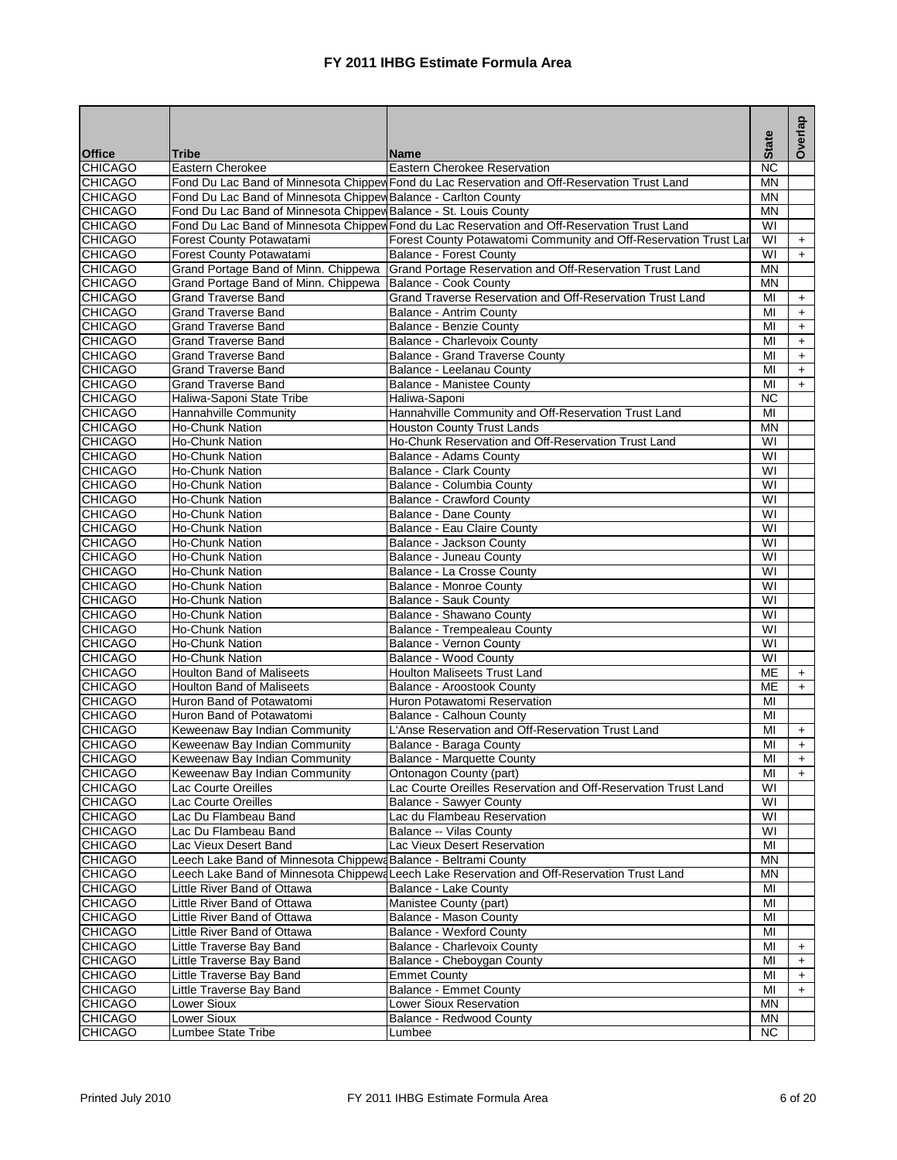|                                  |                                                                  |                                                                                               | <b>State</b>                  | Overlap   |
|----------------------------------|------------------------------------------------------------------|-----------------------------------------------------------------------------------------------|-------------------------------|-----------|
| <b>Office</b>                    | <b>Tribe</b>                                                     | lName                                                                                         |                               |           |
| <b>CHICAGO</b>                   | Eastern Cherokee                                                 | Eastern Cherokee Reservation                                                                  | <b>NC</b>                     |           |
| <b>CHICAGO</b>                   |                                                                  | Fond Du Lac Band of Minnesota Chippew Fond du Lac Reservation and Off-Reservation Trust Land  | <b>MN</b>                     |           |
| <b>CHICAGO</b>                   | Fond Du Lac Band of Minnesota Chippew Balance - Carlton County   |                                                                                               | MN                            |           |
| <b>CHICAGO</b>                   | Fond Du Lac Band of Minnesota Chippew Balance - St. Louis County |                                                                                               | ΜN                            |           |
| <b>CHICAGO</b>                   |                                                                  | Fond Du Lac Band of Minnesota Chippew Fond du Lac Reservation and Off-Reservation Trust Land  | WI                            |           |
| <b>CHICAGO</b>                   | Forest County Potawatami                                         | Forest County Potawatomi Community and Off-Reservation Trust Lar                              | $\overline{\mathsf{W}}$       | $+$       |
| <b>CHICAGO</b>                   | Forest County Potawatami                                         | Balance - Forest County                                                                       | WI                            | $+$       |
| <b>CHICAGO</b>                   |                                                                  | Grand Portage Band of Minn. Chippewa Grand Portage Reservation and Off-Reservation Trust Land | <b>MN</b>                     |           |
| <b>CHICAGO</b>                   | Grand Portage Band of Minn. Chippewa                             | Balance - Cook County                                                                         | <b>MN</b>                     |           |
| <b>CHICAGO</b>                   | <b>Grand Traverse Band</b>                                       | Grand Traverse Reservation and Off-Reservation Trust Land                                     | MI                            | $+$       |
| <b>CHICAGO</b>                   | <b>Grand Traverse Band</b>                                       | Balance - Antrim County                                                                       | MI                            | $+$       |
| <b>CHICAGO</b>                   | <b>Grand Traverse Band</b>                                       | <b>Balance - Benzie County</b>                                                                | MI                            | $\ddot{}$ |
| <b>CHICAGO</b>                   | <b>Grand Traverse Band</b>                                       | Balance - Charlevoix County                                                                   | MI                            | $\ddot{}$ |
| <b>CHICAGO</b>                   | <b>Grand Traverse Band</b>                                       | Balance - Grand Traverse County                                                               | MI                            | $+$       |
| <b>CHICAGO</b>                   | <b>Grand Traverse Band</b>                                       | Balance - Leelanau County                                                                     | MI                            | $\ddot{}$ |
| <b>CHICAGO</b>                   | <b>Grand Traverse Band</b>                                       | <b>Balance - Manistee County</b>                                                              | MI                            | $+$       |
| <b>CHICAGO</b>                   | Haliwa-Saponi State Tribe                                        | Haliwa-Saponi                                                                                 | $\overline{NC}$               |           |
| <b>CHICAGO</b>                   | Hannahville Community                                            | Hannahville Community and Off-Reservation Trust Land                                          | MI                            |           |
| <b>CHICAGO</b>                   | Ho-Chunk Nation                                                  | <b>Houston County Trust Lands</b>                                                             | <b>MN</b>                     |           |
| <b>CHICAGO</b>                   | Ho-Chunk Nation                                                  | Ho-Chunk Reservation and Off-Reservation Trust Land                                           | WI                            |           |
| <b>CHICAGO</b>                   | <b>Ho-Chunk Nation</b>                                           | Balance - Adams County                                                                        | WI                            |           |
| <b>CHICAGO</b>                   | <b>Ho-Chunk Nation</b>                                           | Balance - Clark County                                                                        | WI                            |           |
| <b>CHICAGO</b>                   | Ho-Chunk Nation                                                  | Balance - Columbia County                                                                     | WI                            |           |
| <b>CHICAGO</b>                   | <b>Ho-Chunk Nation</b>                                           | <b>Balance - Crawford County</b>                                                              | $\overline{\mathsf{W}}$       |           |
| <b>CHICAGO</b>                   | <b>Ho-Chunk Nation</b>                                           | Balance - Dane County                                                                         | $\overline{\mathsf{W}}$       |           |
| <b>CHICAGO</b>                   | <b>Ho-Chunk Nation</b>                                           | Balance - Eau Claire County                                                                   | WI                            |           |
| <b>CHICAGO</b>                   | Ho-Chunk Nation                                                  | Balance - Jackson County                                                                      | WI                            |           |
| <b>CHICAGO</b>                   | <b>Ho-Chunk Nation</b>                                           | Balance - Juneau County                                                                       | $\overline{\mathsf{W}}$       |           |
| <b>CHICAGO</b>                   | <b>Ho-Chunk Nation</b>                                           | Balance - La Crosse County                                                                    | WI                            |           |
| <b>CHICAGO</b>                   | <b>Ho-Chunk Nation</b>                                           | Balance - Monroe County                                                                       | WI<br>$\overline{\mathsf{W}}$ |           |
| <b>CHICAGO</b>                   | <b>Ho-Chunk Nation</b>                                           | Balance - Sauk County                                                                         | $\overline{\mathsf{W}}$       |           |
| <b>CHICAGO</b><br><b>CHICAGO</b> | Ho-Chunk Nation<br><b>Ho-Chunk Nation</b>                        | Balance - Shawano County<br>Balance - Trempealeau County                                      | $\overline{\mathsf{W}}$       |           |
| <b>CHICAGO</b>                   | Ho-Chunk Nation                                                  | Balance - Vernon County                                                                       | WI                            |           |
| <b>CHICAGO</b>                   | <b>Ho-Chunk Nation</b>                                           | <b>Balance - Wood County</b>                                                                  | WI                            |           |
| <b>CHICAGO</b>                   | <b>Houlton Band of Maliseets</b>                                 | <b>Houlton Maliseets Trust Land</b>                                                           | ME                            | $+$       |
| <b>CHICAGO</b>                   | <b>Houlton Band of Maliseets</b>                                 | Balance - Aroostook County                                                                    | ME                            | $+$       |
| <b>CHICAGO</b>                   | Huron Band of Potawatomi                                         | Huron Potawatomi Reservation                                                                  | MI                            |           |
| <b>CHICAGO</b>                   | Huron Band of Potawatomi                                         | Balance - Calhoun County                                                                      | MI                            |           |
| <b>CHICAGO</b>                   | Keweenaw Bay Indian Community                                    | L'Anse Reservation and Off-Reservation Trust Land                                             | MI                            | $+$       |
| <b>CHICAGO</b>                   | Keweenaw Bay Indian Community                                    | Balance - Baraga County                                                                       | MI                            | $+$       |
| <b>CHICAGO</b>                   | Keweenaw Bay Indian Community                                    | Balance - Marquette County                                                                    | MI                            | $\ddot{}$ |
| <b>CHICAGO</b>                   | Keweenaw Bay Indian Community                                    | Ontonagon County (part)                                                                       | MI                            | $+$       |
| <b>CHICAGO</b>                   | Lac Courte Oreilles                                              | Lac Courte Oreilles Reservation and Off-Reservation Trust Land                                | W١                            |           |
| <b>CHICAGO</b>                   | Lac Courte Oreilles                                              | Balance - Sawyer County                                                                       | WI                            |           |
| <b>CHICAGO</b>                   | Lac Du Flambeau Band                                             | Lac du Flambeau Reservation                                                                   | WI                            |           |
| <b>CHICAGO</b>                   | Lac Du Flambeau Band                                             | Balance -- Vilas County                                                                       | WI                            |           |
| <b>CHICAGO</b>                   | Lac Vieux Desert Band                                            | Lac Vieux Desert Reservation                                                                  | MI                            |           |
| <b>CHICAGO</b>                   | Leech Lake Band of Minnesota Chippewa Balance - Beltrami County  |                                                                                               | <b>MN</b>                     |           |
| <b>CHICAGO</b>                   |                                                                  | Leech Lake Band of Minnesota Chippewa Leech Lake Reservation and Off-Reservation Trust Land   | MN                            |           |
| <b>CHICAGO</b>                   | Little River Band of Ottawa                                      | Balance - Lake County                                                                         | MI                            |           |
| <b>CHICAGO</b>                   | Little River Band of Ottawa                                      | Manistee County (part)                                                                        | MI                            |           |
| <b>CHICAGO</b>                   | Little River Band of Ottawa                                      | Balance - Mason County                                                                        | MI                            |           |
| <b>CHICAGO</b>                   | Little River Band of Ottawa                                      | <b>Balance - Wexford County</b>                                                               | MI                            |           |
| <b>CHICAGO</b>                   | Little Traverse Bay Band                                         | <b>Balance - Charlevoix County</b>                                                            | MI                            | +         |
| <b>CHICAGO</b>                   | Little Traverse Bay Band                                         | Balance - Cheboygan County                                                                    | MI                            | $+$       |
| <b>CHICAGO</b>                   | Little Traverse Bay Band                                         | Emmet County                                                                                  | MI                            | $\ddot{}$ |
| <b>CHICAGO</b>                   | Little Traverse Bay Band                                         | <b>Balance - Emmet County</b>                                                                 | MI                            | $\ddot{}$ |
| <b>CHICAGO</b>                   | Lower Sioux                                                      | Lower Sioux Reservation                                                                       | ΜN                            |           |
| <b>CHICAGO</b>                   | Lower Sioux                                                      | Balance - Redwood County                                                                      | MN                            |           |
| <b>CHICAGO</b>                   | Lumbee State Tribe                                               | Lumbee                                                                                        | NC.                           |           |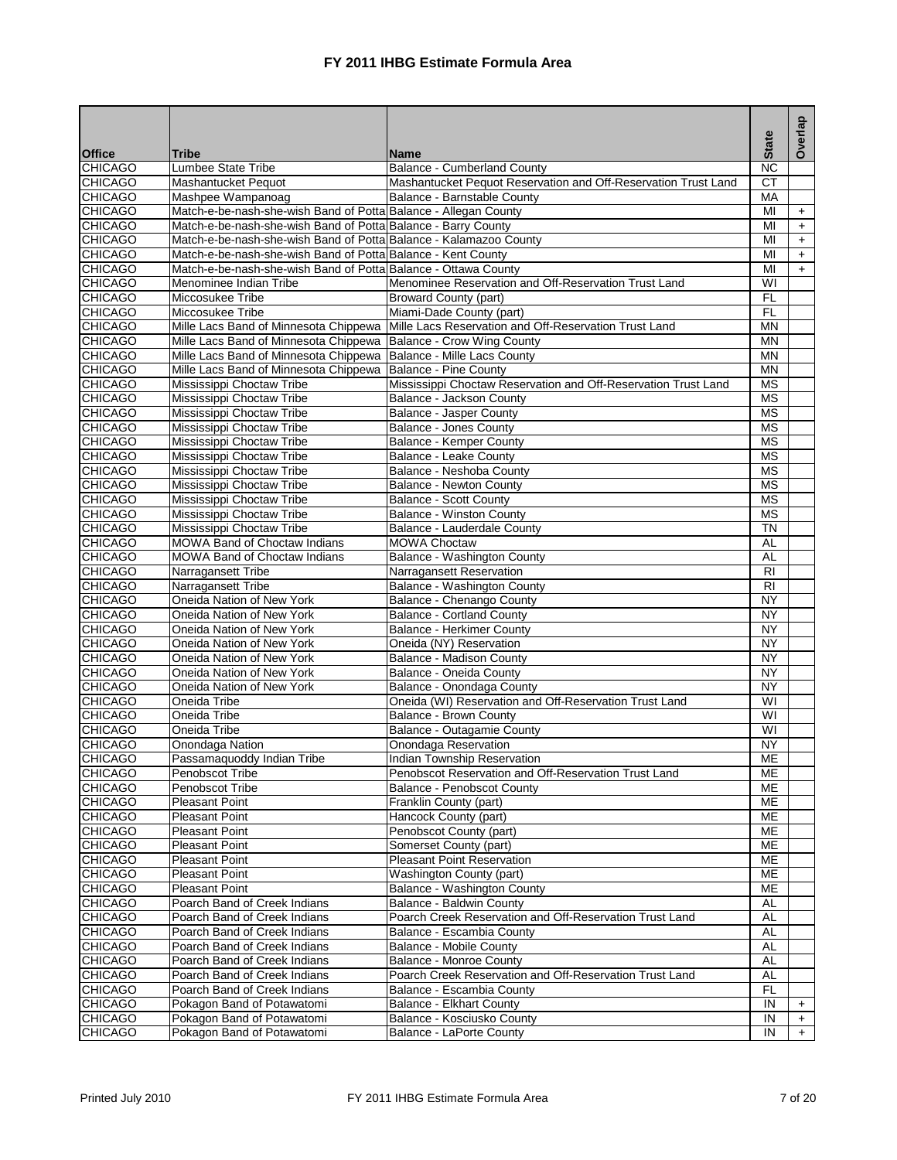|                                  |                                                                     |                                                                |                                    | Overlap   |
|----------------------------------|---------------------------------------------------------------------|----------------------------------------------------------------|------------------------------------|-----------|
| <b>Office</b>                    | Tribe                                                               | <b>Name</b>                                                    | <b>State</b>                       |           |
| <b>CHICAGO</b>                   | Lumbee State Tribe                                                  | <b>Balance - Cumberland County</b>                             | <b>NC</b>                          |           |
| <b>CHICAGO</b>                   | Mashantucket Pequot                                                 | Mashantucket Pequot Reservation and Off-Reservation Trust Land | <b>CT</b>                          |           |
| <b>CHICAGO</b>                   | Mashpee Wampanoag                                                   | Balance - Barnstable County                                    | МA                                 |           |
| <b>CHICAGO</b>                   | Match-e-be-nash-she-wish Band of Potta Balance - Allegan County     |                                                                | MI                                 | $\ddot{}$ |
| <b>CHICAGO</b>                   | Match-e-be-nash-she-wish Band of Potta Balance - Barry County       |                                                                | MI                                 | $\ddot{}$ |
| <b>CHICAGO</b>                   | Match-e-be-nash-she-wish Band of Potta Balance - Kalamazoo County   |                                                                | MI                                 | $+$       |
| <b>CHICAGO</b>                   | Match-e-be-nash-she-wish Band of Potta Balance - Kent County        |                                                                | MI                                 | $+$       |
| <b>CHICAGO</b>                   | Match-e-be-nash-she-wish Band of Potta Balance - Ottawa County      |                                                                | MI                                 | $+$       |
| <b>CHICAGO</b>                   | Menominee Indian Tribe                                              | Menominee Reservation and Off-Reservation Trust Land           | WI                                 |           |
| <b>CHICAGO</b>                   | Miccosukee Tribe                                                    | <b>Broward County (part)</b>                                   | F <sub>L</sub>                     |           |
| <b>CHICAGO</b>                   | Miccosukee Tribe                                                    | Miami-Dade County (part)                                       | FL                                 |           |
| <b>CHICAGO</b>                   | Mille Lacs Band of Minnesota Chippewa                               | Mille Lacs Reservation and Off-Reservation Trust Land          | <b>MN</b>                          |           |
| <b>CHICAGO</b>                   | Mille Lacs Band of Minnesota Chippewa                               | Balance - Crow Wing County                                     | <b>MN</b>                          |           |
| <b>CHICAGO</b>                   | Mille Lacs Band of Minnesota Chippewa   Balance - Mille Lacs County |                                                                | <b>MN</b>                          |           |
| <b>CHICAGO</b>                   | Mille Lacs Band of Minnesota Chippewa                               | Balance - Pine County                                          | <b>MN</b>                          |           |
| <b>CHICAGO</b>                   | Mississippi Choctaw Tribe                                           | Mississippi Choctaw Reservation and Off-Reservation Trust Land | $\overline{\text{MS}}$             |           |
| <b>CHICAGO</b>                   | Mississippi Choctaw Tribe                                           | <b>Balance - Jackson County</b>                                | <b>MS</b>                          |           |
| <b>CHICAGO</b>                   | Mississippi Choctaw Tribe                                           | Balance - Jasper County                                        | <b>MS</b>                          |           |
| <b>CHICAGO</b>                   | Mississippi Choctaw Tribe                                           | Balance - Jones County                                         | $\overline{\text{MS}}$             |           |
| <b>CHICAGO</b>                   | Mississippi Choctaw Tribe                                           | <b>Balance - Kemper County</b>                                 | <b>MS</b>                          |           |
| <b>CHICAGO</b>                   | Mississippi Choctaw Tribe                                           | Balance - Leake County                                         | <b>MS</b>                          |           |
| <b>CHICAGO</b>                   | Mississippi Choctaw Tribe                                           | Balance - Neshoba County                                       | <b>MS</b>                          |           |
| <b>CHICAGO</b>                   | Mississippi Choctaw Tribe                                           | Balance - Newton County                                        | <b>MS</b>                          |           |
| <b>CHICAGO</b>                   | Mississippi Choctaw Tribe                                           | <b>Balance - Scott County</b>                                  | <b>MS</b>                          |           |
| <b>CHICAGO</b>                   | Mississippi Choctaw Tribe                                           | Balance - Winston County                                       | <b>MS</b>                          |           |
| <b>CHICAGO</b>                   | Mississippi Choctaw Tribe                                           | Balance - Lauderdale County                                    | <b>TN</b>                          |           |
| <b>CHICAGO</b>                   | <b>MOWA Band of Choctaw Indians</b>                                 | <b>MOWA Choctaw</b>                                            | <b>AL</b>                          |           |
| <b>CHICAGO</b>                   | <b>MOWA Band of Choctaw Indians</b>                                 | Balance - Washington County                                    | <b>AL</b>                          |           |
| <b>CHICAGO</b>                   | Narragansett Tribe                                                  | Narragansett Reservation                                       | $\overline{R}$                     |           |
| <b>CHICAGO</b>                   | Narragansett Tribe                                                  | Balance - Washington County                                    | <b>RI</b>                          |           |
| <b>CHICAGO</b>                   | Oneida Nation of New York                                           | Balance - Chenango County                                      | $\overline{NY}$                    |           |
| <b>CHICAGO</b>                   | Oneida Nation of New York                                           | <b>Balance - Cortland County</b>                               | $\overline{NY}$<br>$\overline{NY}$ |           |
| <b>CHICAGO</b>                   | Oneida Nation of New York                                           | <b>Balance - Herkimer County</b>                               | <b>NY</b>                          |           |
| <b>CHICAGO</b>                   | Oneida Nation of New York                                           | Oneida (NY) Reservation<br><b>Balance - Madison County</b>     |                                    |           |
| <b>CHICAGO</b><br><b>CHICAGO</b> | Oneida Nation of New York                                           | Balance - Oneida County                                        | <b>NY</b><br>$\overline{NY}$       |           |
| <b>CHICAGO</b>                   | Oneida Nation of New York<br>Oneida Nation of New York              | Balance - Onondaga County                                      | $\overline{NY}$                    |           |
| <b>CHICAGO</b>                   | Oneida Tribe                                                        | Oneida (WI) Reservation and Off-Reservation Trust Land         | $\overline{\mathsf{W}}$            |           |
| <b>CHICAGO</b>                   | Oneida Tribe                                                        | <b>Balance - Brown County</b>                                  | $\overline{\mathsf{W}}$            |           |
| <b>CHICAGO</b>                   | Oneida Tribe                                                        | Balance - Outagamie County                                     | $\overline{\mathsf{W}}$            |           |
| <b>CHICAGO</b>                   | Onondaga Nation                                                     | Onondaga Reservation                                           | <b>NY</b>                          |           |
| <b>CHICAGO</b>                   | Passamaquoddy Indian Tribe                                          | Indian Township Reservation                                    | <b>ME</b>                          |           |
| <b>CHICAGO</b>                   | Penobscot Tribe                                                     | Penobscot Reservation and Off-Reservation Trust Land           | MЕ                                 |           |
| <b>CHICAGO</b>                   | Penobscot Tribe                                                     | Balance - Penobscot County                                     | ME                                 |           |
| <b>CHICAGO</b>                   | <b>Pleasant Point</b>                                               | Franklin County (part)                                         | ME                                 |           |
| <b>CHICAGO</b>                   | <b>Pleasant Point</b>                                               | Hancock County (part)                                          | ME                                 |           |
| <b>CHICAGO</b>                   | <b>Pleasant Point</b>                                               | Penobscot County (part)                                        | MЕ                                 |           |
| <b>CHICAGO</b>                   | <b>Pleasant Point</b>                                               | Somerset County (part)                                         | ME                                 |           |
| <b>CHICAGO</b>                   | <b>Pleasant Point</b>                                               | Pleasant Point Reservation                                     | ME                                 |           |
| <b>CHICAGO</b>                   | <b>Pleasant Point</b>                                               | Washington County (part)                                       | ME                                 |           |
| <b>CHICAGO</b>                   | <b>Pleasant Point</b>                                               | Balance - Washington County                                    | MЕ                                 |           |
| <b>CHICAGO</b>                   | Poarch Band of Creek Indians                                        | Balance - Baldwin County                                       | AL                                 |           |
| <b>CHICAGO</b>                   | Poarch Band of Creek Indians                                        | Poarch Creek Reservation and Off-Reservation Trust Land        | <b>AL</b>                          |           |
| <b>CHICAGO</b>                   | Poarch Band of Creek Indians                                        | Balance - Escambia County                                      | AL                                 |           |
| <b>CHICAGO</b>                   | Poarch Band of Creek Indians                                        | <b>Balance - Mobile County</b>                                 | AL                                 |           |
| <b>CHICAGO</b>                   | Poarch Band of Creek Indians                                        | Balance - Monroe County                                        | <b>AL</b>                          |           |
| <b>CHICAGO</b>                   | Poarch Band of Creek Indians                                        | Poarch Creek Reservation and Off-Reservation Trust Land        | AL                                 |           |
| <b>CHICAGO</b>                   | Poarch Band of Creek Indians                                        | Balance - Escambia County                                      | <b>FL</b>                          |           |
| <b>CHICAGO</b>                   | Pokagon Band of Potawatomi                                          | Balance - Elkhart County                                       | IN                                 | $\ddot{}$ |
| <b>CHICAGO</b>                   | Pokagon Band of Potawatomi                                          | Balance - Kosciusko County                                     | IN                                 | $\pm$     |
| <b>CHICAGO</b>                   | Pokagon Band of Potawatomi                                          | <b>Balance - LaPorte County</b>                                | IN                                 | $+$       |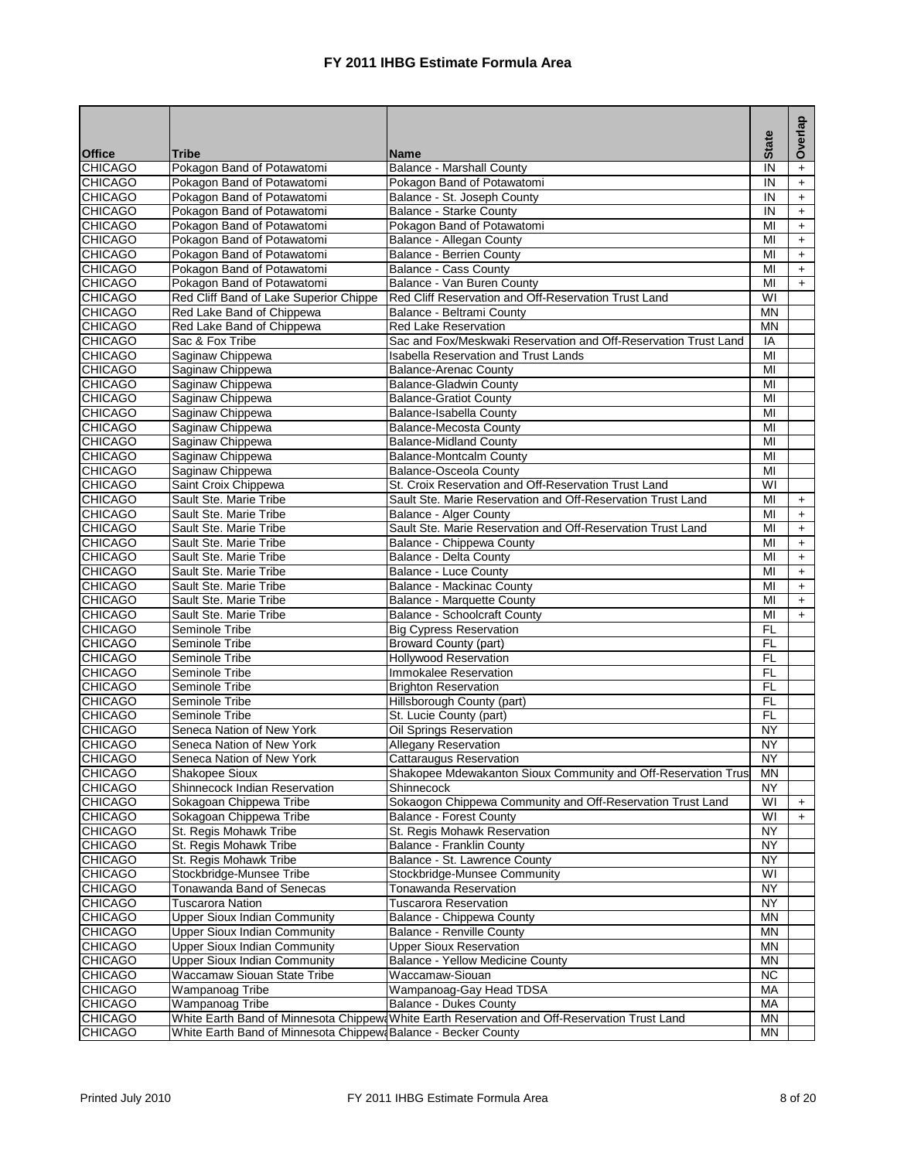|                                  |                                                               |                                                                                              |                         | Overlap   |
|----------------------------------|---------------------------------------------------------------|----------------------------------------------------------------------------------------------|-------------------------|-----------|
| <b>Office</b>                    | <b>Tribe</b>                                                  | <b>Name</b>                                                                                  | <b>State</b>            |           |
| <b>CHICAGO</b>                   | Pokagon Band of Potawatomi                                    | Balance - Marshall County                                                                    | IN                      | $\ddot{}$ |
| <b>CHICAGO</b>                   | Pokagon Band of Potawatomi                                    | Pokagon Band of Potawatomi                                                                   | IN                      | $+$       |
| <b>CHICAGO</b>                   | Pokagon Band of Potawatomi                                    | Balance - St. Joseph County                                                                  | IN                      | $\ddot{}$ |
| <b>CHICAGO</b>                   | Pokagon Band of Potawatomi                                    | Balance - Starke County                                                                      | IN                      | $+$       |
| <b>CHICAGO</b>                   | Pokagon Band of Potawatomi                                    | Pokagon Band of Potawatomi                                                                   | MI                      | $+$       |
| <b>CHICAGO</b>                   | Pokagon Band of Potawatomi                                    | Balance - Allegan County                                                                     | MI                      | $+$       |
| <b>CHICAGO</b>                   | Pokagon Band of Potawatomi                                    | <b>Balance - Berrien County</b>                                                              | MI                      | $\ddot{}$ |
| <b>CHICAGO</b>                   | Pokagon Band of Potawatomi                                    | Balance - Cass County                                                                        | MI                      | $\ddot{}$ |
| <b>CHICAGO</b>                   | Pokagon Band of Potawatomi                                    | Balance - Van Buren County                                                                   | MI                      | $+$       |
| <b>CHICAGO</b>                   | Red Cliff Band of Lake Superior Chippe                        | Red Cliff Reservation and Off-Reservation Trust Land                                         | WI                      |           |
| <b>CHICAGO</b>                   | Red Lake Band of Chippewa                                     | Balance - Beltrami County                                                                    | <b>MN</b>               |           |
| <b>CHICAGO</b>                   | Red Lake Band of Chippewa                                     | <b>Red Lake Reservation</b>                                                                  | <b>MN</b>               |           |
| <b>CHICAGO</b>                   | Sac & Fox Tribe                                               | Sac and Fox/Meskwaki Reservation and Off-Reservation Trust Land                              | IA                      |           |
| <b>CHICAGO</b>                   | Saginaw Chippewa                                              | <b>Isabella Reservation and Trust Lands</b>                                                  | MI                      |           |
| <b>CHICAGO</b>                   | Saginaw Chippewa                                              | <b>Balance-Arenac County</b>                                                                 | MI                      |           |
| <b>CHICAGO</b>                   | Saginaw Chippewa                                              | <b>Balance-Gladwin County</b>                                                                | $\overline{M}$          |           |
| <b>CHICAGO</b>                   | Saginaw Chippewa                                              | <b>Balance-Gratiot County</b>                                                                | MI                      |           |
| <b>CHICAGO</b>                   | Saginaw Chippewa                                              | Balance-Isabella County                                                                      | MI                      |           |
| <b>CHICAGO</b>                   | Saginaw Chippewa                                              | <b>Balance-Mecosta County</b>                                                                | MI                      |           |
| <b>CHICAGO</b>                   | Saginaw Chippewa                                              | <b>Balance-Midland County</b>                                                                | MI                      |           |
| <b>CHICAGO</b>                   | Saginaw Chippewa                                              | <b>Balance-Montcalm County</b>                                                               | MI                      |           |
| <b>CHICAGO</b>                   | Saginaw Chippewa                                              | <b>Balance-Osceola County</b>                                                                | MI                      |           |
| <b>CHICAGO</b>                   | Saint Croix Chippewa                                          | St. Croix Reservation and Off-Reservation Trust Land                                         | $\overline{\mathsf{W}}$ |           |
| <b>CHICAGO</b>                   | Sault Ste. Marie Tribe                                        | Sault Ste. Marie Reservation and Off-Reservation Trust Land                                  | MI                      | $+$       |
| <b>CHICAGO</b>                   | Sault Ste. Marie Tribe                                        | <b>Balance - Alger County</b>                                                                | MI                      | $\ddot{}$ |
| <b>CHICAGO</b>                   | Sault Ste. Marie Tribe                                        | Sault Ste. Marie Reservation and Off-Reservation Trust Land                                  | MI                      | $+$       |
| <b>CHICAGO</b>                   | Sault Ste. Marie Tribe                                        | Balance - Chippewa County                                                                    | MI                      | $+$       |
| <b>CHICAGO</b>                   | Sault Ste. Marie Tribe                                        | Balance - Delta County                                                                       | MI                      | $\ddot{}$ |
| <b>CHICAGO</b>                   | Sault Ste. Marie Tribe                                        | <b>Balance - Luce County</b>                                                                 | МΙ                      | $+$       |
| <b>CHICAGO</b>                   | Sault Ste. Marie Tribe                                        | <b>Balance - Mackinac County</b>                                                             | MI                      | $+$       |
| <b>CHICAGO</b>                   | Sault Ste. Marie Tribe                                        | <b>Balance - Marquette County</b>                                                            | MI                      | $+$       |
| <b>CHICAGO</b>                   | Sault Ste. Marie Tribe                                        | <b>Balance - Schoolcraft County</b>                                                          | MI                      | $\ddot{}$ |
| <b>CHICAGO</b>                   | Seminole Tribe                                                | <b>Big Cypress Reservation</b>                                                               | FL                      |           |
| <b>CHICAGO</b>                   | Seminole Tribe                                                | Broward County (part)                                                                        | F <sub>L</sub>          |           |
| <b>CHICAGO</b>                   | Seminole Tribe                                                | <b>Hollywood Reservation</b>                                                                 | <b>FL</b><br>FL         |           |
| <b>CHICAGO</b>                   | Seminole Tribe<br>Seminole Tribe                              | Immokalee Reservation<br><b>Brighton Reservation</b>                                         | F <sub>L</sub>          |           |
| <b>CHICAGO</b><br><b>CHICAGO</b> | Seminole Tribe                                                | Hillsborough County (part)                                                                   | F <sub>L</sub>          |           |
| <b>CHICAGO</b>                   | Seminole Tribe                                                |                                                                                              | FL                      |           |
| <b>CHICAGO</b>                   | Seneca Nation of New York                                     | St. Lucie County (part)<br><b>Oil Springs Reservation</b>                                    | NY                      |           |
| <b>CHICAGO</b>                   | Seneca Nation of New York                                     | <b>Allegany Reservation</b>                                                                  | <b>NY</b>               |           |
| <b>CHICAGO</b>                   | Seneca Nation of New York                                     | Cattaraugus Reservation                                                                      | <b>NY</b>               |           |
| <b>CHICAGO</b>                   | Shakopee Sioux                                                | Shakopee Mdewakanton Sioux Community and Off-Reservation Trus                                | ΜN                      |           |
| <b>CHICAGO</b>                   | Shinnecock Indian Reservation                                 | Shinnecock                                                                                   | <b>NY</b>               |           |
| <b>CHICAGO</b>                   | Sokagoan Chippewa Tribe                                       | Sokaogon Chippewa Community and Off-Reservation Trust Land                                   | WI                      | $+$       |
| <b>CHICAGO</b>                   | Sokagoan Chippewa Tribe                                       | <b>Balance - Forest County</b>                                                               | WI                      | $\ddot{}$ |
| <b>CHICAGO</b>                   | St. Regis Mohawk Tribe                                        | St. Regis Mohawk Reservation                                                                 | <b>NY</b>               |           |
| <b>CHICAGO</b>                   | St. Regis Mohawk Tribe                                        | Balance - Franklin County                                                                    | <b>NY</b>               |           |
| <b>CHICAGO</b>                   | St. Regis Mohawk Tribe                                        | Balance - St. Lawrence County                                                                | <b>NY</b>               |           |
| <b>CHICAGO</b>                   | Stockbridge-Munsee Tribe                                      | Stockbridge-Munsee Community                                                                 | WI                      |           |
| <b>CHICAGO</b>                   | Tonawanda Band of Senecas                                     | Tonawanda Reservation                                                                        | <b>NY</b>               |           |
| <b>CHICAGO</b>                   | <b>Tuscarora Nation</b>                                       | <b>Tuscarora Reservation</b>                                                                 | <b>NY</b>               |           |
| <b>CHICAGO</b>                   | <b>Upper Sioux Indian Community</b>                           | Balance - Chippewa County                                                                    | MN                      |           |
| <b>CHICAGO</b>                   | <b>Upper Sioux Indian Community</b>                           | Balance - Renville County                                                                    | ΜN                      |           |
| <b>CHICAGO</b>                   | <b>Upper Sioux Indian Community</b>                           | <b>Upper Sioux Reservation</b>                                                               | ΜN                      |           |
| <b>CHICAGO</b>                   | <b>Upper Sioux Indian Community</b>                           | Balance - Yellow Medicine County                                                             | <b>MN</b>               |           |
| <b>CHICAGO</b>                   | Waccamaw Siouan State Tribe                                   | Waccamaw-Siouan                                                                              | NС                      |           |
| <b>CHICAGO</b>                   | Wampanoag Tribe                                               | Wampanoag-Gay Head TDSA                                                                      | MA                      |           |
| <b>CHICAGO</b>                   | Wampanoag Tribe                                               | <b>Balance - Dukes County</b>                                                                | МA                      |           |
| <b>CHICAGO</b>                   |                                                               | White Earth Band of Minnesota Chippew White Earth Reservation and Off-Reservation Trust Land | <b>MN</b>               |           |
| <b>CHICAGO</b>                   | White Earth Band of Minnesota Chippew Balance - Becker County |                                                                                              | ΜN                      |           |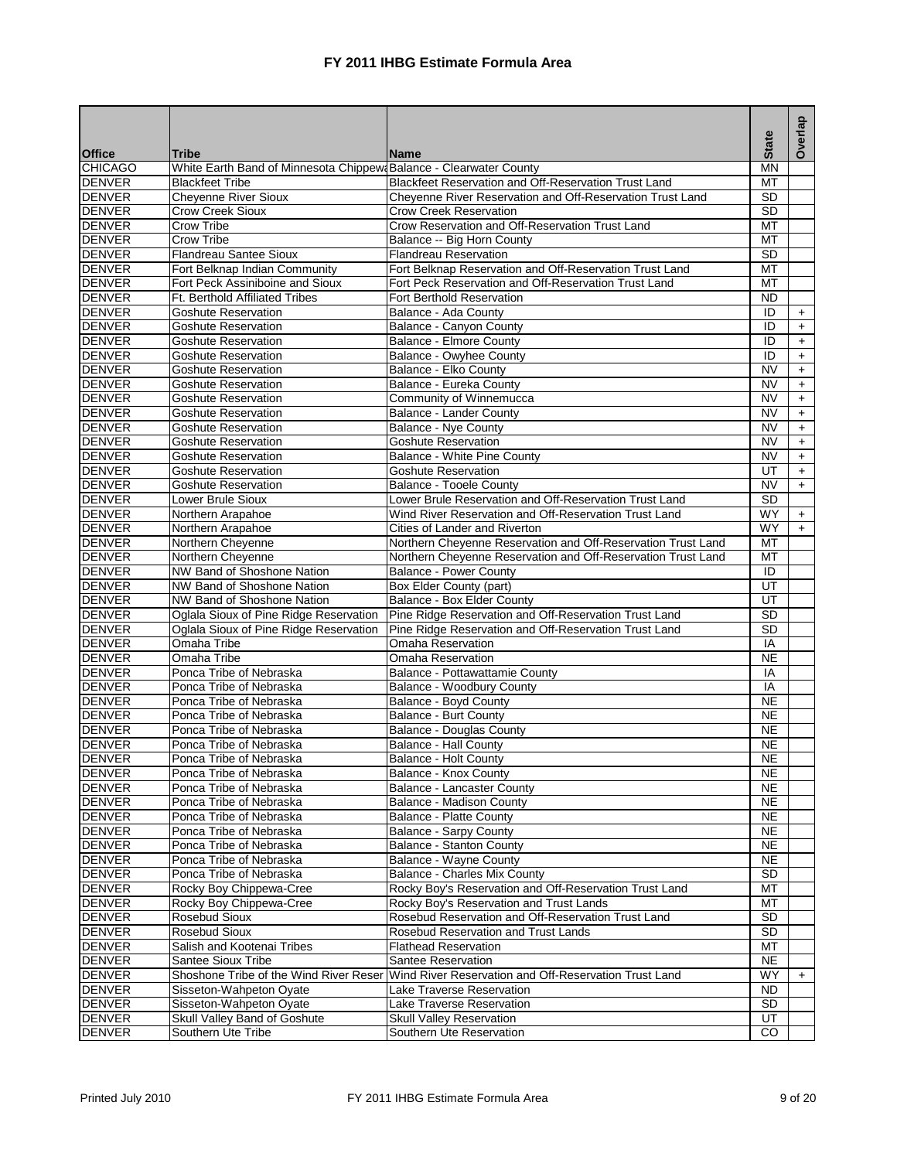|                                |                                                                   |                                                              | <b>State</b>           | Overlap    |
|--------------------------------|-------------------------------------------------------------------|--------------------------------------------------------------|------------------------|------------|
| <b>Office</b>                  | <b>Tribe</b>                                                      | <b>Name</b>                                                  |                        |            |
| <b>CHICAGO</b>                 | White Earth Band of Minnesota Chippew Balance - Clearwater County |                                                              | <b>MN</b>              |            |
| <b>DENVER</b>                  | <b>Blackfeet Tribe</b>                                            | Blackfeet Reservation and Off-Reservation Trust Land         | MT                     |            |
| <b>DENVER</b>                  | <b>Cheyenne River Sioux</b>                                       | Cheyenne River Reservation and Off-Reservation Trust Land    | <b>SD</b>              |            |
| <b>DENVER</b>                  | Crow Creek Sioux                                                  | <b>Crow Creek Reservation</b>                                | SD                     |            |
| <b>DENVER</b>                  | Crow Tribe                                                        | Crow Reservation and Off-Reservation Trust Land              | MT                     |            |
| <b>DENVER</b>                  | <b>Crow Tribe</b>                                                 | Balance -- Big Horn County                                   | MT                     |            |
| <b>DENVER</b>                  | Flandreau Santee Sioux                                            | <b>Flandreau Reservation</b>                                 | <b>SD</b>              |            |
| <b>DENVER</b>                  | Fort Belknap Indian Community                                     | Fort Belknap Reservation and Off-Reservation Trust Land      | MT                     |            |
| <b>DENVER</b>                  | Fort Peck Assiniboine and Sioux                                   | Fort Peck Reservation and Off-Reservation Trust Land         | MT                     |            |
| <b>DENVER</b>                  | Ft. Berthold Affiliated Tribes                                    | Fort Berthold Reservation                                    | $\overline{ND}$        |            |
| <b>DENVER</b>                  | <b>Goshute Reservation</b>                                        | Balance - Ada County                                         | ID                     | $+$        |
| <b>DENVER</b><br><b>DENVER</b> | Goshute Reservation                                               | Balance - Canyon County                                      | ID<br>ID               | $+$        |
|                                | <b>Goshute Reservation</b>                                        | Balance - Elmore County                                      |                        | $\ddot{}$  |
| <b>DENVER</b>                  | Goshute Reservation                                               | Balance - Owyhee County                                      | ID<br><b>NV</b>        | $+$        |
| <b>DENVER</b><br><b>DENVER</b> | <b>Goshute Reservation</b>                                        | Balance - Elko County<br>Balance - Eureka County             | <b>NV</b>              | $\ddot{}$  |
| <b>DENVER</b>                  | <b>Goshute Reservation</b><br><b>Goshute Reservation</b>          | Community of Winnemucca                                      | <b>NV</b>              | $+$<br>$+$ |
| <b>DENVER</b>                  | <b>Goshute Reservation</b>                                        | Balance - Lander County                                      | <b>NV</b>              |            |
| <b>DENVER</b>                  | Goshute Reservation                                               | Balance - Nye County                                         | <b>NV</b>              | $+$<br>$+$ |
| <b>DENVER</b>                  | <b>Goshute Reservation</b>                                        | <b>Goshute Reservation</b>                                   | <b>NV</b>              | $+$        |
| <b>DENVER</b>                  | Goshute Reservation                                               | Balance - White Pine County                                  | $\overline{\text{NV}}$ | $+$        |
| <b>DENVER</b>                  | <b>Goshute Reservation</b>                                        | <b>Goshute Reservation</b>                                   | UT                     | $+$        |
| DENVER                         | <b>Goshute Reservation</b>                                        | <b>Balance - Tooele County</b>                               | <b>NV</b>              | $+$        |
| <b>DENVER</b>                  | Lower Brule Sioux                                                 | Lower Brule Reservation and Off-Reservation Trust Land       | <b>SD</b>              |            |
| <b>DENVER</b>                  | Northern Arapahoe                                                 | Wind River Reservation and Off-Reservation Trust Land        | WY                     | $+$        |
| <b>DENVER</b>                  | Northern Arapahoe                                                 | Cities of Lander and Riverton                                | <b>WY</b>              | $+$        |
| <b>DENVER</b>                  | Northern Cheyenne                                                 | Northern Cheyenne Reservation and Off-Reservation Trust Land | MT                     |            |
| <b>DENVER</b>                  | Northern Cheyenne                                                 | Northern Cheyenne Reservation and Off-Reservation Trust Land | MT                     |            |
| <b>DENVER</b>                  | NW Band of Shoshone Nation                                        | <b>Balance - Power County</b>                                | ID                     |            |
| <b>DENVER</b>                  | NW Band of Shoshone Nation                                        | Box Elder County (part)                                      | UT                     |            |
| <b>DENVER</b>                  | NW Band of Shoshone Nation                                        | Balance - Box Elder County                                   | UT                     |            |
| <b>DENVER</b>                  | Oglala Sioux of Pine Ridge Reservation                            | Pine Ridge Reservation and Off-Reservation Trust Land        | $\overline{SD}$        |            |
| <b>DENVER</b>                  | Oglala Sioux of Pine Ridge Reservation                            | Pine Ridge Reservation and Off-Reservation Trust Land        | SD                     |            |
| <b>DENVER</b>                  | Omaha Tribe                                                       | Omaha Reservation                                            | IA                     |            |
| <b>DENVER</b>                  | Omaha Tribe                                                       | Omaha Reservation                                            | N <sub>E</sub>         |            |
| <b>DENVER</b>                  | Ponca Tribe of Nebraska                                           | Balance - Pottawattamie County                               | IA                     |            |
| <b>DENVER</b>                  | Ponca Tribe of Nebraska                                           | Balance - Woodbury County                                    | IA                     |            |
| <b>DENVER</b>                  | Ponca Tribe of Nebraska                                           | Balance - Boyd County                                        | <b>NE</b>              |            |
| <b>DENVER</b>                  | Ponca Tribe of Nebraska                                           | <b>Balance - Burt County</b>                                 | <b>NE</b>              |            |
| <b>DENVER</b>                  | Ponca Tribe of Nebraska                                           | <b>Balance - Douglas County</b>                              | <b>NE</b>              |            |
| <b>DENVER</b>                  | Ponca Tribe of Nebraska                                           | <b>Balance - Hall County</b>                                 | $\overline{NE}$        |            |
| <b>DENVER</b>                  | Ponca Tribe of Nebraska                                           | Balance - Holt County                                        | <b>NE</b>              |            |
| <b>DENVER</b>                  | Ponca Tribe of Nebraska                                           | Balance - Knox County                                        | <b>NE</b>              |            |
| <b>DENVER</b>                  | Ponca Tribe of Nebraska                                           | Balance - Lancaster County                                   | <b>NE</b>              |            |
| <b>DENVER</b>                  | Ponca Tribe of Nebraska                                           | Balance - Madison County                                     | <b>NE</b>              |            |
| <b>DENVER</b>                  | Ponca Tribe of Nebraska                                           | Balance - Platte County                                      | <b>NE</b>              |            |
| <b>DENVER</b>                  | Ponca Tribe of Nebraska                                           | Balance - Sarpy County                                       | <b>NE</b>              |            |
| <b>DENVER</b>                  | Ponca Tribe of Nebraska                                           | <b>Balance - Stanton County</b>                              | <b>NE</b>              |            |
| <b>DENVER</b>                  | Ponca Tribe of Nebraska                                           | Balance - Wayne County                                       | <b>NE</b>              |            |
| <b>DENVER</b>                  | Ponca Tribe of Nebraska                                           | Balance - Charles Mix County                                 | SD                     |            |
| <b>DENVER</b>                  | Rocky Boy Chippewa-Cree                                           | Rocky Boy's Reservation and Off-Reservation Trust Land       | МT                     |            |
| <b>DENVER</b>                  | Rocky Boy Chippewa-Cree                                           | Rocky Boy's Reservation and Trust Lands                      | MT                     |            |
| <b>DENVER</b>                  | Rosebud Sioux                                                     | Rosebud Reservation and Off-Reservation Trust Land           | <b>SD</b>              |            |
| <b>DENVER</b>                  | Rosebud Sioux                                                     | Rosebud Reservation and Trust Lands                          | SD                     |            |
| <b>DENVER</b>                  | Salish and Kootenai Tribes                                        | <b>Flathead Reservation</b>                                  | MT                     |            |
| <b>DENVER</b>                  | Santee Sioux Tribe                                                | Santee Reservation                                           | <b>NE</b>              |            |
| <b>DENVER</b>                  | Shoshone Tribe of the Wind River Reser                            | Wind River Reservation and Off-Reservation Trust Land        | WY                     | $+$        |
| <b>DENVER</b>                  | Sisseton-Wahpeton Oyate                                           | Lake Traverse Reservation                                    | <b>ND</b>              |            |
| <b>DENVER</b>                  | Sisseton-Wahpeton Oyate                                           | Lake Traverse Reservation                                    | SD                     |            |
| <b>DENVER</b>                  | Skull Valley Band of Goshute                                      | <b>Skull Valley Reservation</b>                              | UT                     |            |
| <b>DENVER</b>                  | Southern Ute Tribe                                                | Southern Ute Reservation                                     | $\overline{c}$         |            |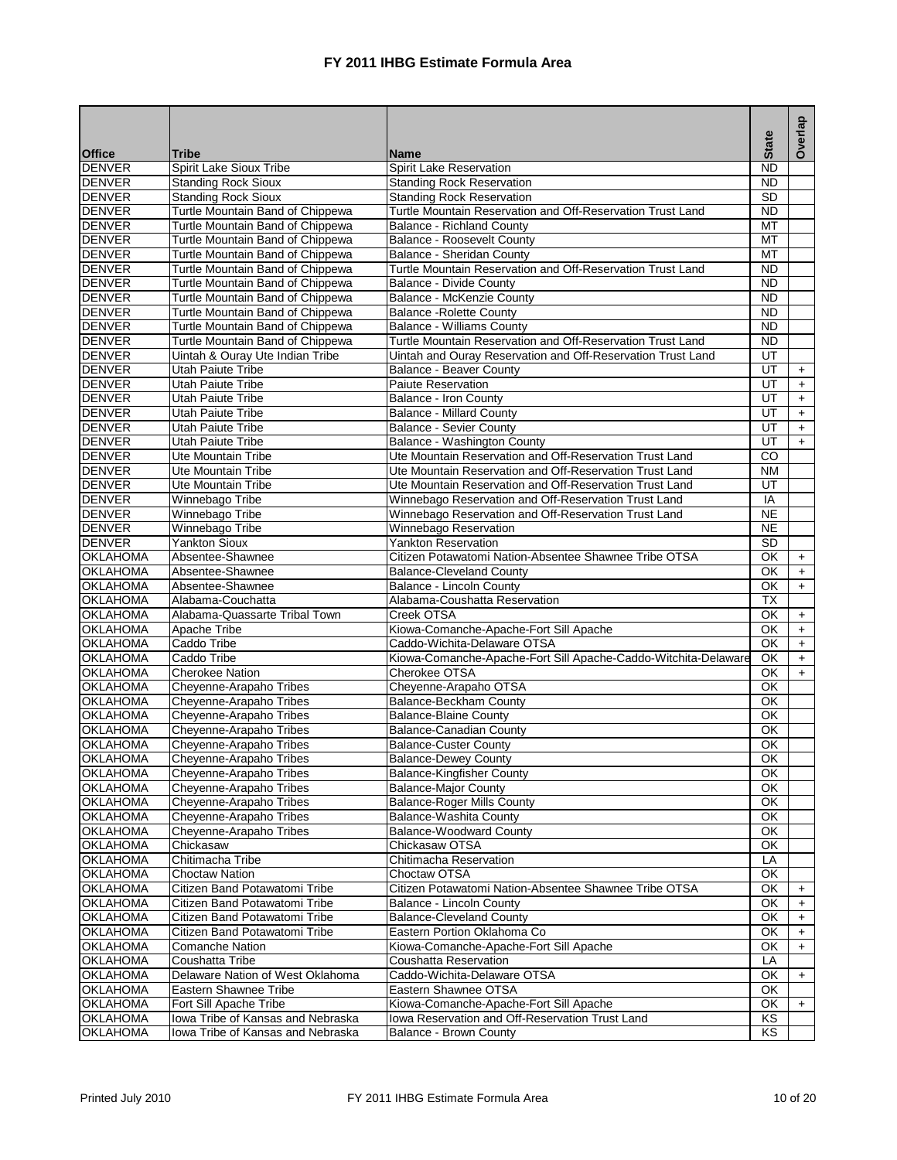|                                    |                                                             |                                                                                           |                     | Overlap   |
|------------------------------------|-------------------------------------------------------------|-------------------------------------------------------------------------------------------|---------------------|-----------|
| <b>Office</b>                      | <b>Tribe</b>                                                | <b>Name</b>                                                                               | <b>State</b>        |           |
| <b>DENVER</b>                      | Spirit Lake Sioux Tribe                                     | Spirit Lake Reservation                                                                   | <b>ND</b>           |           |
| <b>DENVER</b>                      | <b>Standing Rock Sioux</b>                                  | <b>Standing Rock Reservation</b>                                                          | $\overline{ND}$     |           |
| <b>DENVER</b>                      | <b>Standing Rock Sioux</b>                                  | <b>Standing Rock Reservation</b>                                                          | $\overline{SD}$     |           |
| <b>DENVER</b>                      | Turtle Mountain Band of Chippewa                            | Turtle Mountain Reservation and Off-Reservation Trust Land                                | <b>ND</b>           |           |
| <b>DENVER</b>                      | Turtle Mountain Band of Chippewa                            | Balance - Richland County                                                                 | MT                  |           |
| <b>DENVER</b>                      | Turtle Mountain Band of Chippewa                            | Balance - Roosevelt County                                                                | MT                  |           |
| <b>DENVER</b>                      | Turtle Mountain Band of Chippewa                            | Balance - Sheridan County                                                                 | MT                  |           |
| <b>DENVER</b>                      | Turtle Mountain Band of Chippewa                            | Turtle Mountain Reservation and Off-Reservation Trust Land                                | <b>ND</b>           |           |
| <b>DENVER</b>                      | Turtle Mountain Band of Chippewa                            | <b>Balance - Divide County</b>                                                            | <b>ND</b>           |           |
| <b>DENVER</b>                      | Turtle Mountain Band of Chippewa                            | <b>Balance - McKenzie County</b>                                                          | $\overline{ND}$     |           |
| <b>DENVER</b>                      | Turtle Mountain Band of Chippewa                            | <b>Balance - Rolette County</b>                                                           | $\overline{ND}$     |           |
| <b>DENVER</b>                      | Turtle Mountain Band of Chippewa                            | <b>Balance - Williams County</b>                                                          | $\overline{ND}$     |           |
| <b>DENVER</b>                      | Turtle Mountain Band of Chippewa                            | Turtle Mountain Reservation and Off-Reservation Trust Land                                | $\overline{ND}$     |           |
| <b>DENVER</b>                      | Uintah & Ouray Ute Indian Tribe                             | Uintah and Ouray Reservation and Off-Reservation Trust Land                               | UT                  |           |
| <b>DENVER</b>                      | Utah Paiute Tribe                                           | Balance - Beaver County                                                                   | UT                  | $\ddot{}$ |
| <b>DENVER</b><br><b>DENVER</b>     | Utah Paiute Tribe                                           | <b>Paiute Reservation</b>                                                                 | UT<br>UT            | $+$       |
|                                    | Utah Paiute Tribe                                           | Balance - Iron County<br><b>Balance - Millard County</b>                                  |                     | $+$       |
| <b>DENVER</b><br><b>DENVER</b>     | <b>Utah Paiute Tribe</b><br><b>Utah Paiute Tribe</b>        | <b>Balance - Sevier County</b>                                                            | UT<br>UT            | $+$       |
|                                    | <b>Utah Paiute Tribe</b>                                    |                                                                                           | UT                  | $+$       |
| <b>DENVER</b><br><b>DENVER</b>     | Ute Mountain Tribe                                          | Balance - Washington County<br>Ute Mountain Reservation and Off-Reservation Trust Land    | $\overline{c}$      | $+$       |
| <b>DENVER</b>                      | <b>Ute Mountain Tribe</b>                                   | Ute Mountain Reservation and Off-Reservation Trust Land                                   | <b>NM</b>           |           |
| <b>DENVER</b>                      | Ute Mountain Tribe                                          | Ute Mountain Reservation and Off-Reservation Trust Land                                   | UT                  |           |
| <b>DENVER</b>                      | Winnebago Tribe                                             | Winnebago Reservation and Off-Reservation Trust Land                                      | IA                  |           |
| <b>DENVER</b>                      | Winnebago Tribe                                             | Winnebago Reservation and Off-Reservation Trust Land                                      | <b>NE</b>           |           |
| <b>DENVER</b>                      | Winnebago Tribe                                             | Winnebago Reservation                                                                     | <b>NE</b>           |           |
| <b>DENVER</b>                      | <b>Yankton Sioux</b>                                        | <b>Yankton Reservation</b>                                                                | SD                  |           |
| <b>OKLAHOMA</b>                    | Absentee-Shawnee                                            | Citizen Potawatomi Nation-Absentee Shawnee Tribe OTSA                                     | $\overline{\alpha}$ | $+$       |
| <b>OKLAHOMA</b>                    | Absentee-Shawnee                                            | <b>Balance-Cleveland County</b>                                                           | OK                  | $+$       |
| <b>OKLAHOMA</b>                    | Absentee-Shawnee                                            | Balance - Lincoln County                                                                  | OK                  | $+$       |
| <b>OKLAHOMA</b>                    | Alabama-Couchatta                                           | Alabama-Coushatta Reservation                                                             | $\overline{TX}$     |           |
| <b>OKLAHOMA</b>                    | Alabama-Quassarte Tribal Town                               | Creek OTSA                                                                                | OK                  | $+$       |
| <b>OKLAHOMA</b>                    | Apache Tribe                                                | Kiowa-Comanche-Apache-Fort Sill Apache                                                    | OK                  | $+$       |
| <b>OKLAHOMA</b>                    | Caddo Tribe                                                 | Caddo-Wichita-Delaware OTSA                                                               | OK                  | $\ddot{}$ |
| <b>OKLAHOMA</b>                    | Caddo Tribe                                                 | Kiowa-Comanche-Apache-Fort Sill Apache-Caddo-Witchita-Delaware                            | OK                  | $+$       |
| <b>OKLAHOMA</b>                    | <b>Cherokee Nation</b>                                      | Cherokee OTSA                                                                             | OK                  | $+$       |
| <b>OKLAHOMA</b>                    | Cheyenne-Arapaho Tribes                                     | Cheyenne-Arapaho OTSA                                                                     | ОK                  |           |
| <b>OKLAHOMA</b>                    | Cheyenne-Arapaho Tribes                                     | <b>Balance-Beckham County</b>                                                             | $\overline{\alpha}$ |           |
| <b>OKLAHOMA</b>                    | Cheyenne-Arapaho Tribes                                     | <b>Balance-Blaine County</b>                                                              | OK                  |           |
| <b>OKLAHOMA</b>                    | Cheyenne-Arapaho Tribes                                     | <b>Balance-Canadian County</b>                                                            | OK                  |           |
| <b>OKLAHOMA</b>                    | Cheyenne-Arapaho Tribes                                     | <b>Balance-Custer County</b>                                                              | OK                  |           |
| <b>OKLAHOMA</b>                    | Cheyenne-Arapaho Tribes                                     | <b>Balance-Dewey County</b>                                                               | $\overline{\alpha}$ |           |
| <b>OKLAHOMA</b>                    | Cheyenne-Arapaho Tribes                                     | <b>Balance-Kingfisher County</b>                                                          | OK                  |           |
| <b>OKLAHOMA</b>                    | Cheyenne-Arapaho Tribes                                     | <b>Balance-Major County</b>                                                               | ОK                  |           |
| <b>OKLAHOMA</b>                    | Cheyenne-Arapaho Tribes                                     | <b>Balance-Roger Mills County</b>                                                         | OK                  |           |
| <b>OKLAHOMA</b>                    | Cheyenne-Arapaho Tribes                                     | Balance-Washita County                                                                    | OK                  |           |
| <b>OKLAHOMA</b>                    | Cheyenne-Arapaho Tribes                                     | Balance-Woodward County                                                                   | ΟK                  |           |
| <b>OKLAHOMA</b>                    | Chickasaw                                                   | Chickasaw OTSA                                                                            | OK                  |           |
| <b>OKLAHOMA</b>                    | Chitimacha Tribe                                            | Chitimacha Reservation                                                                    | LA                  |           |
| <b>OKLAHOMA</b>                    | <b>Choctaw Nation</b>                                       | Choctaw OTSA                                                                              | OK                  |           |
| <b>OKLAHOMA</b>                    | Citizen Band Potawatomi Tribe                               | Citizen Potawatomi Nation-Absentee Shawnee Tribe OTSA                                     | OK                  | $\ddot{}$ |
| <b>OKLAHOMA</b>                    | Citizen Band Potawatomi Tribe                               | Balance - Lincoln County                                                                  | OK                  | $\ddot{}$ |
| <b>OKLAHOMA</b>                    | Citizen Band Potawatomi Tribe                               | <b>Balance-Cleveland County</b>                                                           | ОK                  | $+$       |
| <b>OKLAHOMA</b>                    | Citizen Band Potawatomi Tribe                               | Eastern Portion Oklahoma Co                                                               | OK                  | +         |
| <b>OKLAHOMA</b>                    | <b>Comanche Nation</b>                                      | Kiowa-Comanche-Apache-Fort Sill Apache                                                    | OK                  | $+$       |
| <b>OKLAHOMA</b>                    | Coushatta Tribe                                             | Coushatta Reservation                                                                     | LÄ                  |           |
| <b>OKLAHOMA</b>                    | Delaware Nation of West Oklahoma                            | Caddo-Wichita-Delaware OTSA                                                               | OK                  | $+$       |
| <b>OKLAHOMA</b>                    | Eastern Shawnee Tribe                                       | Eastern Shawnee OTSA                                                                      | ОΚ                  |           |
| <b>OKLAHOMA</b><br><b>OKLAHOMA</b> | Fort Sill Apache Tribe<br>lowa Tribe of Kansas and Nebraska | Kiowa-Comanche-Apache-Fort Sill Apache<br>Iowa Reservation and Off-Reservation Trust Land | OK<br>KS            | $\ddot{}$ |
| <b>OKLAHOMA</b>                    | Iowa Tribe of Kansas and Nebraska                           | Balance - Brown County                                                                    | KS.                 |           |
|                                    |                                                             |                                                                                           |                     |           |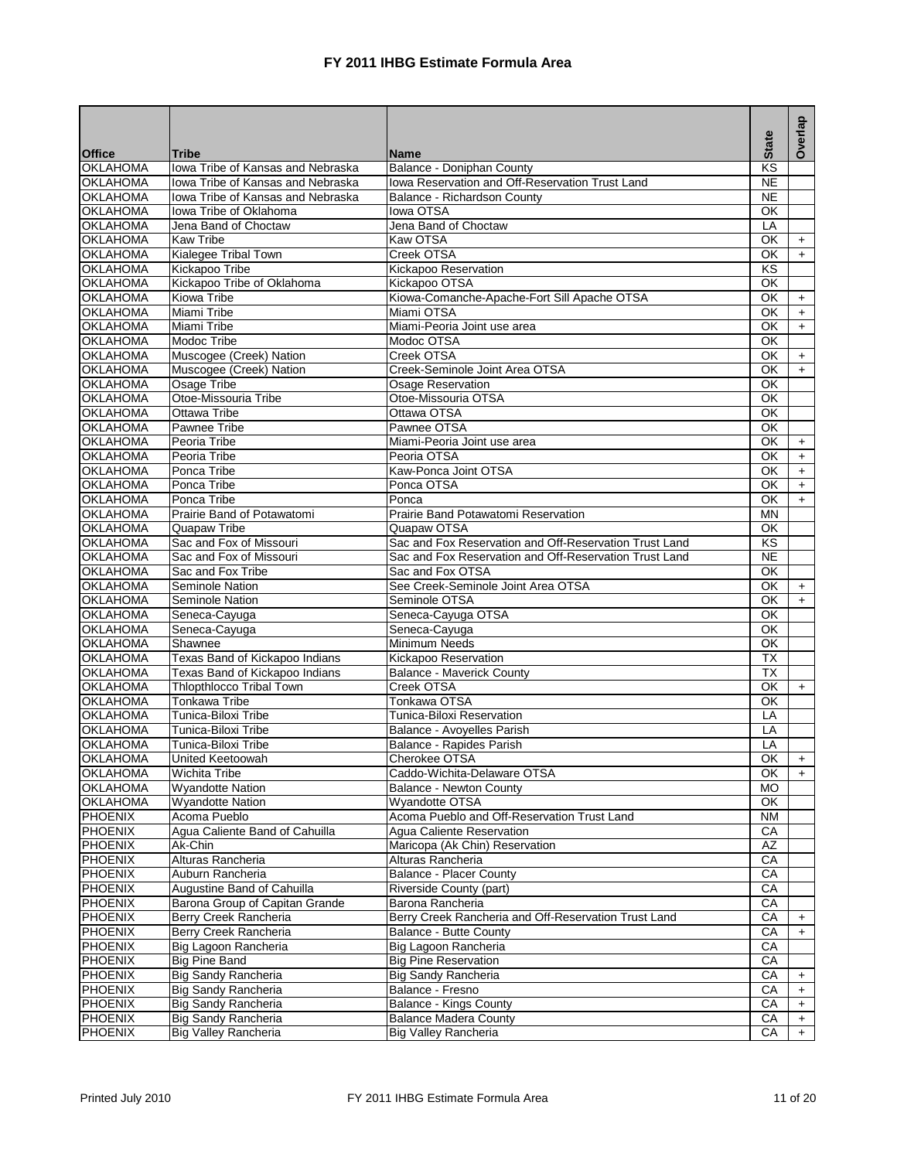|                                    |                                              |                                                                            |                          | Overlap   |
|------------------------------------|----------------------------------------------|----------------------------------------------------------------------------|--------------------------|-----------|
| <b>Office</b>                      | Tribe                                        | <b>Name</b>                                                                | <b>State</b>             |           |
| <b>OKLAHOMA</b>                    | Iowa Tribe of Kansas and Nebraska            | Balance - Doniphan County                                                  | KS                       |           |
| <b>OKLAHOMA</b>                    | Iowa Tribe of Kansas and Nebraska            | Iowa Reservation and Off-Reservation Trust Land                            | $\overline{NE}$          |           |
| <b>OKLAHOMA</b>                    | lowa Tribe of Kansas and Nebraska            | Balance - Richardson County                                                | <b>NE</b>                |           |
| <b>OKLAHOMA</b>                    | Iowa Tribe of Oklahoma                       | lowa OTSA                                                                  | OK                       |           |
| <b>OKLAHOMA</b>                    | Jena Band of Choctaw                         | Jena Band of Choctaw                                                       | LA                       |           |
| <b>OKLAHOMA</b><br><b>OKLAHOMA</b> | <b>Kaw Tribe</b>                             | Kaw OTSA<br>Creek OTSA                                                     | <b>OK</b><br>OK          | $+$       |
| <b>OKLAHOMA</b>                    | Kialegee Tribal Town<br>Kickapoo Tribe       | Kickapoo Reservation                                                       | $\overline{\text{KS}}$   | $+$       |
| <b>OKLAHOMA</b>                    | Kickapoo Tribe of Oklahoma                   | Kickapoo OTSA                                                              | OK                       |           |
| <b>OKLAHOMA</b>                    | Kiowa Tribe                                  | Kiowa-Comanche-Apache-Fort Sill Apache OTSA                                | <b>OK</b>                | $+$       |
| <b>OKLAHOMA</b>                    | Miami Tribe                                  | Miami OTSA                                                                 | $\overline{\alpha}$      | $+$       |
| <b>OKLAHOMA</b>                    | Miami Tribe                                  | Miami-Peoria Joint use area                                                | OK                       | $+$       |
| <b>OKLAHOMA</b>                    | Modoc Tribe                                  | Modoc OTSA                                                                 | OK                       |           |
| <b>OKLAHOMA</b>                    | Muscogee (Creek) Nation                      | Creek OTSA                                                                 | OK                       | $+$       |
| <b>OKLAHOMA</b>                    | Muscogee (Creek) Nation                      | Creek-Seminole Joint Area OTSA                                             | OK                       | $+$       |
| <b>OKLAHOMA</b>                    | Osage Tribe                                  | Osage Reservation                                                          | OK                       |           |
| <b>OKLAHOMA</b>                    | Otoe-Missouria Tribe                         | Otoe-Missouria OTSA                                                        | OK                       |           |
| <b>OKLAHOMA</b>                    | Ottawa Tribe                                 | Ottawa OTSA                                                                | <b>OK</b>                |           |
| <b>OKLAHOMA</b>                    | Pawnee Tribe                                 | Pawnee OTSA                                                                | OK                       |           |
| <b>OKLAHOMA</b>                    | Peoria Tribe                                 | Miami-Peoria Joint use area                                                | OK                       | $+$       |
| <b>OKLAHOMA</b>                    | Peoria Tribe                                 | Peoria OTSA                                                                | OK                       | $+$       |
| <b>OKLAHOMA</b>                    | Ponca Tribe                                  | Kaw-Ponca Joint OTSA                                                       | OK                       | $+$       |
| <b>OKLAHOMA</b>                    | Ponca Tribe                                  | Ponca OTSA                                                                 | OK                       | $+$       |
| <b>OKLAHOMA</b>                    | Ponca Tribe                                  | Ponca                                                                      | OK                       | $+$       |
| <b>OKLAHOMA</b>                    | Prairie Band of Potawatomi                   | Prairie Band Potawatomi Reservation                                        | <b>MN</b>                |           |
| <b>OKLAHOMA</b>                    | Quapaw Tribe                                 | Quapaw OTSA                                                                | OK                       |           |
| <b>OKLAHOMA</b><br><b>OKLAHOMA</b> | Sac and Fox of Missouri                      | Sac and Fox Reservation and Off-Reservation Trust Land                     | KS<br>$\overline{NE}$    |           |
| <b>OKLAHOMA</b>                    | Sac and Fox of Missouri<br>Sac and Fox Tribe | Sac and Fox Reservation and Off-Reservation Trust Land<br>Sac and Fox OTSA | OK                       |           |
| <b>OKLAHOMA</b>                    | Seminole Nation                              | See Creek-Seminole Joint Area OTSA                                         | OK                       | $+$       |
| <b>OKLAHOMA</b>                    | Seminole Nation                              | Seminole OTSA                                                              | OK                       | $+$       |
| <b>OKLAHOMA</b>                    | Seneca-Cayuga                                | Seneca-Cayuga OTSA                                                         | OK                       |           |
| <b>OKLAHOMA</b>                    | Seneca-Cayuga                                | Seneca-Cayuga                                                              | $\overline{\alpha}$      |           |
| <b>OKLAHOMA</b>                    | Shawnee                                      | Minimum Needs                                                              | OK                       |           |
| <b>OKLAHOMA</b>                    | Texas Band of Kickapoo Indians               | Kickapoo Reservation                                                       | <b>TX</b>                |           |
| <b>OKLAHOMA</b>                    | Texas Band of Kickapoo Indians               | <b>Balance - Maverick County</b>                                           | $\overline{TX}$          |           |
| <b>OKLAHOMA</b>                    | Thlopthlocco Tribal Town                     | Creek OTSA                                                                 | OK                       | $+$       |
| <b>OKLAHOMA</b>                    | <b>Tonkawa Tribe</b>                         | Tonkawa OTSA                                                               | OK                       |           |
| <b>OKLAHOMA</b>                    | Tunica-Biloxi Tribe                          | Tunica-Biloxi Reservation                                                  | LA                       |           |
| <b>OKLAHOMA</b>                    | Tunica-Biloxi Tribe                          | Balance - Avoyelles Parish                                                 | LA                       |           |
| <b>OKLAHOMA</b>                    | Tunica-Biloxi Tribe                          | Balance - Rapides Parish                                                   | LA                       |           |
| OKLAHOMA                           | <b>United Keetoowah</b>                      | Cherokee OTSA                                                              | $\overline{\mathsf{OK}}$ | $+$       |
| <b>OKLAHOMA</b>                    | <b>Wichita Tribe</b>                         | Caddo-Wichita-Delaware OTSA                                                | OK                       | $+$       |
| <b>OKLAHOMA</b>                    | <b>Wyandotte Nation</b>                      | Balance - Newton County                                                    | МO                       |           |
| <b>OKLAHOMA</b><br>PHOENIX         | <b>Wyandotte Nation</b><br>Acoma Pueblo      | Wyandotte OTSA<br>Acoma Pueblo and Off-Reservation Trust Land              | OK<br><b>NM</b>          |           |
| <b>PHOENIX</b>                     | Agua Caliente Band of Cahuilla               | Agua Caliente Reservation                                                  | СA                       |           |
| <b>PHOENIX</b>                     | Ak-Chin                                      | Maricopa (Ak Chin) Reservation                                             | AZ                       |           |
| PHOENIX                            | Alturas Rancheria                            | Alturas Rancheria                                                          | СA                       |           |
| <b>PHOENIX</b>                     | Auburn Rancheria                             | <b>Balance - Placer County</b>                                             | CA                       |           |
| PHOENIX                            | Augustine Band of Cahuilla                   | Riverside County (part)                                                    | CA                       |           |
| <b>PHOENIX</b>                     | Barona Group of Capitan Grande               | Barona Rancheria                                                           | CA                       |           |
| <b>PHOENIX</b>                     | Berry Creek Rancheria                        | Berry Creek Rancheria and Off-Reservation Trust Land                       | CA                       | $+$       |
| PHOENIX                            | Berry Creek Rancheria                        | Balance - Butte County                                                     | СA                       | $+$       |
| <b>PHOENIX</b>                     | Big Lagoon Rancheria                         | Big Lagoon Rancheria                                                       | CA                       |           |
| <b>PHOENIX</b>                     | <b>Big Pine Band</b>                         | <b>Big Pine Reservation</b>                                                | CA                       |           |
| PHOENIX                            | <b>Big Sandy Rancheria</b>                   | <b>Big Sandy Rancheria</b>                                                 | СA                       | $\ddot{}$ |
| PHOENIX                            | <b>Big Sandy Rancheria</b>                   | Balance - Fresno                                                           | СA                       | $+$       |
| PHOENIX                            | <b>Big Sandy Rancheria</b>                   | Balance - Kings County                                                     | CA                       | $+$       |
| <b>PHOENIX</b>                     | <b>Big Sandy Rancheria</b>                   | <b>Balance Madera County</b>                                               | CA                       | $+$       |
| <b>PHOENIX</b>                     | Big Valley Rancheria                         | <b>Big Valley Rancheria</b>                                                | CA                       | $+$       |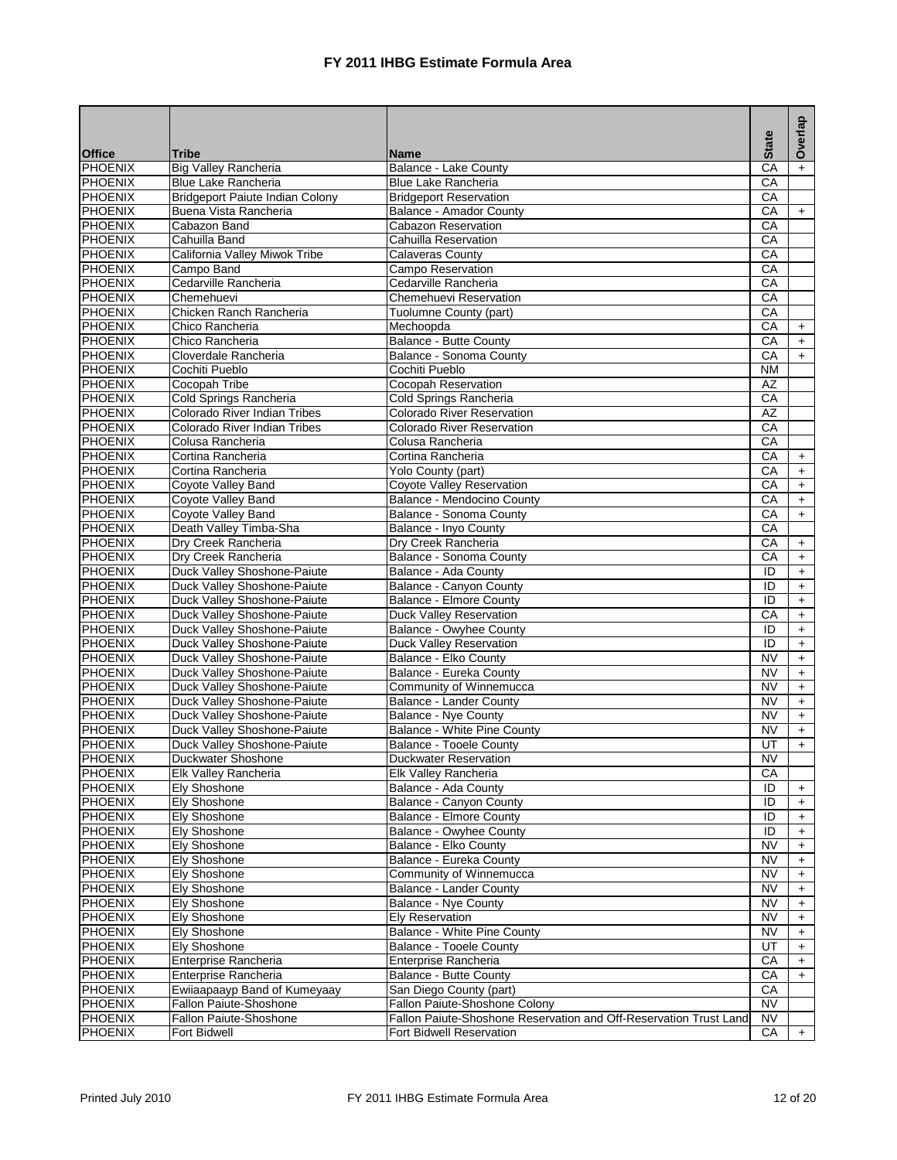|                           |                                                            |                                                                   | <b>State</b>           | Overlap          |
|---------------------------|------------------------------------------------------------|-------------------------------------------------------------------|------------------------|------------------|
| <b>Office</b>             | <b>Tribe</b>                                               | <b>Name</b>                                                       |                        |                  |
| PHOENIX                   | <b>Big Valley Rancheria</b>                                | Balance - Lake County                                             | CA                     |                  |
| PHOENIX                   | Blue Lake Rancheria                                        | <b>Blue Lake Rancheria</b>                                        | CA                     |                  |
| <b>PHOENIX</b>            | <b>Bridgeport Paiute Indian Colony</b>                     | <b>Bridgeport Reservation</b>                                     | CA                     |                  |
| PHOENIX                   | Buena Vista Rancheria                                      | <b>Balance - Amador County</b>                                    | CA                     | $+$              |
| PHOENIX                   | Cabazon Band                                               | <b>Cabazon Reservation</b>                                        | CA                     |                  |
| <b>PHOENIX</b>            | Cahuilla Band                                              | Cahuilla Reservation                                              | CA                     |                  |
| PHOENIX                   | California Valley Miwok Tribe                              | <b>Calaveras County</b>                                           | CA                     |                  |
| PHOENIX                   | Campo Band                                                 | Campo Reservation                                                 | CA                     |                  |
| PHOENIX                   | Cedarville Rancheria                                       | Cedarville Rancheria                                              | CA                     |                  |
| PHOENIX                   | Chemehuevi                                                 | Chemehuevi Reservation                                            | CA                     |                  |
| PHOENIX                   | Chicken Ranch Rancheria                                    | Tuolumne County (part)                                            | CA                     |                  |
| PHOENIX                   | Chico Rancheria                                            | Mechoopda                                                         | CA                     | $+$              |
| PHOENIX                   | Chico Rancheria                                            | Balance - Butte County                                            | CA                     | $\ddot{}$        |
| <b>PHOENIX</b>            | Cloverdale Rancheria                                       | Balance - Sonoma County                                           | CA                     | $+$              |
| PHOENIX                   | Cochiti Pueblo                                             | Cochiti Pueblo                                                    | <b>NM</b>              |                  |
| PHOENIX                   | Cocopah Tribe                                              | Cocopah Reservation                                               | <b>AZ</b>              |                  |
| <b>PHOENIX</b>            | Cold Springs Rancheria                                     | Cold Springs Rancheria                                            | CA                     |                  |
| PHOENIX                   | Colorado River Indian Tribes                               | <b>Colorado River Reservation</b>                                 | AZ                     |                  |
| PHOENIX                   | Colorado River Indian Tribes                               | Colorado River Reservation                                        | $\overline{CA}$        |                  |
| PHOENIX                   | Colusa Rancheria                                           | Colusa Rancheria                                                  | CA                     |                  |
| PHOENIX                   | Cortina Rancheria                                          | Cortina Rancheria                                                 | CA                     | $+$              |
| PHOENIX                   | Cortina Rancheria                                          | Yolo County (part)                                                | CA                     | $\ddot{}$        |
| PHOENIX                   | Coyote Valley Band                                         | Coyote Valley Reservation                                         | CA                     | $+$              |
| PHOENIX                   | Coyote Valley Band                                         | Balance - Mendocino County                                        | $\overline{CA}$        | $+$              |
| PHOENIX                   | Coyote Valley Band                                         | Balance - Sonoma County                                           | CA                     | $+$              |
| PHOENIX                   | Death Valley Timba-Sha                                     | Balance - Inyo County                                             | CA                     |                  |
| PHOENIX                   | Dry Creek Rancheria                                        | Dry Creek Rancheria                                               | CA                     | $+$              |
| PHOENIX                   | Dry Creek Rancheria                                        | Balance - Sonoma County                                           | $\overline{CA}$        | $+$              |
| <b>PHOENIX</b>            | Duck Valley Shoshone-Paiute                                | Balance - Ada County                                              | ID                     | $\ddot{}$        |
| PHOENIX                   | Duck Valley Shoshone-Paiute                                | Balance - Canyon County                                           | ID                     | $\ddot{}$        |
| PHOENIX                   | Duck Valley Shoshone-Paiute                                | <b>Balance - Elmore County</b>                                    | ID                     | $\ddot{}$        |
| PHOENIX                   | Duck Valley Shoshone-Paiute                                | Duck Valley Reservation                                           | CA                     | $+$              |
| PHOENIX                   | Duck Valley Shoshone-Paiute                                | Balance - Owyhee County                                           | ID                     | $\ddot{}$        |
| PHOENIX                   | Duck Valley Shoshone-Paiute                                | Duck Valley Reservation                                           | ID                     | $\ddot{}$        |
| PHOENIX<br><b>PHOENIX</b> | Duck Valley Shoshone-Paiute                                | Balance - Elko County                                             | <b>NV</b>              | $+$              |
| PHOENIX                   | Duck Valley Shoshone-Paiute<br>Duck Valley Shoshone-Paiute | Balance - Eureka County<br>Community of Winnemucca                | <b>NV</b><br><b>NV</b> | $\ddot{}$        |
| PHOENIX                   | Duck Valley Shoshone-Paiute                                | Balance - Lander County                                           | <b>NV</b>              | $\ddot{}$        |
| <b>PHOENIX</b>            | Duck Valley Shoshone-Paiute                                | <b>Balance - Nye County</b>                                       | <b>NV</b>              | $+$              |
| PHOENIX                   | Duck Valley Shoshone-Paiute                                | Balance - White Pine County                                       | <b>NV</b>              | $+$<br>$\ddot{}$ |
| PHOENIX                   | Duck Valley Shoshone-Paiute                                | <b>Balance - Tooele County</b>                                    | UT                     | $+$              |
| <b>PHOENIX</b>            | Duckwater Shoshone                                         | <b>Duckwater Reservation</b>                                      | $\overline{\text{NV}}$ |                  |
| <b>PHOENIX</b>            | Elk Valley Rancheria                                       | Elk Valley Rancheria                                              | CA                     |                  |
| <b>PHOENIX</b>            | <b>Ely Shoshone</b>                                        | Balance - Ada County                                              | ID                     | $\ddot{}$        |
| PHOENIX                   | <b>Ely Shoshone</b>                                        | Balance - Canyon County                                           | ID                     | $+$              |
| PHOENIX                   | <b>Ely Shoshone</b>                                        | <b>Balance - Elmore County</b>                                    | ID                     | $+$              |
| PHOENIX                   | <b>Ely Shoshone</b>                                        | Balance - Owyhee County                                           | ID                     | $\ddot{}$        |
| PHOENIX                   | <b>Ely Shoshone</b>                                        | Balance - Elko County                                             | <b>NV</b>              | $\ddot{}$        |
| PHOENIX                   | <b>Ely Shoshone</b>                                        | Balance - Eureka County                                           | <b>NV</b>              | $\ddot{}$        |
| PHOENIX                   | <b>Ely Shoshone</b>                                        | Community of Winnemucca                                           | <b>NV</b>              | $\ddot{}$        |
| PHOENIX                   | Elv Shoshone                                               | <b>Balance - Lander County</b>                                    | NV                     | $\ddot{}$        |
| PHOENIX                   | Ely Shoshone                                               | Balance - Nye County                                              | NV                     | $\ddot{}$        |
| PHOENIX                   | Ely Shoshone                                               | Ely Reservation                                                   | NV                     | $+$              |
| PHOENIX                   | Ely Shoshone                                               | <b>Balance - White Pine County</b>                                | <b>NV</b>              | $\ddot{}$        |
| PHOENIX                   | <b>Ely Shoshone</b>                                        | <b>Balance - Tooele County</b>                                    | UT                     | $\ddot{}$        |
| PHOENIX                   | Enterprise Rancheria                                       | Enterprise Rancheria                                              | CA                     | $+$              |
| PHOENIX                   | Enterprise Rancheria                                       | Balance - Butte County                                            | CA                     | $\ddot{}$        |
| PHOENIX                   | Ewiiaapaayp Band of Kumeyaay                               | San Diego County (part)                                           | СA                     |                  |
| PHOENIX                   | Fallon Paiute-Shoshone                                     | Fallon Paiute-Shoshone Colony                                     | <b>NV</b>              |                  |
| PHOENIX                   | Fallon Paiute-Shoshone                                     | Fallon Paiute-Shoshone Reservation and Off-Reservation Trust Land | <b>NV</b>              |                  |
| PHOENIX                   | Fort Bidwell                                               | Fort Bidwell Reservation                                          | CA                     | $+$              |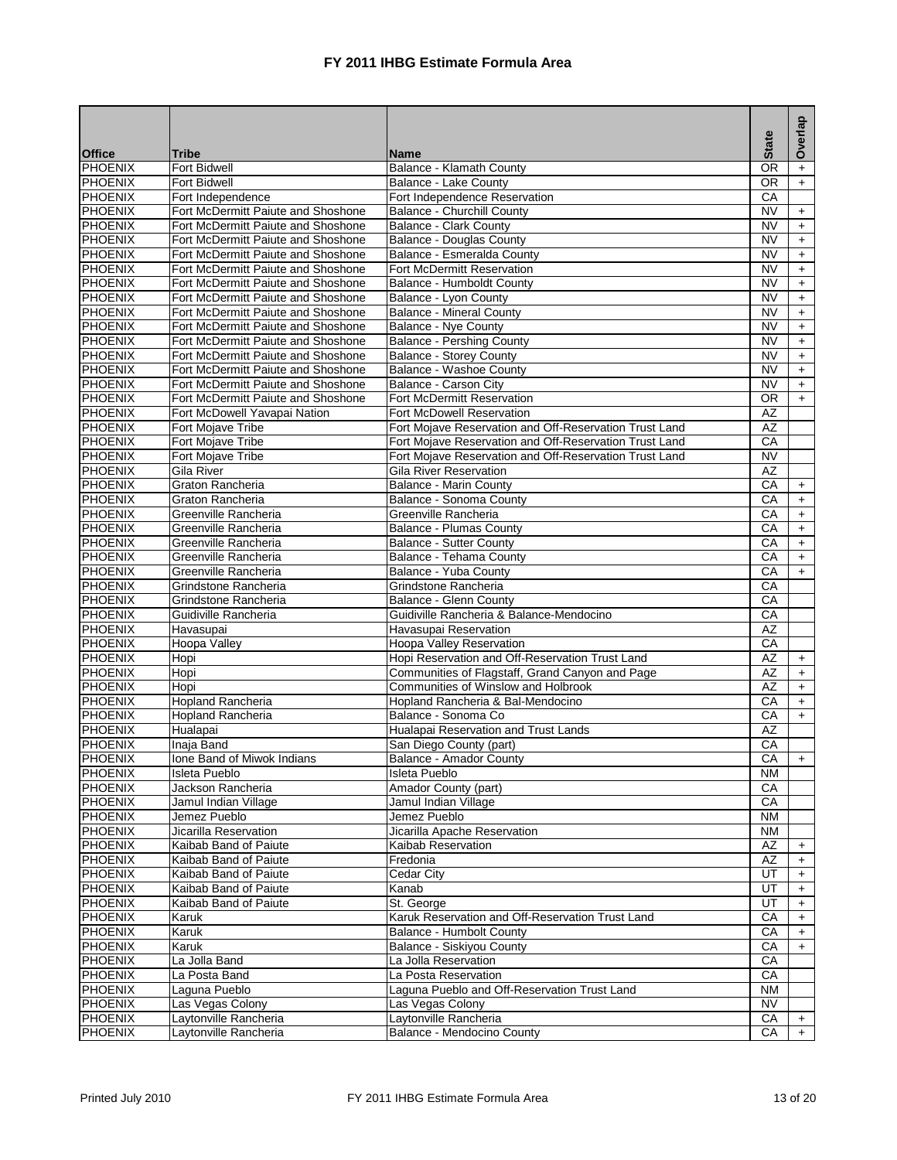|                                                                                                                             |                       | Overlap   |
|-----------------------------------------------------------------------------------------------------------------------------|-----------------------|-----------|
| <b>Office</b><br>Tribe<br><b>Name</b>                                                                                       | <b>State</b>          |           |
| PHOENIX<br><b>Fort Bidwell</b><br>Balance - Klamath County                                                                  | <b>OR</b>             | $\ddot{}$ |
| <b>PHOENIX</b><br>Fort Bidwell<br>Balance - Lake County                                                                     | $\overline{OR}$       | $+$       |
| <b>PHOENIX</b><br>Fort Independence<br>Fort Independence Reservation                                                        | CA                    |           |
| <b>PHOENIX</b><br>Fort McDermitt Paiute and Shoshone<br><b>Balance - Churchill County</b>                                   | <b>NV</b>             | $+$       |
| <b>PHOENIX</b><br>Fort McDermitt Paiute and Shoshone<br><b>Balance - Clark County</b>                                       | <b>NV</b>             | $+$       |
| <b>PHOENIX</b><br>Fort McDermitt Paiute and Shoshone<br>Balance - Douglas County                                            | <b>NV</b>             | $+$       |
| <b>PHOENIX</b><br>Fort McDermitt Paiute and Shoshone<br>Balance - Esmeralda County                                          | <b>NV</b>             | $\ddot{}$ |
| <b>PHOENIX</b><br>Fort McDermitt Paiute and Shoshone<br><b>Fort McDermitt Reservation</b>                                   | <b>NV</b>             | $\ddot{}$ |
| <b>PHOENIX</b><br>Fort McDermitt Paiute and Shoshone<br>Balance - Humboldt County                                           | <b>NV</b>             | $+$       |
| <b>PHOENIX</b><br>Fort McDermitt Paiute and Shoshone<br>Balance - Lyon County                                               | <b>NV</b>             | $+$       |
| <b>PHOENIX</b><br>Fort McDermitt Paiute and Shoshone<br><b>Balance - Mineral County</b>                                     | <b>NV</b>             | $\ddot{}$ |
| <b>PHOENIX</b><br>Fort McDermitt Paiute and Shoshone<br>Balance - Nye County                                                | <b>NV</b>             | $+$       |
| <b>PHOENIX</b><br>Fort McDermitt Paiute and Shoshone<br><b>Balance - Pershing County</b>                                    | <b>NV</b>             | $\ddot{}$ |
| <b>PHOENIX</b><br>Fort McDermitt Paiute and Shoshone<br><b>Balance - Storey County</b>                                      | <b>NV</b>             | $\ddot{}$ |
| <b>PHOENIX</b><br>Fort McDermitt Paiute and Shoshone<br>Balance - Washoe County                                             | <b>NV</b>             | $+$       |
| <b>PHOENIX</b><br>Fort McDermitt Paiute and Shoshone<br>Balance - Carson City                                               | <b>NV</b>             | $+$       |
| <b>PHOENIX</b><br>Fort McDermitt Paiute and Shoshone<br><b>Fort McDermitt Reservation</b>                                   | <b>OR</b>             | $+$       |
| <b>PHOENIX</b><br>Fort McDowell Yavapai Nation<br><b>Fort McDowell Reservation</b>                                          | AZ                    |           |
| <b>PHOENIX</b><br>Fort Mojave Tribe<br>Fort Mojave Reservation and Off-Reservation Trust Land                               | AZ                    |           |
| <b>PHOENIX</b><br>Fort Mojave Tribe<br>Fort Mojave Reservation and Off-Reservation Trust Land                               | CA                    |           |
| <b>PHOENIX</b><br>Fort Mojave Tribe<br>Fort Mojave Reservation and Off-Reservation Trust Land                               | <b>NV</b>             |           |
| <b>PHOENIX</b><br>Gila River<br>Gila River Reservation                                                                      | <b>AZ</b>             |           |
| <b>PHOENIX</b><br>Graton Rancheria<br><b>Balance - Marin County</b>                                                         | CA                    | $+$       |
| <b>PHOENIX</b><br>Graton Rancheria<br>Balance - Sonoma County                                                               | CA                    | $+$       |
| <b>PHOENIX</b><br>Greenville Rancheria<br>Greenville Rancheria                                                              | CA                    | $+$       |
| PHOENIX<br>Greenville Rancheria<br>Balance - Plumas County                                                                  | СA                    | $+$       |
| <b>PHOENIX</b><br>Greenville Rancheria<br><b>Balance - Sutter County</b>                                                    | $\overline{CA}$       | $+$       |
| <b>PHOENIX</b><br>Greenville Rancheria<br>Balance - Tehama County                                                           | CA                    | $+$       |
| <b>PHOENIX</b><br>Balance - Yuba County<br>Greenville Rancheria                                                             | CA                    | $+$       |
| <b>PHOENIX</b><br>Grindstone Rancheria<br>Grindstone Rancheria                                                              | CA                    |           |
| <b>PHOENIX</b><br>Grindstone Rancheria<br><b>Balance - Glenn County</b>                                                     | CA                    |           |
| <b>PHOENIX</b><br>Guidiville Rancheria & Balance-Mendocino<br>Guidiville Rancheria                                          | СA<br>$\overline{AZ}$ |           |
| <b>PHOENIX</b><br>Havasupai Reservation<br>Havasupai                                                                        |                       |           |
| PHOENIX<br>Hoopa Valley<br>Hoopa Valley Reservation                                                                         | CA                    |           |
| <b>PHOENIX</b><br>Hopi Reservation and Off-Reservation Trust Land<br>Hopi                                                   | <b>AZ</b>             | $+$       |
| PHOENIX<br>Hopi<br>Communities of Flagstaff, Grand Canyon and Page<br><b>PHOENIX</b><br>Communities of Winslow and Holbrook | <b>AZ</b><br>AZ       | $\ddot{}$ |
| Hopi<br><b>PHOENIX</b><br><b>Hopland Rancheria</b><br>Hopland Rancheria & Bal-Mendocino                                     | $\overline{CA}$       | $+$       |
| PHOENIX<br>Balance - Sonoma Co                                                                                              | CA                    | $+$       |
| Hopland Rancheria<br>Hualapai Reservation and Trust Lands<br><b>PHOENIX</b><br>Hualapai                                     | AZ                    | $+$       |
| <b>PHOENIX</b><br>Inaja Band<br>San Diego County (part)                                                                     | CA                    |           |
| <b>PHOENIX</b><br>Ione Band of Miwok Indians<br>Balance - Amador County                                                     | CA                    | $+$       |
| <b>PHOENIX</b><br>Isleta Pueblo<br>Isleta Pueblo                                                                            | NM                    |           |
| <b>PHOENIX</b><br>Jackson Rancheria<br>Amador County (part)                                                                 | CA                    |           |
| PHOENIX<br>Jamul Indian Village<br>Jamul Indian Village                                                                     | CA                    |           |
| PHOENIX<br>Jemez Pueblo<br>Jemez Pueblo                                                                                     | <b>NM</b>             |           |
| <b>PHOENIX</b><br>Jicarilla Reservation<br>Jicarilla Apache Reservation                                                     | <b>NM</b>             |           |
| <b>PHOENIX</b><br>Kaibab Band of Paiute<br>Kaibab Reservation                                                               | AZ                    | $\ddot{}$ |
| <b>PHOENIX</b><br>Kaibab Band of Paiute<br>Fredonia                                                                         | AZ                    | $\ddot{}$ |
| <b>PHOENIX</b><br>Cedar City<br>Kaibab Band of Paiute                                                                       | UT                    | $\ddot{}$ |
| <b>PHOENIX</b><br>Kaibab Band of Paiute<br>Kanab                                                                            | UT                    | $\ddot{}$ |
| <b>PHOENIX</b><br>Kaibab Band of Paiute<br>St. George                                                                       | UT                    | $+$       |
| PHOENIX<br>Karuk Reservation and Off-Reservation Trust Land<br>Karuk                                                        | CA                    | $+$       |
| <b>PHOENIX</b><br>Karuk<br>Balance - Humbolt County                                                                         | СA                    | $\ddot{}$ |
| <b>PHOENIX</b><br>Karuk<br>Balance - Siskiyou County                                                                        | CA                    | $\ddot{}$ |
| <b>PHOENIX</b><br>La Jolla Band<br>La Jolla Reservation                                                                     | CA                    |           |
| <b>PHOENIX</b><br>La Posta Band<br>La Posta Reservation                                                                     | CA                    |           |
| <b>PHOENIX</b><br>Laguna Pueblo<br>Laguna Pueblo and Off-Reservation Trust Land                                             | <b>NM</b>             |           |
| <b>PHOENIX</b><br>Las Vegas Colony<br>Las Vegas Colony                                                                      | <b>NV</b>             |           |
| <b>PHOENIX</b><br>Laytonville Rancheria<br>Laytonville Rancheria                                                            | CA                    | $+$       |
| <b>PHOENIX</b><br>Laytonville Rancheria<br>Balance - Mendocino County                                                       | CA                    | $+$       |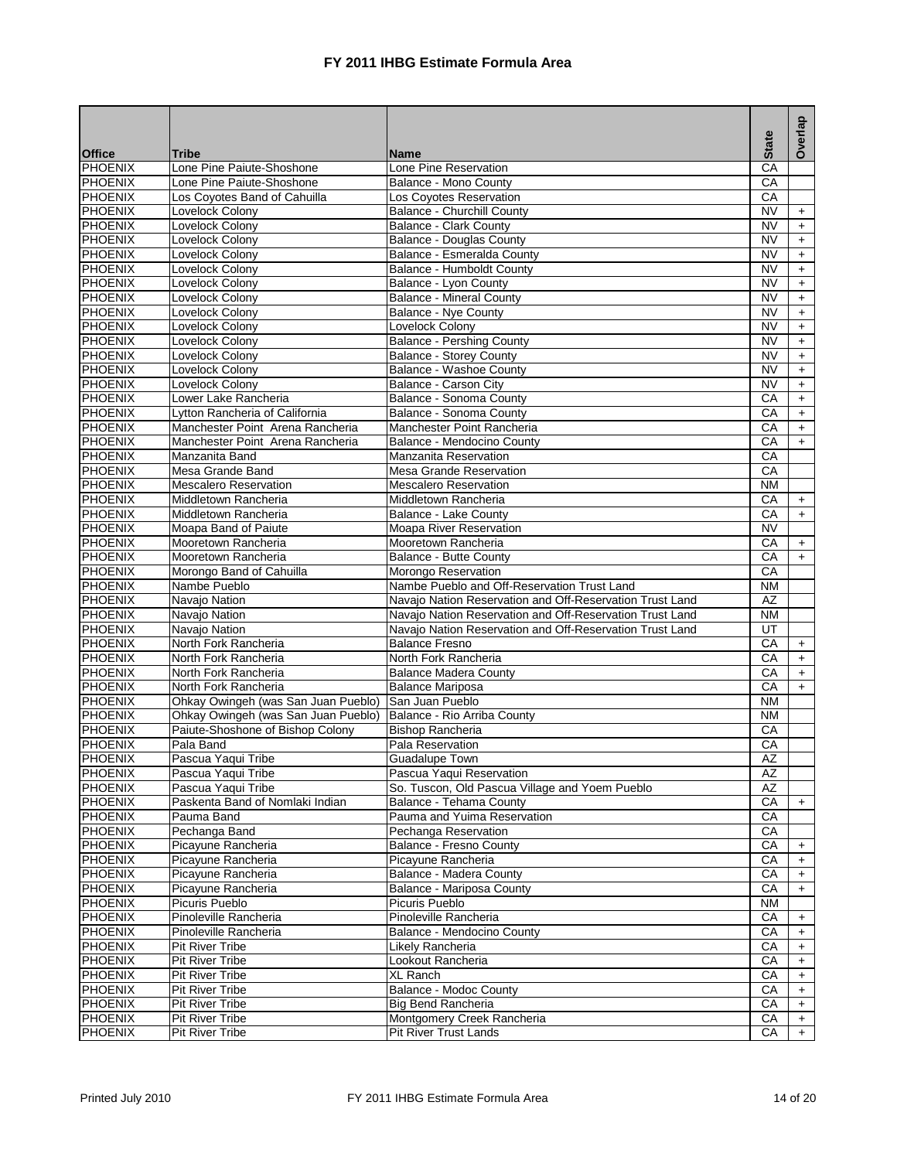|                    |                                              |                                                          |                 | Overlap    |
|--------------------|----------------------------------------------|----------------------------------------------------------|-----------------|------------|
| <b>Office</b>      | Tribe                                        | <b>Name</b>                                              | <b>State</b>    |            |
| PHOENIX            | Lone Pine Paiute-Shoshone                    | Lone Pine Reservation                                    | CA              |            |
| PHOENIX            | Lone Pine Paiute-Shoshone                    | Balance - Mono County                                    | CA              |            |
| <b>PHOENIX</b>     | Los Coyotes Band of Cahuilla                 | Los Coyotes Reservation                                  | CA              |            |
| PHOENIX            | Lovelock Colony                              | Balance - Churchill County                               | <b>NV</b>       | $+$        |
| PHOENIX            | Lovelock Colony                              | <b>Balance - Clark County</b>                            | <b>NV</b>       | $+$        |
| <b>PHOENIX</b>     | Lovelock Colony                              | <b>Balance - Douglas County</b>                          | <b>NV</b>       | $+$        |
| PHOENIX            | Lovelock Colony                              | Balance - Esmeralda County                               | <b>NV</b>       | $+$        |
| PHOENIX            | Lovelock Colony                              | Balance - Humboldt County                                | <b>NV</b>       | $\ddot{}$  |
| PHOENIX            | Lovelock Colony                              | Balance - Lyon County                                    | <b>NV</b>       | $+$        |
| PHOENIX            | Lovelock Colony                              | <b>Balance - Mineral County</b>                          | <b>NV</b>       | $+$        |
| <b>PHOENIX</b>     | Lovelock Colony                              | Balance - Nye County                                     | <b>NV</b>       | $+$        |
| PHOENIX            | Lovelock Colony                              | Lovelock Colony                                          | <b>NV</b>       | $+$        |
| <b>PHOENIX</b>     | Lovelock Colony                              | <b>Balance - Pershing County</b>                         | <b>NV</b>       | $+$        |
| <b>PHOENIX</b>     | Lovelock Colony                              | <b>Balance - Storey County</b>                           | <b>NV</b>       | $+$        |
| PHOENIX            | Lovelock Colony                              | Balance - Washoe County                                  | <b>NV</b>       | $\ddot{}$  |
| PHOENIX            | Lovelock Colony                              | Balance - Carson City                                    | <b>NV</b>       | $+$        |
| PHOENIX            | Lower Lake Rancheria                         | Balance - Sonoma County                                  | CA              | $+$        |
| PHOENIX            | Lytton Rancheria of California               | Balance - Sonoma County                                  | CA              | $+$        |
| PHOENIX            | Manchester Point Arena Rancheria             | Manchester Point Rancheria                               | CA              | $\ddot{}$  |
| <b>PHOENIX</b>     | Manchester Point Arena Rancheria             | Balance - Mendocino County                               | CA              | $+$        |
| PHOENIX            | Manzanita Band                               | <b>Manzanita Reservation</b>                             | CA              |            |
| PHOENIX            | Mesa Grande Band                             | Mesa Grande Reservation                                  | CA              |            |
| PHOENIX            | <b>Mescalero Reservation</b>                 | <b>Mescalero Reservation</b>                             | <b>NM</b>       |            |
| PHOENIX            | Middletown Rancheria                         | Middletown Rancheria                                     | CA              | $+$        |
| <b>PHOENIX</b>     | Middletown Rancheria                         | Balance - Lake County                                    | CA              | $+$        |
| PHOENIX            | Moapa Band of Paiute                         | Moapa River Reservation                                  | <b>NV</b>       |            |
| <b>PHOENIX</b>     | Mooretown Rancheria                          | Mooretown Rancheria                                      | CA              | $+$        |
| <b>PHOENIX</b>     | Mooretown Rancheria                          | Balance - Butte County                                   | CA              | $+$        |
| PHOENIX            | Morongo Band of Cahuilla                     | Morongo Reservation                                      | CA              |            |
| <b>PHOENIX</b>     | Nambe Pueblo                                 | Nambe Pueblo and Off-Reservation Trust Land              | <b>NM</b>       |            |
| PHOENIX            | Navajo Nation                                | Navajo Nation Reservation and Off-Reservation Trust Land | AZ              |            |
| PHOENIX<br>PHOENIX | Navajo Nation                                | Navajo Nation Reservation and Off-Reservation Trust Land | <b>NM</b><br>UT |            |
|                    | Navajo Nation                                | Navajo Nation Reservation and Off-Reservation Trust Land |                 |            |
| PHOENIX            | North Fork Rancheria<br>North Fork Rancheria | <b>Balance Fresno</b><br>North Fork Rancheria            | CA<br>CA        | $+$        |
| PHOENIX<br>PHOENIX | North Fork Rancheria                         | <b>Balance Madera County</b>                             | CA              | $+$        |
| PHOENIX            | North Fork Rancheria                         | <b>Balance Mariposa</b>                                  | CA              | $+$<br>$+$ |
| <b>PHOENIX</b>     | Ohkay Owingeh (was San Juan Pueblo)          | San Juan Pueblo                                          | N <sub>M</sub>  |            |
| <b>PHOENIX</b>     | Ohkay Owingeh (was San Juan Pueblo)          | Balance - Rio Arriba County                              | <b>NM</b>       |            |
| <b>PHOENIX</b>     | Paiute-Shoshone of Bishop Colony             | <b>Bishop Rancheria</b>                                  | СA              |            |
| <b>PHOENIX</b>     | Pala Band                                    | Pala Reservation                                         | CA              |            |
| <b>PHOENIX</b>     | Pascua Yaqui Tribe                           | <b>Guadalupe Town</b>                                    | AZ              |            |
| <b>PHOENIX</b>     | Pascua Yaqui Tribe                           | Pascua Yaqui Reservation                                 | AZ              |            |
| <b>PHOENIX</b>     | Pascua Yaqui Tribe                           | So. Tuscon, Old Pascua Village and Yoem Pueblo           | AZ              |            |
| <b>PHOENIX</b>     | Paskenta Band of Nomlaki Indian              | Balance - Tehama County                                  | CA              | $+$        |
| <b>PHOENIX</b>     | Pauma Band                                   | Pauma and Yuima Reservation                              | CA              |            |
| PHOENIX            | Pechanga Band                                | Pechanga Reservation                                     | CA              |            |
| <b>PHOENIX</b>     | Picayune Rancheria                           | Balance - Fresno County                                  | CA              | $\ddot{}$  |
| PHOENIX            | Picayune Rancheria                           | Picayune Rancheria                                       | СA              | $+$        |
| <b>PHOENIX</b>     | Picayune Rancheria                           | Balance - Madera County                                  | СA              | $\ddot{}$  |
| <b>PHOENIX</b>     | Picayune Rancheria                           | Balance - Mariposa County                                | CA              | $\ddot{}$  |
| PHOENIX            | Picuris Pueblo                               | Picuris Pueblo                                           | <b>NM</b>       |            |
| <b>PHOENIX</b>     | Pinoleville Rancheria                        | Pinoleville Rancheria                                    | CA              | $\ddot{}$  |
| PHOENIX            | Pinoleville Rancheria                        | Balance - Mendocino County                               | СA              | $\pm$      |
| PHOENIX            | <b>Pit River Tribe</b>                       | Likely Rancheria                                         | CA              | $\ddot{}$  |
| <b>PHOENIX</b>     | <b>Pit River Tribe</b>                       | Lookout Rancheria                                        | СA              | $+$        |
| <b>PHOENIX</b>     | <b>Pit River Tribe</b>                       | <b>XL Ranch</b>                                          | СA              | $\ddot{}$  |
| <b>PHOENIX</b>     | <b>Pit River Tribe</b>                       | Balance - Modoc County                                   | СA              | $\ddot{}$  |
| <b>PHOENIX</b>     | <b>Pit River Tribe</b>                       | Big Bend Rancheria                                       | CA              | $+$        |
| PHOENIX            | <b>Pit River Tribe</b>                       | Montgomery Creek Rancheria                               | CA              | $\ddot{}$  |
| <b>PHOENIX</b>     | <b>Pit River Tribe</b>                       | Pit River Trust Lands                                    | CA              | $+$        |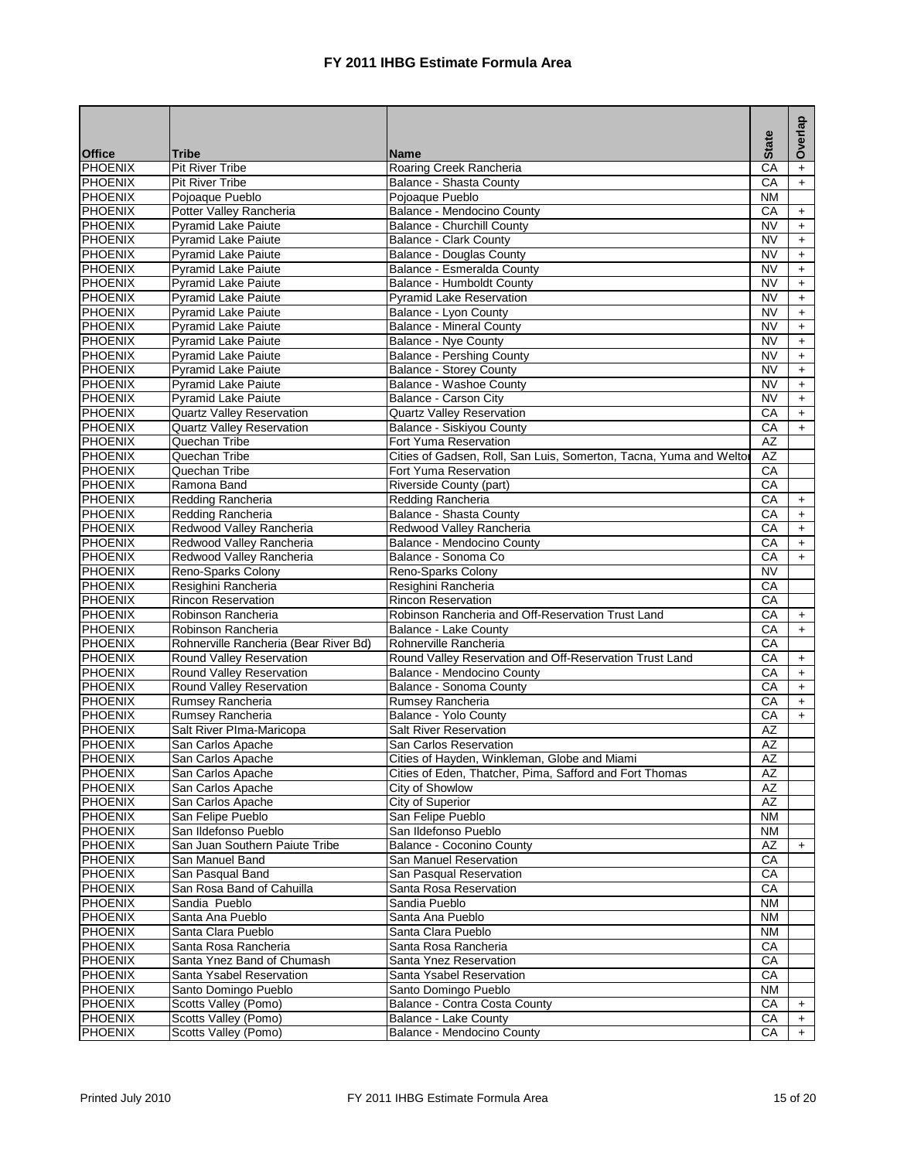|                                  |                                       |                                                                    |                 | Overlap    |
|----------------------------------|---------------------------------------|--------------------------------------------------------------------|-----------------|------------|
| <b>Office</b>                    | Tribe                                 | <b>Name</b>                                                        | <b>State</b>    |            |
| PHOENIX                          | <b>Pit River Tribe</b>                | Roaring Creek Rancheria                                            | CA              | $\ddot{}$  |
| <b>PHOENIX</b>                   | <b>Pit River Tribe</b>                | <b>Balance - Shasta County</b>                                     | $\overline{CA}$ | $+$        |
| <b>PHOENIX</b>                   | Pojoaque Pueblo                       | Pojoaque Pueblo                                                    | <b>NM</b>       |            |
| <b>PHOENIX</b>                   | Potter Valley Rancheria               | Balance - Mendocino County                                         | CA              | $+$        |
| <b>PHOENIX</b>                   | <b>Pyramid Lake Paiute</b>            | <b>Balance - Churchill County</b>                                  | <b>NV</b>       | $+$        |
| <b>PHOENIX</b>                   | <b>Pyramid Lake Paiute</b>            | <b>Balance - Clark County</b>                                      | <b>NV</b>       | $+$        |
| <b>PHOENIX</b>                   | <b>Pyramid Lake Paiute</b>            | <b>Balance - Douglas County</b>                                    | <b>NV</b>       | $+$        |
| <b>PHOENIX</b>                   | <b>Pyramid Lake Paiute</b>            | Balance - Esmeralda County                                         | <b>NV</b>       | +          |
| <b>PHOENIX</b>                   | <b>Pyramid Lake Paiute</b>            | Balance - Humboldt County                                          | <b>NV</b>       | $+$        |
| <b>PHOENIX</b>                   | <b>Pyramid Lake Paiute</b>            | <b>Pyramid Lake Reservation</b>                                    | <b>NV</b>       | $+$        |
| <b>PHOENIX</b>                   | <b>Pyramid Lake Paiute</b>            | Balance - Lyon County                                              | <b>NV</b>       | $\ddot{}$  |
| <b>PHOENIX</b>                   | <b>Pyramid Lake Paiute</b>            | <b>Balance - Mineral County</b>                                    | <b>NV</b>       | $+$        |
| <b>PHOENIX</b>                   | <b>Pyramid Lake Paiute</b>            | Balance - Nye County                                               | <b>NV</b>       | $\ddot{}$  |
| <b>PHOENIX</b>                   | Pyramid Lake Paiute                   | <b>Balance - Pershing County</b>                                   | <b>NV</b>       | $+$        |
| <b>PHOENIX</b>                   | <b>Pyramid Lake Paiute</b>            | <b>Balance - Storey County</b>                                     | <b>NV</b>       | $\ddot{}$  |
| <b>PHOENIX</b>                   | Pyramid Lake Paiute                   | Balance - Washoe County                                            | <b>NV</b>       | $+$        |
| <b>PHOENIX</b>                   | Pyramid Lake Paiute                   | Balance - Carson City                                              | <b>NV</b>       | $+$        |
| <b>PHOENIX</b>                   | <b>Quartz Valley Reservation</b>      | <b>Quartz Valley Reservation</b>                                   | CA              | $\ddot{}$  |
| <b>PHOENIX</b>                   | <b>Quartz Valley Reservation</b>      | <b>Balance - Siskiyou County</b>                                   | CA              | $+$        |
| <b>PHOENIX</b>                   | Quechan Tribe                         | Fort Yuma Reservation                                              | <b>AZ</b><br>AZ |            |
| <b>PHOENIX</b><br><b>PHOENIX</b> | Quechan Tribe<br>Quechan Tribe        | Cities of Gadsen, Roll, San Luis, Somerton, Tacna, Yuma and Weltor | CA              |            |
|                                  | Ramona Band                           | Fort Yuma Reservation                                              | CA              |            |
| <b>PHOENIX</b><br><b>PHOENIX</b> | Redding Rancheria                     | Riverside County (part)<br>Redding Rancheria                       | CA              |            |
| <b>PHOENIX</b>                   | Redding Rancheria                     | Balance - Shasta County                                            | CA              | $+$<br>$+$ |
| <b>PHOENIX</b>                   | Redwood Valley Rancheria              | Redwood Valley Rancheria                                           | CA              |            |
| <b>PHOENIX</b>                   | Redwood Valley Rancheria              | Balance - Mendocino County                                         | CA              | $+$<br>$+$ |
| <b>PHOENIX</b>                   | Redwood Valley Rancheria              | Balance - Sonoma Co                                                | CA              | $+$        |
| <b>PHOENIX</b>                   | Reno-Sparks Colony                    | Reno-Sparks Colony                                                 | <b>NV</b>       |            |
| <b>PHOENIX</b>                   | Resighini Rancheria                   | Resighini Rancheria                                                | CA              |            |
| <b>PHOENIX</b>                   | <b>Rincon Reservation</b>             | <b>Rincon Reservation</b>                                          | CA              |            |
| <b>PHOENIX</b>                   | Robinson Rancheria                    | Robinson Rancheria and Off-Reservation Trust Land                  | СA              | $\ddot{}$  |
| <b>PHOENIX</b>                   | Robinson Rancheria                    | Balance - Lake County                                              | CA              | $+$        |
| <b>PHOENIX</b>                   | Rohnerville Rancheria (Bear River Bd) | Rohnerville Rancheria                                              | CA              |            |
| <b>PHOENIX</b>                   | Round Valley Reservation              | Round Valley Reservation and Off-Reservation Trust Land            | CA              | $\ddot{}$  |
| <b>PHOENIX</b>                   | Round Valley Reservation              | Balance - Mendocino County                                         | CA              | $\ddot{}$  |
| <b>PHOENIX</b>                   | Round Valley Reservation              | Balance - Sonoma County                                            | CA              | $+$        |
| <b>PHOENIX</b>                   | Rumsey Rancheria                      | Rumsey Rancheria                                                   | CA              | $+$        |
| PHOENIX                          | Rumsey Rancheria                      | Balance - Yolo County                                              | CA              | $+$        |
| <b>PHOENIX</b>                   | Salt River PIma-Maricopa              | <b>Salt River Reservation</b>                                      | AZ              |            |
| <b>PHOENIX</b>                   | San Carlos Apache                     | San Carlos Reservation                                             | AZ              |            |
| <b>PHOENIX</b>                   | San Carlos Apache                     | Cities of Hayden, Winkleman, Globe and Miami                       | AZ              |            |
| <b>PHOENIX</b>                   | San Carlos Apache                     | Cities of Eden, Thatcher, Pima, Safford and Fort Thomas            | AΖ              |            |
| PHOENIX                          | San Carlos Apache                     | City of Showlow                                                    | AZ              |            |
| <b>PHOENIX</b>                   | San Carlos Apache                     | City of Superior                                                   | AZ              |            |
| PHOENIX                          | San Felipe Pueblo                     | San Felipe Pueblo                                                  | <b>NM</b>       |            |
| PHOENIX                          | San Ildefonso Pueblo                  | San Ildefonso Pueblo                                               | ΝM              |            |
| PHOENIX                          | San Juan Southern Paiute Tribe        | Balance - Coconino County                                          | AZ              | $+$        |
| PHOENIX                          | San Manuel Band                       | San Manuel Reservation                                             | СA              |            |
| PHOENIX                          | San Pasqual Band                      | San Pasqual Reservation                                            | CA              |            |
| PHOENIX                          | San Rosa Band of Cahuilla             | Santa Rosa Reservation                                             | CA              |            |
| PHOENIX                          | Sandia Pueblo                         | Sandia Pueblo                                                      | <b>NM</b>       |            |
| <b>PHOENIX</b>                   | Santa Ana Pueblo                      | Santa Ana Pueblo                                                   | <b>NM</b>       |            |
| <b>PHOENIX</b>                   | Santa Clara Pueblo                    | Santa Clara Pueblo                                                 | ΝM              |            |
| PHOENIX                          | Santa Rosa Rancheria                  | Santa Rosa Rancheria                                               | CA              |            |
| PHOENIX                          | Santa Ynez Band of Chumash            | Santa Ynez Reservation                                             | CA              |            |
| <b>PHOENIX</b>                   | Santa Ysabel Reservation              | Santa Ysabel Reservation                                           | СA              |            |
| PHOENIX                          | Santo Domingo Pueblo                  | Santo Domingo Pueblo                                               | ΝM              |            |
| PHOENIX                          | Scotts Valley (Pomo)                  | Balance - Contra Costa County                                      | CA              | $\ddot{}$  |
| PHOENIX                          | Scotts Valley (Pomo)                  | Balance - Lake County                                              | CA              | $\ddot{}$  |
| PHOENIX                          | Scotts Valley (Pomo)                  | Balance - Mendocino County                                         | СA              | $\ddot{}$  |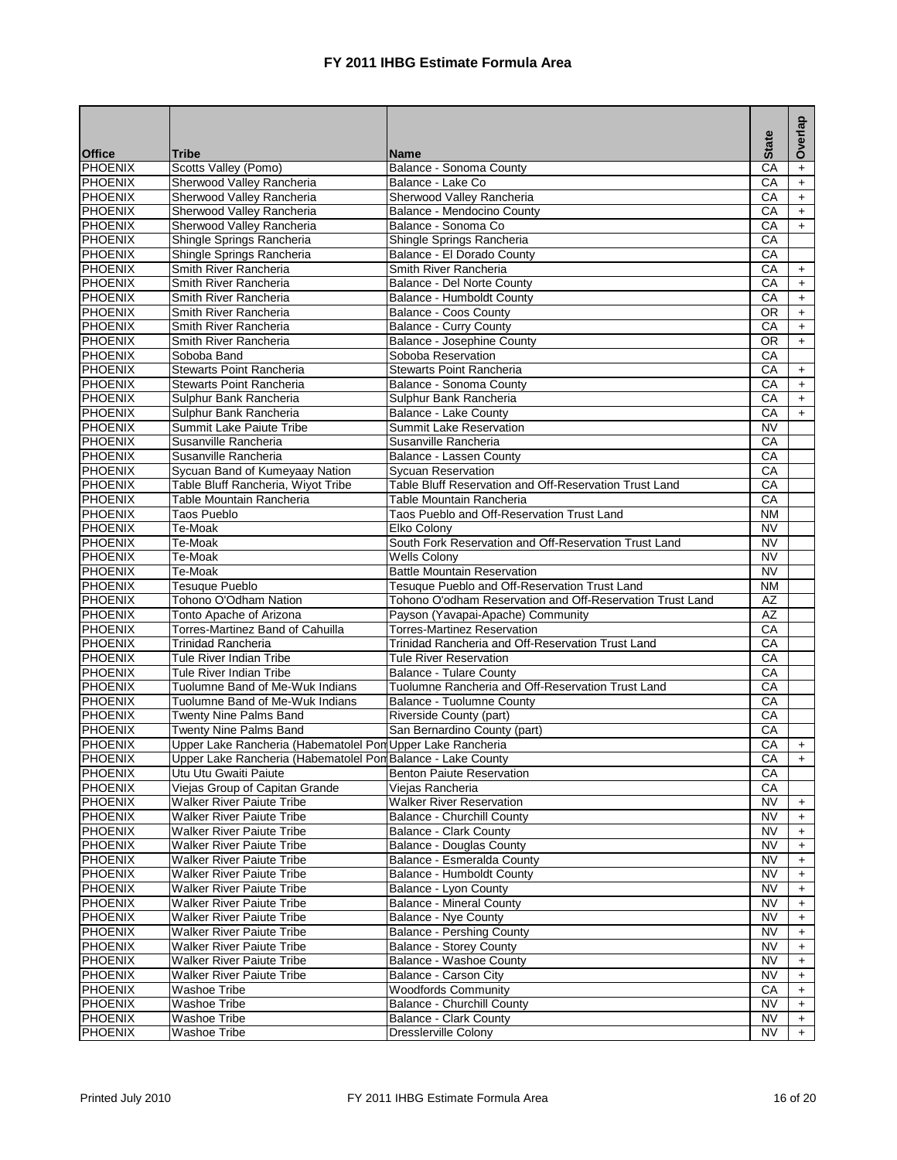|                                  |                                                                    |                                                               |                                     | Overlap          |
|----------------------------------|--------------------------------------------------------------------|---------------------------------------------------------------|-------------------------------------|------------------|
| <b>Office</b>                    | <b>Tribe</b>                                                       | <b>Name</b>                                                   | <b>State</b>                        |                  |
| <b>PHOENIX</b>                   | Scotts Valley (Pomo)                                               | Balance - Sonoma County                                       | CA                                  | $\ddot{}$        |
| PHOENIX                          | Sherwood Valley Rancheria                                          | Balance - Lake Co                                             | $\overline{CA}$                     | $+$              |
| <b>PHOENIX</b>                   | Sherwood Valley Rancheria                                          | Sherwood Valley Rancheria                                     | CA                                  | $+$              |
| <b>PHOENIX</b>                   | Sherwood Valley Rancheria                                          | Balance - Mendocino County                                    | CA                                  | $\pm$            |
| PHOENIX                          | Sherwood Valley Rancheria                                          | Balance - Sonoma Co                                           | CA                                  | $+$              |
| <b>PHOENIX</b>                   | Shingle Springs Rancheria                                          | Shingle Springs Rancheria                                     | CA                                  |                  |
| PHOENIX<br><b>PHOENIX</b>        | Shingle Springs Rancheria<br>Smith River Rancheria                 | Balance - El Dorado County<br>Smith River Rancheria           | CA<br>CA                            |                  |
| <b>PHOENIX</b>                   | Smith River Rancheria                                              | Balance - Del Norte County                                    | CA                                  | $+$              |
| PHOENIX                          | Smith River Rancheria                                              | Balance - Humboldt County                                     | CA                                  | $+$<br>$+$       |
| PHOENIX                          | Smith River Rancheria                                              | <b>Balance - Coos County</b>                                  | <b>OR</b>                           | $\ddot{}$        |
| <b>PHOENIX</b>                   | Smith River Rancheria                                              | <b>Balance - Curry County</b>                                 | CA                                  | $+$              |
| PHOENIX                          | Smith River Rancheria                                              | Balance - Josephine County                                    | 0R                                  | $+$              |
| <b>PHOENIX</b>                   | Soboba Band                                                        | Soboba Reservation                                            | CA                                  |                  |
| <b>PHOENIX</b>                   | <b>Stewarts Point Rancheria</b>                                    | Stewarts Point Rancheria                                      | СA                                  | $+$              |
| PHOENIX                          | Stewarts Point Rancheria                                           | Balance - Sonoma County                                       | CA                                  | $+$              |
| <b>PHOENIX</b>                   | Sulphur Bank Rancheria                                             | Sulphur Bank Rancheria                                        | CA                                  | $+$              |
| PHOENIX                          | Sulphur Bank Rancheria                                             | Balance - Lake County                                         | CA                                  | $+$              |
| PHOENIX                          | Summit Lake Paiute Tribe                                           | Summit Lake Reservation                                       | $\overline{\text{NV}}$              |                  |
| <b>PHOENIX</b>                   | Susanville Rancheria                                               | Susanville Rancheria                                          | CA                                  |                  |
| <b>PHOENIX</b>                   | Susanville Rancheria                                               | Balance - Lassen County                                       | CA                                  |                  |
| <b>PHOENIX</b>                   | Sycuan Band of Kumeyaay Nation                                     | <b>Sycuan Reservation</b>                                     | CA                                  |                  |
| <b>PHOENIX</b>                   | Table Bluff Rancheria, Wiyot Tribe                                 | Table Bluff Reservation and Off-Reservation Trust Land        | CA                                  |                  |
| PHOENIX                          | Table Mountain Rancheria                                           | Table Mountain Rancheria                                      | CA                                  |                  |
| <b>PHOENIX</b>                   | <b>Taos Pueblo</b>                                                 | Taos Pueblo and Off-Reservation Trust Land                    | <b>NM</b>                           |                  |
| PHOENIX                          | Te-Moak                                                            | Elko Colony                                                   | <b>NV</b>                           |                  |
| PHOENIX<br><b>PHOENIX</b>        | Te-Moak<br>Te-Moak                                                 | South Fork Reservation and Off-Reservation Trust Land         | $\overline{\text{NV}}$<br><b>NV</b> |                  |
| PHOENIX                          | Te-Moak                                                            | <b>Wells Colony</b><br><b>Battle Mountain Reservation</b>     | <b>NV</b>                           |                  |
| PHOENIX                          | Tesuque Pueblo                                                     | Tesuque Pueblo and Off-Reservation Trust Land                 | <b>NM</b>                           |                  |
| PHOENIX                          | Tohono O'Odham Nation                                              | Tohono O'odham Reservation and Off-Reservation Trust Land     | AZ                                  |                  |
| PHOENIX                          | Tonto Apache of Arizona                                            | Payson (Yavapai-Apache) Community                             | <b>AZ</b>                           |                  |
| PHOENIX                          | Torres-Martinez Band of Cahuilla                                   | <b>Torres-Martinez Reservation</b>                            | CA                                  |                  |
| PHOENIX                          | <b>Trinidad Rancheria</b>                                          | Trinidad Rancheria and Off-Reservation Trust Land             | CA                                  |                  |
| PHOENIX                          | Tule River Indian Tribe                                            | Tule River Reservation                                        | CA                                  |                  |
| PHOENIX                          | Tule River Indian Tribe                                            | <b>Balance - Tulare County</b>                                | CA                                  |                  |
| PHOENIX                          | Tuolumne Band of Me-Wuk Indians                                    | Tuolumne Rancheria and Off-Reservation Trust Land             | CA                                  |                  |
| PHOENIX                          | Tuolumne Band of Me-Wuk Indians                                    | Balance - Tuolumne County                                     | CA                                  |                  |
| <b>PHOENIX</b>                   | Twenty Nine Palms Band                                             | Riverside County (part)                                       | CA                                  |                  |
| <b>PHOENIX</b>                   | Twenty Nine Palms Band                                             | San Bernardino County (part)                                  | CA                                  |                  |
| <b>PHOENIX</b>                   | Upper Lake Rancheria (Habematolel Pon Upper Lake Rancheria         |                                                               | CA                                  | $+$              |
| <b>PHOENIX</b>                   | Upper Lake Rancheria (Habematolel Pon Balance - Lake County        |                                                               | CA                                  | $+$              |
| <b>PHOENIX</b>                   | Utu Utu Gwaiti Paiute                                              | <b>Benton Paiute Reservation</b>                              | СA                                  |                  |
| <b>PHOENIX</b><br><b>PHOENIX</b> | Viejas Group of Capitan Grande<br><b>Walker River Paiute Tribe</b> | Viejas Rancheria                                              | СA                                  |                  |
| <b>PHOENIX</b>                   | <b>Walker River Paiute Tribe</b>                                   | <b>Walker River Reservation</b><br>Balance - Churchill County | NV<br><b>NV</b>                     | $\ddot{}$<br>$+$ |
| PHOENIX                          | <b>Walker River Paiute Tribe</b>                                   | <b>Balance - Clark County</b>                                 | NV                                  | $\ddot{}$        |
| <b>PHOENIX</b>                   | <b>Walker River Paiute Tribe</b>                                   | <b>Balance - Douglas County</b>                               | NV                                  | $\ddot{}$        |
| <b>PHOENIX</b>                   | <b>Walker River Paiute Tribe</b>                                   | Balance - Esmeralda County                                    | NV                                  | $\ddot{}$        |
| <b>PHOENIX</b>                   | <b>Walker River Paiute Tribe</b>                                   | Balance - Humboldt County                                     | ΝV                                  | $\ddot{}$        |
| <b>PHOENIX</b>                   | Walker River Paiute Tribe                                          | Balance - Lyon County                                         | <b>NV</b>                           | $\ddot{}$        |
| PHOENIX                          | <b>Walker River Paiute Tribe</b>                                   | <b>Balance - Mineral County</b>                               | NV                                  | $\ddot{}$        |
| <b>PHOENIX</b>                   | <b>Walker River Paiute Tribe</b>                                   | Balance - Nye County                                          | <b>NV</b>                           | $+$              |
| <b>PHOENIX</b>                   | <b>Walker River Paiute Tribe</b>                                   | <b>Balance - Pershing County</b>                              | NV                                  | $\ddot{}$        |
| PHOENIX                          | <b>Walker River Paiute Tribe</b>                                   | <b>Balance - Storey County</b>                                | NV                                  | $\ddot{}$        |
| <b>PHOENIX</b>                   | <b>Walker River Paiute Tribe</b>                                   | Balance - Washoe County                                       | NV                                  | $+$              |
| <b>PHOENIX</b>                   | Walker River Paiute Tribe                                          | Balance - Carson City                                         | NV                                  | $\ddot{}$        |
| <b>PHOENIX</b>                   | Washoe Tribe                                                       | <b>Woodfords Community</b>                                    | СA                                  | $\ddot{}$        |
| PHOENIX                          | <b>Washoe Tribe</b>                                                | <b>Balance - Churchill County</b>                             | NV                                  | $+$              |
| <b>PHOENIX</b>                   | Washoe Tribe                                                       | <b>Balance - Clark County</b>                                 | NV                                  | $+$              |
| <b>PHOENIX</b>                   | <b>Washoe Tribe</b>                                                | <b>Dresslerville Colony</b>                                   | NV                                  | $+$              |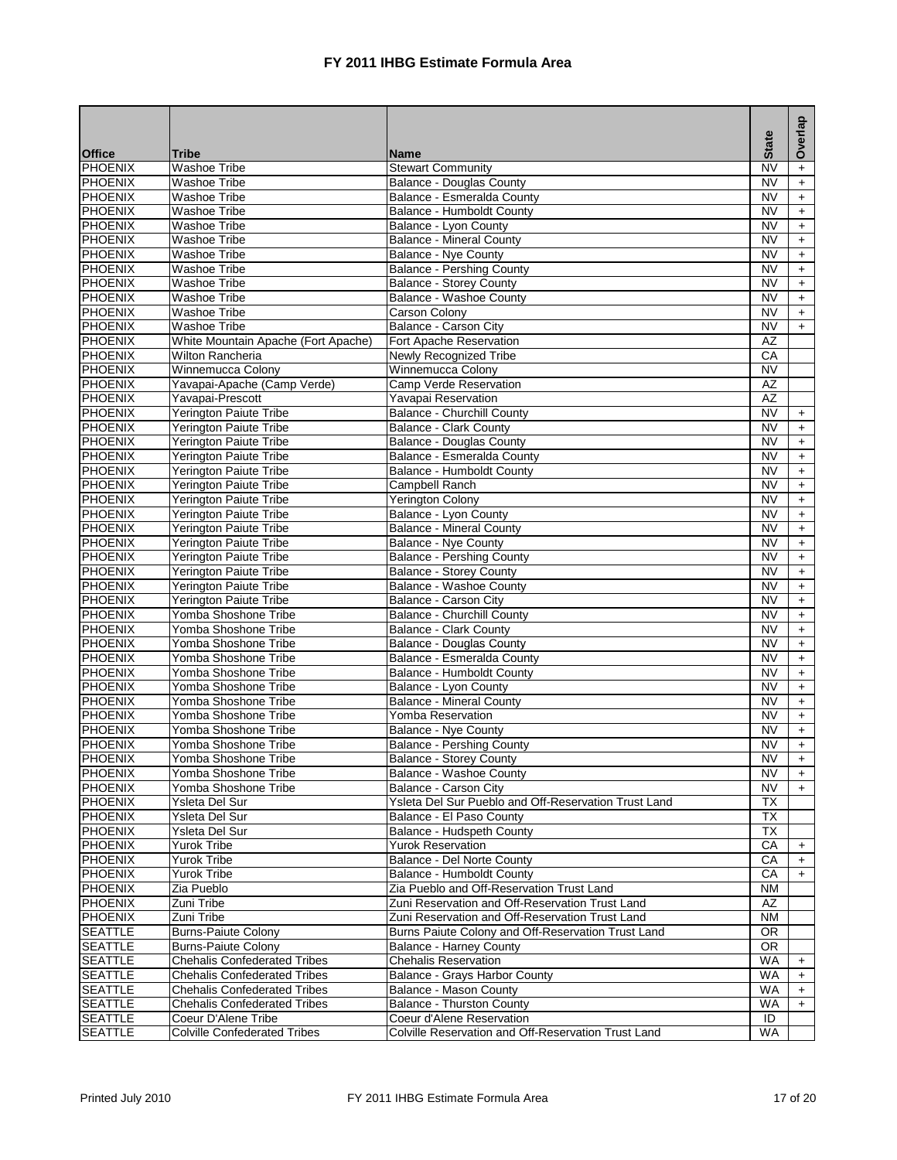|                    |                                              |                                                      | <b>State</b>           | Overlap          |
|--------------------|----------------------------------------------|------------------------------------------------------|------------------------|------------------|
| <b>Office</b>      | <b>Tribe</b>                                 | <b>Name</b>                                          |                        |                  |
| PHOENIX            | <b>Washoe Tribe</b>                          | <b>Stewart Community</b>                             | <b>NV</b>              | $\ddot{}$        |
| PHOENIX            | <b>Washoe Tribe</b>                          | <b>Balance - Douglas County</b>                      | <b>NV</b>              | $\ddot{}$        |
| PHOENIX            | <b>Washoe Tribe</b>                          | Balance - Esmeralda County                           | <b>NV</b>              | $+$              |
| PHOENIX            | <b>Washoe Tribe</b>                          | Balance - Humboldt County                            | <b>NV</b>              | $+$              |
| PHOENIX            | Washoe Tribe                                 | Balance - Lyon County                                | <b>NV</b>              | $\ddot{}$        |
| <b>PHOENIX</b>     | <b>Washoe Tribe</b>                          | <b>Balance - Mineral County</b>                      | <b>NV</b>              | $+$              |
| PHOENIX            | <b>Washoe Tribe</b>                          | Balance - Nye County                                 | <b>NV</b>              | $+$              |
| PHOENIX            | <b>Washoe Tribe</b>                          | <b>Balance - Pershing County</b>                     | <b>NV</b>              | $\ddot{}$        |
| <b>PHOENIX</b>     | <b>Washoe Tribe</b>                          | <b>Balance - Storey County</b>                       | <b>NV</b>              | $+$              |
| PHOENIX            | <b>Washoe Tribe</b>                          | <b>Balance - Washoe County</b>                       | <b>NV</b>              | $+$              |
| PHOENIX            | <b>Washoe Tribe</b>                          | Carson Colony                                        | <b>NV</b>              | $+$              |
| PHOENIX            | Washoe Tribe                                 | <b>Balance - Carson City</b>                         | $\overline{\text{NV}}$ | $+$              |
| <b>PHOENIX</b>     | White Mountain Apache (Fort Apache)          | Fort Apache Reservation                              | $\overline{AZ}$        |                  |
| <b>PHOENIX</b>     | <b>Wilton Rancheria</b>                      | Newly Recognized Tribe                               | CA                     |                  |
| PHOENIX            | Winnemucca Colony                            | Winnemucca Colony                                    | <b>NV</b>              |                  |
| PHOENIX            | Yavapai-Apache (Camp Verde)                  | Camp Verde Reservation                               | <b>AZ</b>              |                  |
| PHOENIX            | Yavapai-Prescott                             | Yavapai Reservation                                  | $\overline{AZ}$        |                  |
| PHOENIX            | <b>Yerington Paiute Tribe</b>                | Balance - Churchill County                           | <b>NV</b>              | $+$              |
| <b>PHOENIX</b>     | <b>Yerington Paiute Tribe</b>                | <b>Balance - Clark County</b>                        | <b>NV</b>              | $\ddot{}$        |
| PHOENIX            | Yerington Paiute Tribe                       | <b>Balance - Douglas County</b>                      | <b>NV</b>              | $+$              |
| <b>PHOENIX</b>     | Yerington Paiute Tribe                       | Balance - Esmeralda County                           | <b>NV</b>              | $+$              |
| PHOENIX            | Yerington Paiute Tribe                       | Balance - Humboldt County                            | <b>NV</b>              | $\ddot{}$        |
| PHOENIX            | Yerington Paiute Tribe                       | Campbell Ranch                                       | <b>NV</b>              | $+$              |
| <b>PHOENIX</b>     | Yerington Paiute Tribe                       | <b>Yerington Colony</b>                              | <b>NV</b>              | $+$              |
| <b>PHOENIX</b>     | Yerington Paiute Tribe                       | Balance - Lyon County                                | <b>NV</b>              | $+$              |
| PHOENIX            | Yerington Paiute Tribe                       | <b>Balance - Mineral County</b>                      | <b>NV</b>              | $\ddot{}$        |
| PHOENIX            | Yerington Paiute Tribe                       | <b>Balance - Nye County</b>                          | <b>NV</b>              | $+$              |
| PHOENIX            | Yerington Paiute Tribe                       | <b>Balance - Pershing County</b>                     | <b>NV</b>              | $+$              |
| PHOENIX            | Yerington Paiute Tribe                       | <b>Balance - Storey County</b>                       | <b>NV</b>              | $\ddot{}$        |
| PHOENIX            | Yerington Paiute Tribe                       | Balance - Washoe County                              | <b>NV</b>              | $\ddot{}$        |
| PHOENIX            | Yerington Paiute Tribe                       | Balance - Carson City                                | <b>NV</b>              | $+$              |
| PHOENIX            | Yomba Shoshone Tribe                         | Balance - Churchill County                           | <b>NV</b>              | $+$              |
| PHOENIX            | Yomba Shoshone Tribe                         | <b>Balance - Clark County</b>                        | <b>NV</b>              | $\ddot{}$        |
| PHOENIX            | Yomba Shoshone Tribe                         | Balance - Douglas County                             | <b>NV</b>              | $\ddot{}$        |
| PHOENIX            | Yomba Shoshone Tribe<br>Yomba Shoshone Tribe | Balance - Esmeralda County                           | <b>NV</b>              | $+$              |
| PHOENIX<br>PHOENIX | Yomba Shoshone Tribe                         | Balance - Humboldt County                            | <b>NV</b><br><b>NV</b> | $+$              |
| PHOENIX            | Yomba Shoshone Tribe                         | Balance - Lyon County                                | <b>NV</b>              | $+$              |
| <b>PHOENIX</b>     | Yomba Shoshone Tribe                         | <b>Balance - Mineral County</b><br>Yomba Reservation | <b>NV</b>              | $+$              |
| PHOENIX            | Yomba Shoshone Tribe                         | <b>Balance - Nye County</b>                          | <b>NV</b>              | $+$<br>$+$       |
| PHOENIX            | Yomba Shoshone Tribe                         | <b>Balance - Pershing County</b>                     | <b>NV</b>              |                  |
| <b>PHOENIX</b>     | Yomba Shoshone Tribe                         | Balance - Storey County                              | $\overline{\text{NV}}$ | $\ddot{}$<br>$+$ |
| <b>PHOENIX</b>     | Yomba Shoshone Tribe                         | Balance - Washoe County                              | NV                     |                  |
| <b>PHOENIX</b>     | Yomba Shoshone Tribe                         | Balance - Carson City                                | NV                     | $+$              |
| <b>PHOENIX</b>     | Ysleta Del Sur                               | Ysleta Del Sur Pueblo and Off-Reservation Trust Land | ТX                     |                  |
| PHOENIX            | Ysleta Del Sur                               | Balance - El Paso County                             | <b>TX</b>              |                  |
| PHOENIX            | Ysleta Del Sur                               | Balance - Hudspeth County                            | ТX                     |                  |
| <b>PHOENIX</b>     | Yurok Tribe                                  | <b>Yurok Reservation</b>                             | CA                     | $\ddot{}$        |
| PHOENIX            | Yurok Tribe                                  | Balance - Del Norte County                           | CA                     | $\ddot{}$        |
| <b>PHOENIX</b>     | Yurok Tribe                                  | Balance - Humboldt County                            | CA                     | $+$              |
| PHOENIX            | Zia Pueblo                                   | Zia Pueblo and Off-Reservation Trust Land            | <b>NM</b>              |                  |
| PHOENIX            | Zuni Tribe                                   | Zuni Reservation and Off-Reservation Trust Land      | AZ                     |                  |
| <b>PHOENIX</b>     | Zuni Tribe                                   | Zuni Reservation and Off-Reservation Trust Land      | <b>NM</b>              |                  |
| <b>SEATTLE</b>     | <b>Burns-Paiute Colony</b>                   | Burns Paiute Colony and Off-Reservation Trust Land   | <b>OR</b>              |                  |
| SEATTLE            | <b>Burns-Paiute Colony</b>                   | <b>Balance - Harney County</b>                       | <b>OR</b>              |                  |
| <b>SEATTLE</b>     | <b>Chehalis Confederated Tribes</b>          | <b>Chehalis Reservation</b>                          | WA                     | $\ddot{}$        |
| SEATTLE            | <b>Chehalis Confederated Tribes</b>          | Balance - Grays Harbor County                        | WA                     | $\ddot{}$        |
| SEATTLE            | <b>Chehalis Confederated Tribes</b>          | Balance - Mason County                               | WA                     | $\ddot{}$        |
| <b>SEATTLE</b>     | <b>Chehalis Confederated Tribes</b>          | <b>Balance - Thurston County</b>                     | WA                     | $+$              |
| <b>SEATTLE</b>     | Coeur D'Alene Tribe                          | Coeur d'Alene Reservation                            | ID                     |                  |
| <b>SEATTLE</b>     | <b>Colville Confederated Tribes</b>          | Colville Reservation and Off-Reservation Trust Land  | <b>WA</b>              |                  |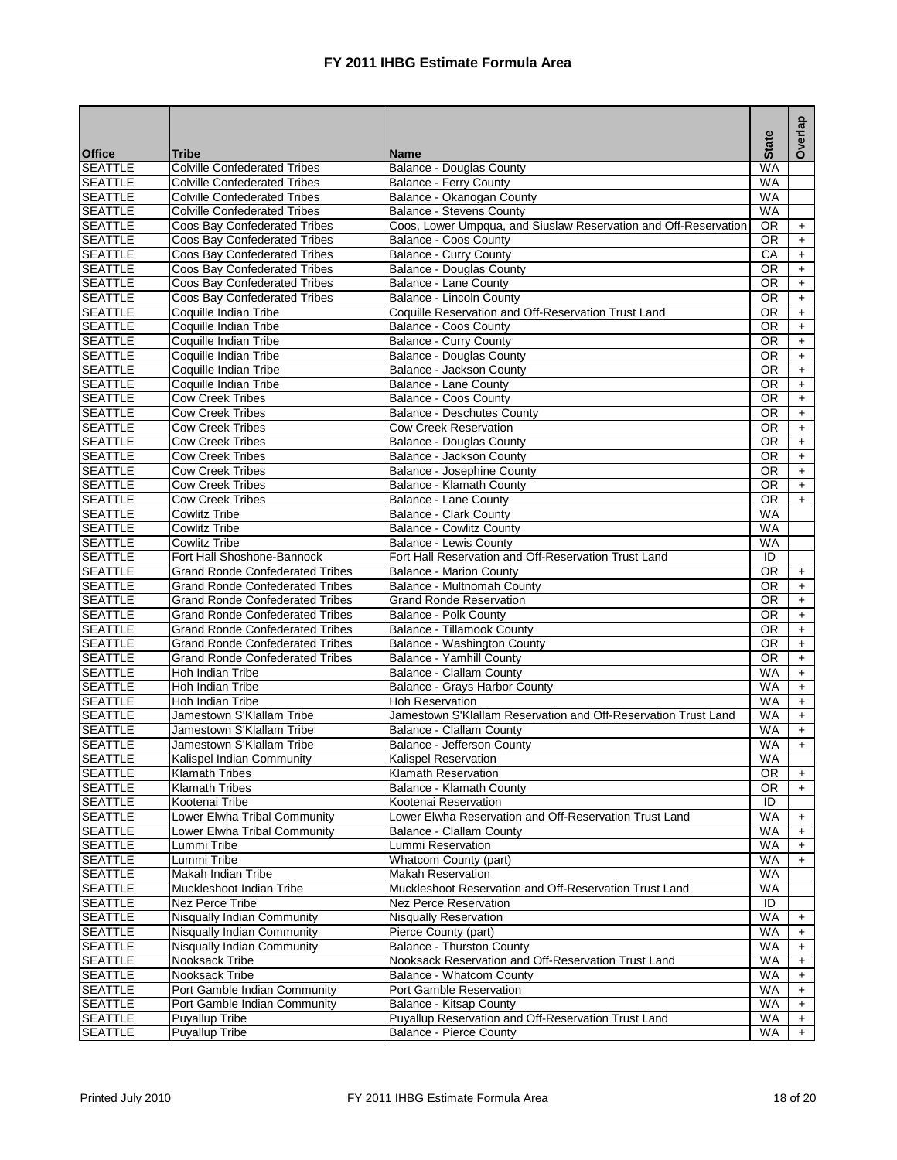|                                  |                                                       |                                                                                        |                        | Overlap          |
|----------------------------------|-------------------------------------------------------|----------------------------------------------------------------------------------------|------------------------|------------------|
| <b>Office</b>                    | Tribe                                                 | <b>Name</b>                                                                            | <b>State</b>           |                  |
| <b>SEATTLE</b>                   | <b>Colville Confederated Tribes</b>                   | Balance - Douglas County                                                               | <b>WA</b>              |                  |
| <b>SEATTLE</b>                   | <b>Colville Confederated Tribes</b>                   | Balance - Ferry County                                                                 | <b>WA</b>              |                  |
| <b>SEATTLE</b>                   | <b>Colville Confederated Tribes</b>                   | Balance - Okanogan County                                                              | <b>WA</b>              |                  |
| <b>SEATTLE</b>                   | <b>Colville Confederated Tribes</b>                   | <b>Balance - Stevens County</b>                                                        | <b>WA</b>              |                  |
| <b>SEATTLE</b>                   | Coos Bay Confederated Tribes                          | Coos, Lower Umpqua, and Siuslaw Reservation and Off-Reservation                        | OR.                    | $+$              |
| <b>SEATTLE</b>                   | Coos Bay Confederated Tribes                          | Balance - Coos County                                                                  | <b>OR</b>              | $+$              |
| <b>SEATTLE</b>                   | Coos Bay Confederated Tribes                          | Balance - Curry County                                                                 | СA                     | $+$              |
| <b>SEATTLE</b>                   | Coos Bay Confederated Tribes                          | Balance - Douglas County                                                               | <b>OR</b>              | $\ddot{}$        |
| <b>SEATTLE</b>                   | Coos Bay Confederated Tribes                          | Balance - Lane County                                                                  | <b>OR</b>              | $+$              |
| <b>SEATTLE</b><br><b>SEATTLE</b> | Coos Bay Confederated Tribes<br>Coquille Indian Tribe | Balance - Lincoln County                                                               | <b>OR</b><br><b>OR</b> | $+$              |
| <b>SEATTLE</b>                   | Coquille Indian Tribe                                 | Coquille Reservation and Off-Reservation Trust Land<br>Balance - Coos County           | 0R                     | $+$<br>$+$       |
| <b>SEATTLE</b>                   | Coquille Indian Tribe                                 | Balance - Curry County                                                                 | <b>OR</b>              | $+$              |
| <b>SEATTLE</b>                   | Coquille Indian Tribe                                 | <b>Balance - Douglas County</b>                                                        | <b>OR</b>              | $+$              |
| <b>SEATTLE</b>                   | Coquille Indian Tribe                                 | Balance - Jackson County                                                               | OR.                    | $\ddot{}$        |
| <b>SEATTLE</b>                   | Coquille Indian Tribe                                 | Balance - Lane County                                                                  | <b>OR</b>              | $+$              |
| <b>SEATTLE</b>                   | <b>Cow Creek Tribes</b>                               | Balance - Coos County                                                                  | 0R                     | $+$              |
| <b>SEATTLE</b>                   | <b>Cow Creek Tribes</b>                               | <b>Balance - Deschutes County</b>                                                      | <b>OR</b>              | $+$              |
| <b>SEATTLE</b>                   | <b>Cow Creek Tribes</b>                               | <b>Cow Creek Reservation</b>                                                           | <b>OR</b>              | $\ddot{}$        |
| <b>SEATTLE</b>                   | <b>Cow Creek Tribes</b>                               | <b>Balance - Douglas County</b>                                                        | <b>OR</b>              | $+$              |
| <b>SEATTLE</b>                   | <b>Cow Creek Tribes</b>                               | Balance - Jackson County                                                               | <b>OR</b>              | $+$              |
| <b>SEATTLE</b>                   | <b>Cow Creek Tribes</b>                               | Balance - Josephine County                                                             | <b>OR</b>              | $\pm$            |
| <b>SEATTLE</b>                   | <b>Cow Creek Tribes</b>                               | Balance - Klamath County                                                               | OR.                    | $+$              |
| <b>SEATTLE</b>                   | <b>Cow Creek Tribes</b>                               | Balance - Lane County                                                                  | 0R                     | $+$              |
| <b>SEATTLE</b>                   | <b>Cowlitz Tribe</b>                                  | Balance - Clark County                                                                 | WA                     |                  |
| <b>SEATTLE</b>                   | <b>Cowlitz Tribe</b>                                  | <b>Balance - Cowlitz County</b>                                                        | <b>WA</b>              |                  |
| <b>SEATTLE</b>                   | <b>Cowlitz Tribe</b>                                  | Balance - Lewis County                                                                 | <b>WA</b>              |                  |
| <b>SEATTLE</b>                   | Fort Hall Shoshone-Bannock                            | Fort Hall Reservation and Off-Reservation Trust Land                                   | ID                     |                  |
| <b>SEATTLE</b>                   | <b>Grand Ronde Confederated Tribes</b>                | <b>Balance - Marion County</b>                                                         | 0R                     | $+$              |
| <b>SEATTLE</b>                   | <b>Grand Ronde Confederated Tribes</b>                | Balance - Multnomah County                                                             | 0R                     | $+$              |
| <b>SEATTLE</b>                   | <b>Grand Ronde Confederated Tribes</b>                | <b>Grand Ronde Reservation</b>                                                         | 0R                     | $+$              |
| <b>SEATTLE</b>                   | <b>Grand Ronde Confederated Tribes</b>                | Balance - Polk County                                                                  | <b>OR</b>              | $\ddot{}$        |
| <b>SEATTLE</b>                   | <b>Grand Ronde Confederated Tribes</b>                | Balance - Tillamook County                                                             | <b>OR</b>              | $+$              |
| <b>SEATTLE</b>                   | <b>Grand Ronde Confederated Tribes</b>                | Balance - Washington County                                                            | <b>OR</b>              | $+$              |
| <b>SEATTLE</b>                   | <b>Grand Ronde Confederated Tribes</b>                | Balance - Yamhill County                                                               | <b>OR</b>              | $+$              |
| <b>SEATTLE</b>                   | Hoh Indian Tribe                                      | <b>Balance - Clallam County</b>                                                        | WA                     | $+$              |
| <b>SEATTLE</b>                   | Hoh Indian Tribe                                      | Balance - Grays Harbor County                                                          | <b>WA</b>              | $\ddot{}$        |
| <b>SEATTLE</b>                   | Hoh Indian Tribe                                      | <b>Hoh Reservation</b>                                                                 | <b>WA</b>              | $+$              |
| <b>SEATTLE</b>                   | Jamestown S'Klallam Tribe                             | Jamestown S'Klallam Reservation and Off-Reservation Trust Land                         | <b>WA</b>              | $+$              |
| <b>SEATTLE</b>                   | Jamestown S'Klallam Tribe                             | Balance - Clallam County                                                               | WA                     | $\ddot{}$        |
| <b>SEATTLE</b>                   | Jamestown S'Klallam Tribe                             | Balance - Jefferson County                                                             | <b>WA</b>              | $+$              |
| <b>SEATTLE</b>                   | Kalispel Indian Community                             | Kalispel Reservation                                                                   | <b>WA</b>              |                  |
| <b>SEATTLE</b>                   | Klamath Tribes                                        | <b>Klamath Reservation</b>                                                             | OR.                    | $+$              |
| <b>SEATTLE</b>                   | <b>Klamath Tribes</b>                                 | Balance - Klamath County                                                               | 0R                     | $\ddot{}$        |
| <b>SEATTLE</b>                   | Kootenai Tribe                                        | Kootenai Reservation                                                                   | ID                     |                  |
| <b>SEATTLE</b>                   | Lower Elwha Tribal Community                          | Lower Elwha Reservation and Off-Reservation Trust Land                                 | <b>WA</b>              | $\ddot{}$        |
| <b>SEATTLE</b>                   | Lower Elwha Tribal Community                          | Balance - Clallam County                                                               | WA                     | $+$              |
| <b>SEATTLE</b>                   | Lummi Tribe                                           | Lummi Reservation                                                                      | WA                     | $+$              |
| <b>SEATTLE</b><br><b>SEATTLE</b> | Lummi Tribe<br>Makah Indian Tribe                     | Whatcom County (part)                                                                  | WA<br>WA               | $+$              |
|                                  | Muckleshoot Indian Tribe                              | <b>Makah Reservation</b>                                                               |                        |                  |
| <b>SEATTLE</b>                   | Nez Perce Tribe                                       | Muckleshoot Reservation and Off-Reservation Trust Land<br><b>Nez Perce Reservation</b> | WA<br>ID               |                  |
| <b>SEATTLE</b><br><b>SEATTLE</b> | Nisqually Indian Community                            | <b>Nisqually Reservation</b>                                                           | <b>WA</b>              |                  |
| <b>SEATTLE</b>                   | Nisqually Indian Community                            | Pierce County (part)                                                                   | WA                     | $\ddot{}$<br>$+$ |
| <b>SEATTLE</b>                   | Nisqually Indian Community                            | <b>Balance - Thurston County</b>                                                       | <b>WA</b>              | $\ddot{}$        |
| SEATTLE                          | Nooksack Tribe                                        | Nooksack Reservation and Off-Reservation Trust Land                                    | WA                     | $+$              |
| SEATTLE                          | Nooksack Tribe                                        | Balance - Whatcom County                                                               | WA                     | $\ddot{}$        |
| <b>SEATTLE</b>                   | Port Gamble Indian Community                          | Port Gamble Reservation                                                                | WA                     | $\ddot{}$        |
| <b>SEATTLE</b>                   | Port Gamble Indian Community                          | Balance - Kitsap County                                                                | <b>WA</b>              | $+$              |
| <b>SEATTLE</b>                   | Puyallup Tribe                                        | Puyallup Reservation and Off-Reservation Trust Land                                    | WA                     | $\ddot{}$        |
| <b>SEATTLE</b>                   | <b>Puyallup Tribe</b>                                 | Balance - Pierce County                                                                | WA                     | $+$              |
|                                  |                                                       |                                                                                        |                        |                  |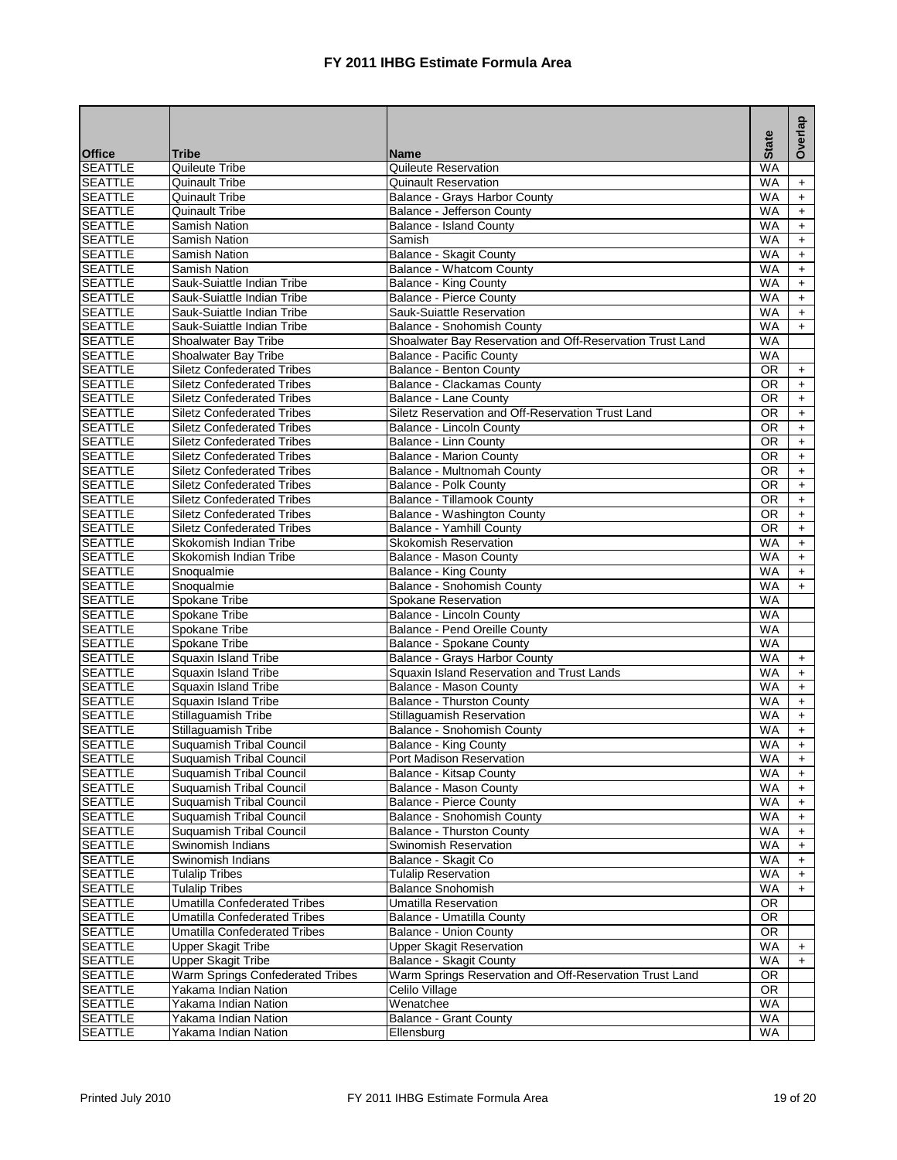|                                  |                                                             |                                                           | <b>State</b>           | Overlap                |
|----------------------------------|-------------------------------------------------------------|-----------------------------------------------------------|------------------------|------------------------|
| <b>Office</b>                    | <b>Tribe</b>                                                | <b>Name</b>                                               |                        |                        |
| <b>SEATTLE</b>                   | Quileute Tribe                                              | Quileute Reservation                                      | <b>WA</b>              |                        |
| <b>SEATTLE</b>                   | <b>Quinault Tribe</b>                                       | <b>Quinault Reservation</b>                               | <b>WA</b>              | $\ddot{}$              |
| <b>SEATTLE</b>                   | <b>Quinault Tribe</b>                                       | Balance - Grays Harbor County                             | WA                     | $+$                    |
| <b>SEATTLE</b>                   | <b>Quinault Tribe</b>                                       | Balance - Jefferson County                                | <b>WA</b>              | $+$                    |
| <b>SEATTLE</b>                   | Samish Nation                                               | <b>Balance - Island County</b>                            | <b>WA</b>              | $\ddot{}$              |
| <b>SEATTLE</b>                   | Samish Nation                                               | Samish                                                    | <b>WA</b>              | $+$                    |
| <b>SEATTLE</b>                   | Samish Nation                                               | <b>Balance - Skagit County</b>                            | <b>WA</b>              | $\pm$                  |
| <b>SEATTLE</b>                   | Samish Nation                                               | Balance - Whatcom County                                  | <b>WA</b>              | $\ddot{}$              |
| <b>SEATTLE</b>                   | Sauk-Suiattle Indian Tribe                                  | <b>Balance - King County</b>                              | <b>WA</b>              | $+$                    |
| <b>SEATTLE</b>                   | Sauk-Suiattle Indian Tribe                                  | <b>Balance - Pierce County</b>                            | <b>WA</b>              | $+$                    |
| <b>SEATTLE</b>                   | Sauk-Suiattle Indian Tribe                                  | Sauk-Suiattle Reservation                                 | <b>WA</b>              | $+$                    |
| <b>SEATTLE</b>                   | Sauk-Suiattle Indian Tribe                                  | <b>Balance - Snohomish County</b>                         | <b>WA</b>              | $+$                    |
| <b>SEATTLE</b>                   | Shoalwater Bay Tribe                                        | Shoalwater Bay Reservation and Off-Reservation Trust Land | <b>WA</b>              |                        |
| <b>SEATTLE</b>                   | Shoalwater Bay Tribe                                        | <b>Balance - Pacific County</b>                           | <b>WA</b>              |                        |
| <b>SEATTLE</b>                   | <b>Siletz Confederated Tribes</b>                           | Balance - Benton County                                   | <b>OR</b>              | $+$                    |
| <b>SEATTLE</b>                   | <b>Siletz Confederated Tribes</b>                           | Balance - Clackamas County                                | <b>OR</b>              | $\ddot{}$              |
| <b>SEATTLE</b>                   | <b>Siletz Confederated Tribes</b>                           | Balance - Lane County                                     | <b>OR</b>              | $+$                    |
| <b>SEATTLE</b>                   | <b>Siletz Confederated Tribes</b>                           | Siletz Reservation and Off-Reservation Trust Land         | $\overline{OR}$        | $+$                    |
| <b>SEATTLE</b>                   | <b>Siletz Confederated Tribes</b>                           | Balance - Lincoln County                                  | <b>OR</b>              | $+$                    |
| <b>SEATTLE</b>                   | <b>Siletz Confederated Tribes</b>                           | <b>Balance - Linn County</b>                              | <b>OR</b>              | $+$                    |
| <b>SEATTLE</b>                   | <b>Siletz Confederated Tribes</b>                           | <b>Balance - Marion County</b>                            | <b>OR</b>              | $+$                    |
| <b>SEATTLE</b>                   | <b>Siletz Confederated Tribes</b>                           | Balance - Multnomah County                                | <b>OR</b>              | $\ddot{}$              |
| <b>SEATTLE</b>                   | <b>Siletz Confederated Tribes</b>                           | Balance - Polk County                                     | <b>OR</b>              | $\pm$                  |
| <b>SEATTLE</b>                   | <b>Siletz Confederated Tribes</b>                           | Balance - Tillamook County                                | <b>OR</b>              | $+$                    |
| <b>SEATTLE</b>                   | <b>Siletz Confederated Tribes</b>                           | Balance - Washington County                               | <b>OR</b>              | $\pm$                  |
| <b>SEATTLE</b>                   | <b>Siletz Confederated Tribes</b>                           | <b>Balance - Yamhill County</b>                           | <b>OR</b>              | $+$                    |
| <b>SEATTLE</b>                   | Skokomish Indian Tribe                                      | <b>Skokomish Reservation</b>                              | <b>WA</b>              | $+$                    |
| <b>SEATTLE</b>                   | Skokomish Indian Tribe                                      | Balance - Mason County                                    | <b>WA</b>              | $+$                    |
| <b>SEATTLE</b>                   | Snoqualmie                                                  | <b>Balance - King County</b>                              | <b>WA</b>              | $\ddot{}$              |
| <b>SEATTLE</b>                   | Snoqualmie                                                  | Balance - Snohomish County                                | <b>WA</b>              | $+$                    |
| <b>SEATTLE</b>                   | Spokane Tribe                                               | Spokane Reservation                                       | <b>WA</b>              |                        |
| <b>SEATTLE</b>                   | Spokane Tribe                                               | Balance - Lincoln County                                  | <b>WA</b>              |                        |
| <b>SEATTLE</b>                   | Spokane Tribe                                               | Balance - Pend Oreille County                             | <b>WA</b>              |                        |
| <b>SEATTLE</b>                   | Spokane Tribe                                               | Balance - Spokane County                                  | <b>WA</b>              |                        |
| <b>SEATTLE</b>                   | Squaxin Island Tribe                                        | Balance - Grays Harbor County                             | <b>WA</b>              | $+$                    |
| <b>SEATTLE</b>                   | Squaxin Island Tribe                                        | Squaxin Island Reservation and Trust Lands                | <b>WA</b>              | $+$                    |
| <b>SEATTLE</b>                   | Squaxin Island Tribe                                        | Balance - Mason County                                    | <b>WA</b>              | $+$                    |
| <b>SEATTLE</b>                   | Squaxin Island Tribe                                        | <b>Balance - Thurston County</b>                          | <b>WA</b>              | $\ddot{}$              |
| <b>SEATTLE</b>                   | Stillaguamish Tribe                                         | Stillaguamish Reservation                                 | <b>WA</b>              | $+$                    |
| <b>SEATTLE</b>                   | Stillaguamish Tribe                                         | Balance - Snohomish County                                | <b>WA</b>              | $\ddot{\phantom{1}}$   |
| <b>SEATTLE</b><br><b>SEATTLE</b> | <b>Suquamish Tribal Council</b>                             | Balance - King County<br>Port Madison Reservation         | <b>WA</b><br><b>WA</b> | $+$<br>$+$             |
|                                  | Suguamish Tribal Council                                    |                                                           |                        |                        |
| <b>SEATTLE</b><br><b>SEATTLE</b> | <b>Suquamish Tribal Council</b>                             | Balance - Kitsap County                                   | WA<br>WA               | $+$                    |
| <b>SEATTLE</b>                   | Suguamish Tribal Council<br><b>Suquamish Tribal Council</b> | Balance - Mason County<br><b>Balance - Pierce County</b>  | <b>WA</b>              | $\ddot{}$              |
| <b>SEATTLE</b>                   | Suquamish Tribal Council                                    | Balance - Snohomish County                                | WA                     | $+$                    |
| <b>SEATTLE</b>                   | Suquamish Tribal Council                                    | <b>Balance - Thurston County</b>                          | WA                     | $\ddot{}$              |
| <b>SEATTLE</b>                   | Swinomish Indians                                           | Swinomish Reservation                                     | <b>WA</b>              | $\ddot{}$<br>$\ddot{}$ |
| <b>SEATTLE</b>                   | Swinomish Indians                                           | Balance - Skagit Co                                       | WA                     | $\ddot{}$              |
| <b>SEATTLE</b>                   | <b>Tulalip Tribes</b>                                       | <b>Tulalip Reservation</b>                                | <b>WA</b>              | $+$                    |
| <b>SEATTLE</b>                   | <b>Tulalip Tribes</b>                                       | Balance Snohomish                                         | WA                     | $\ddot{}$              |
| <b>SEATTLE</b>                   | <b>Umatilla Confederated Tribes</b>                         | Umatilla Reservation                                      | OR                     |                        |
| <b>SEATTLE</b>                   | <b>Umatilla Confederated Tribes</b>                         | Balance - Umatilla County                                 | OR.                    |                        |
| <b>SEATTLE</b>                   | Umatilla Confederated Tribes                                | <b>Balance - Union County</b>                             | <b>OR</b>              |                        |
| <b>SEATTLE</b>                   | <b>Upper Skagit Tribe</b>                                   | <b>Upper Skagit Reservation</b>                           | <b>WA</b>              | $\ddot{}$              |
| <b>SEATTLE</b>                   | <b>Upper Skagit Tribe</b>                                   | Balance - Skagit County                                   | <b>WA</b>              | $+$                    |
| <b>SEATTLE</b>                   | Warm Springs Confederated Tribes                            | Warm Springs Reservation and Off-Reservation Trust Land   | <b>OR</b>              |                        |
| <b>SEATTLE</b>                   | Yakama Indian Nation                                        | Celilo Village                                            | 0R                     |                        |
| <b>SEATTLE</b>                   | Yakama Indian Nation                                        | Wenatchee                                                 | <b>WA</b>              |                        |
| <b>SEATTLE</b>                   | Yakama Indian Nation                                        | <b>Balance - Grant County</b>                             | WA                     |                        |
| <b>SEATTLE</b>                   | Yakama Indian Nation                                        | Ellensburg                                                | <b>WA</b>              |                        |
|                                  |                                                             |                                                           |                        |                        |